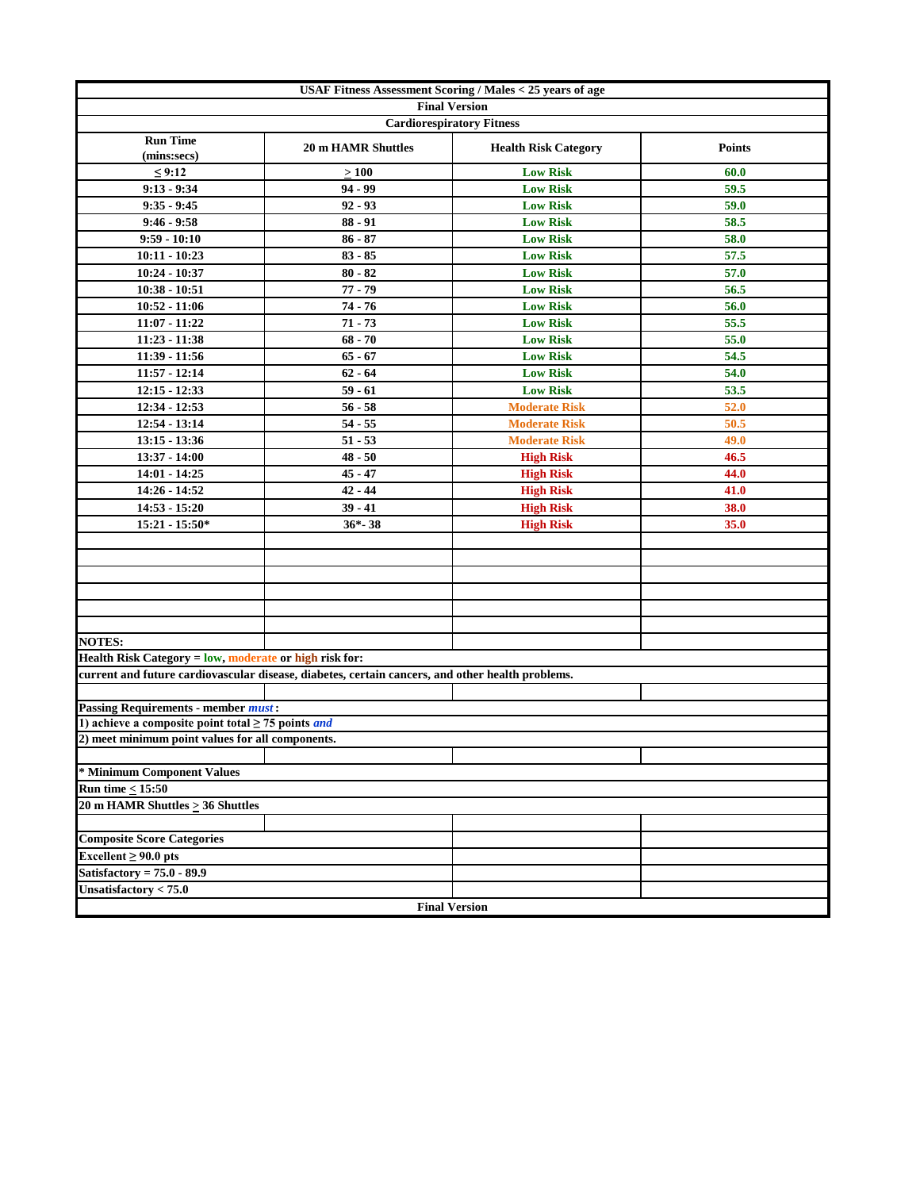|                                                                |                                                                                                  | USAF Fitness Assessment Scoring / Males < 25 years of age |               |
|----------------------------------------------------------------|--------------------------------------------------------------------------------------------------|-----------------------------------------------------------|---------------|
|                                                                |                                                                                                  | <b>Final Version</b>                                      |               |
|                                                                |                                                                                                  | <b>Cardiorespiratory Fitness</b>                          |               |
| <b>Run Time</b><br>(mins:secs)                                 | <b>20 m HAMR Shuttles</b>                                                                        | <b>Health Risk Category</b>                               | <b>Points</b> |
| $\leq 9:12$                                                    | $\geq 100$                                                                                       | <b>Low Risk</b>                                           | 60.0          |
| $9:13 - 9:34$                                                  | $94 - 99$                                                                                        | <b>Low Risk</b>                                           | 59.5          |
| $9:35 - 9:45$                                                  | $92 - 93$                                                                                        | <b>Low Risk</b>                                           | 59.0          |
| $9:46 - 9:58$                                                  | $88 - 91$                                                                                        | <b>Low Risk</b>                                           | 58.5          |
| $9:59 - 10:10$                                                 | $86 - 87$                                                                                        | <b>Low Risk</b>                                           | 58.0          |
| $10:11 - 10:23$                                                | $83 - 85$                                                                                        | <b>Low Risk</b>                                           | 57.5          |
| 10:24 - 10:37                                                  | $80 - 82$                                                                                        | <b>Low Risk</b>                                           | 57.0          |
| $10:38 - 10:51$                                                | $77 - 79$                                                                                        | <b>Low Risk</b>                                           | 56.5          |
| $10:52 - 11:06$                                                | $74 - 76$                                                                                        | <b>Low Risk</b>                                           | 56.0          |
| $11:07 - 11:22$                                                | $71 - 73$                                                                                        | <b>Low Risk</b>                                           | 55.5          |
| $11:23 - 11:38$                                                | $68 - 70$                                                                                        | <b>Low Risk</b>                                           | 55.0          |
| 11:39 - 11:56                                                  | $65 - 67$                                                                                        | <b>Low Risk</b>                                           | 54.5          |
| $11:57 - 12:14$                                                | $62 - 64$                                                                                        | <b>Low Risk</b>                                           | 54.0          |
| $12:15 - 12:33$                                                | $59 - 61$                                                                                        | <b>Low Risk</b>                                           | 53.5          |
| $12:34 - 12:53$                                                | $56 - 58$                                                                                        | <b>Moderate Risk</b>                                      | 52.0          |
| $12:54 - 13:14$                                                | $54 - 55$                                                                                        | <b>Moderate Risk</b>                                      | 50.5          |
| $13:15 - 13:36$                                                | $51 - 53$                                                                                        | <b>Moderate Risk</b>                                      | 49.0          |
| 13:37 - 14:00                                                  | $48 - 50$                                                                                        | <b>High Risk</b>                                          | 46.5          |
| $14:01 - 14:25$                                                | $45 - 47$                                                                                        | <b>High Risk</b>                                          | 44.0          |
| 14:26 - 14:52                                                  | $42 - 44$                                                                                        | <b>High Risk</b>                                          | 41.0          |
| $14:53 - 15:20$                                                | $39 - 41$                                                                                        | <b>High Risk</b>                                          | 38.0          |
| 15:21 - 15:50*                                                 | $36*-38$                                                                                         | <b>High Risk</b>                                          | 35.0          |
|                                                                |                                                                                                  |                                                           |               |
|                                                                |                                                                                                  |                                                           |               |
|                                                                |                                                                                                  |                                                           |               |
|                                                                |                                                                                                  |                                                           |               |
|                                                                |                                                                                                  |                                                           |               |
|                                                                |                                                                                                  |                                                           |               |
| <b>NOTES:</b>                                                  |                                                                                                  |                                                           |               |
| Health Risk Category = low, moderate or high risk for:         |                                                                                                  |                                                           |               |
|                                                                | current and future cardiovascular disease, diabetes, certain cancers, and other health problems. |                                                           |               |
|                                                                |                                                                                                  |                                                           |               |
| <b>Passing Requirements - member must:</b>                     |                                                                                                  |                                                           |               |
| 1) achieve a composite point total $\geq$ 75 points and        |                                                                                                  |                                                           |               |
| 2) meet minimum point values for all components.               |                                                                                                  |                                                           |               |
| * Minimum Component Values                                     |                                                                                                  |                                                           |               |
|                                                                |                                                                                                  |                                                           |               |
| Run time $\leq 15:50$<br>20 m HAMR Shuttles $\geq$ 36 Shuttles |                                                                                                  |                                                           |               |
|                                                                |                                                                                                  |                                                           |               |
| <b>Composite Score Categories</b>                              |                                                                                                  |                                                           |               |
| Excellent $\geq 90.0$ pts                                      |                                                                                                  |                                                           |               |
| Satisfactory = $75.0 - 89.9$                                   |                                                                                                  |                                                           |               |
| Unsatisfactory $< 75.0$                                        |                                                                                                  |                                                           |               |
|                                                                |                                                                                                  | <b>Final Version</b>                                      |               |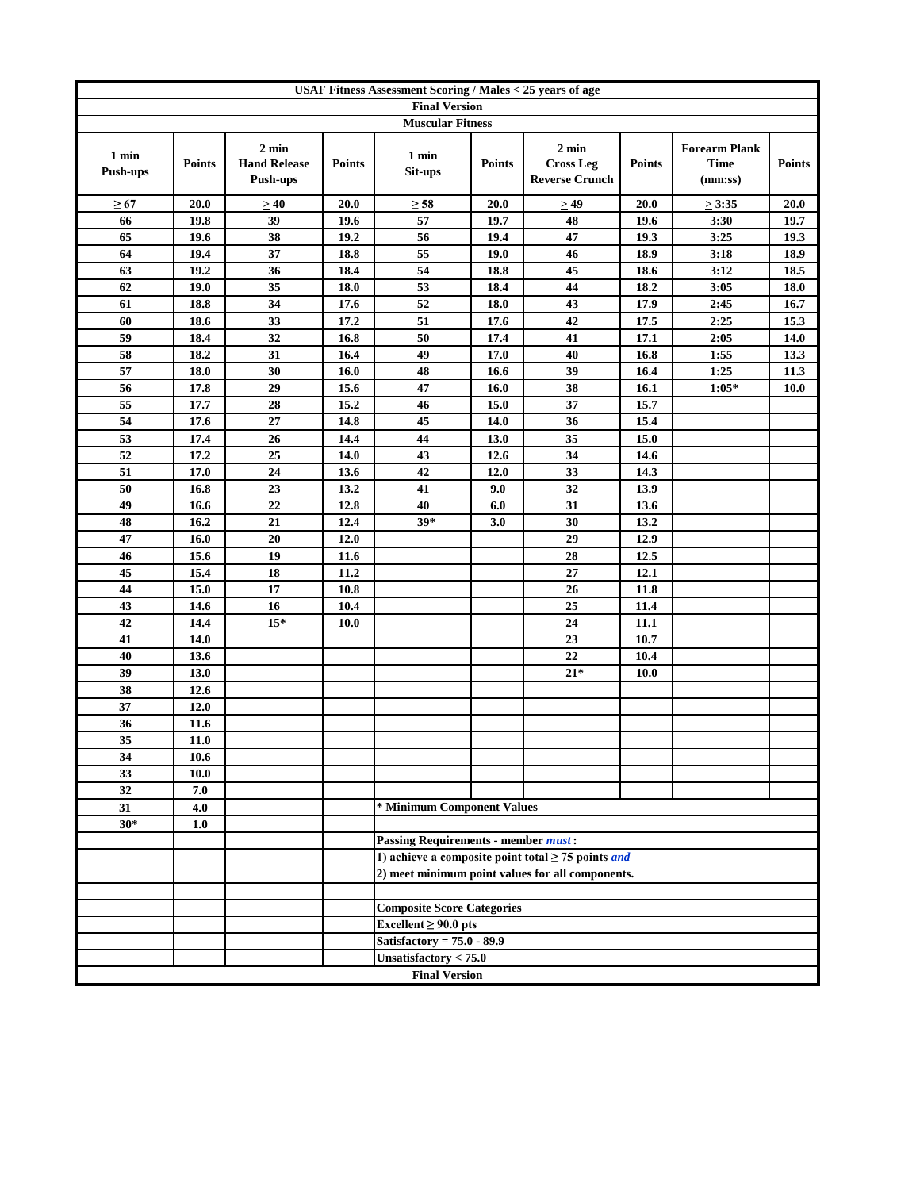|                          | USAF Fitness Assessment Scoring / Males < 25 years of age |                                                    |               |                                            |               |                                                                |               |                                         |               |
|--------------------------|-----------------------------------------------------------|----------------------------------------------------|---------------|--------------------------------------------|---------------|----------------------------------------------------------------|---------------|-----------------------------------------|---------------|
|                          |                                                           |                                                    |               | <b>Final Version</b>                       |               |                                                                |               |                                         |               |
|                          |                                                           |                                                    |               | <b>Muscular Fitness</b>                    |               |                                                                |               |                                         |               |
| 1 min<br><b>Push-ups</b> | <b>Points</b>                                             | $2 \text{ min}$<br><b>Hand Release</b><br>Push-ups | <b>Points</b> | 1 min<br>Sit-ups                           | <b>Points</b> | $2 \text{ min}$<br><b>Cross Leg</b><br><b>Reverse Crunch</b>   | <b>Points</b> | <b>Forearm Plank</b><br>Time<br>(mm:ss) | <b>Points</b> |
| $\geq 67$                | 20.0                                                      | $\geq 40$                                          | 20.0          | $\geq 58$                                  | 20.0          | $\geq 49$                                                      | 20.0          | $\geq 3:35$                             | 20.0          |
| 66                       | 19.8                                                      | 39                                                 | 19.6          | 57                                         | 19.7          | 48                                                             | 19.6          | 3:30                                    | 19.7          |
| 65                       | 19.6                                                      | 38                                                 | 19.2          | 56                                         | 19.4          | 47                                                             | 19.3          | 3:25                                    | 19.3          |
| 64                       | 19.4                                                      | 37                                                 | 18.8          | 55                                         | 19.0          | 46                                                             | 18.9          | 3:18                                    | 18.9          |
| 63                       | 19.2                                                      | 36                                                 | 18.4          | 54                                         | 18.8          | 45                                                             | 18.6          | 3:12                                    | 18.5          |
| 62                       | 19.0                                                      | 35                                                 | 18.0          | 53                                         | 18.4          | 44                                                             | 18.2          | 3:05                                    | 18.0          |
| 61                       | 18.8                                                      | 34                                                 | 17.6          | 52                                         | 18.0          | 43                                                             | 17.9          | 2:45                                    | 16.7          |
| 60                       | 18.6                                                      | 33                                                 | 17.2          | 51                                         | 17.6          | 42                                                             | 17.5          | 2:25                                    | 15.3          |
| 59                       | 18.4                                                      | 32                                                 | 16.8          | 50                                         | 17.4          | 41                                                             | 17.1          | 2:05                                    | 14.0          |
| 58                       | 18.2                                                      | 31                                                 | 16.4          | 49                                         | 17.0          | 40                                                             | 16.8          | 1:55                                    | 13.3          |
| 57                       | 18.0                                                      | 30                                                 | 16.0          | 48                                         | 16.6          | 39                                                             | 16.4          | 1:25                                    | 11.3          |
| 56                       | 17.8                                                      | 29                                                 | 15.6          | 47                                         | 16.0          | 38                                                             | 16.1          | $1:05*$                                 | 10.0          |
| 55                       | 17.7                                                      | 28                                                 | 15.2          | 46                                         | 15.0          | 37                                                             | 15.7          |                                         |               |
| 54                       | 17.6                                                      | 27                                                 | 14.8          | 45                                         | 14.0          | 36                                                             | 15.4          |                                         |               |
| 53                       | 17.4                                                      | 26                                                 | 14.4          | 44                                         | 13.0          | $\overline{35}$                                                | 15.0          |                                         |               |
| 52                       | 17.2                                                      | 25                                                 | 14.0          | 43                                         | 12.6          | 34                                                             | 14.6          |                                         |               |
| 51                       | 17.0                                                      | 24                                                 | 13.6          | 42                                         | 12.0          | 33                                                             | 14.3          |                                         |               |
| 50                       | 16.8                                                      | 23                                                 | 13.2          | 41                                         | 9.0           | 32                                                             | 13.9          |                                         |               |
| 49                       | 16.6                                                      | 22                                                 | 12.8          | 40                                         | 6.0           | 31                                                             | 13.6          |                                         |               |
| 48                       | 16.2                                                      | 21                                                 | 12.4          | $39*$                                      | 3.0           | 30                                                             | 13.2          |                                         |               |
| 47                       | 16.0                                                      | 20                                                 | 12.0          |                                            |               | 29                                                             | 12.9          |                                         |               |
| 46                       | 15.6                                                      | 19                                                 | 11.6          |                                            |               | $\overline{28}$                                                | 12.5          |                                         |               |
| 45                       | 15.4                                                      | 18                                                 | 11.2          |                                            |               | 27                                                             | 12.1          |                                         |               |
| 44                       | 15.0                                                      | 17                                                 | 10.8          |                                            |               | 26                                                             | 11.8          |                                         |               |
| 43                       | 14.6                                                      | 16                                                 | 10.4          |                                            |               | 25                                                             | 11.4          |                                         |               |
| 42                       | 14.4                                                      | $15*$                                              | 10.0          |                                            |               | 24                                                             | 11.1          |                                         |               |
| 41                       | 14.0                                                      |                                                    |               |                                            |               | 23                                                             | 10.7          |                                         |               |
| 40                       | 13.6                                                      |                                                    |               |                                            |               | 22                                                             | 10.4          |                                         |               |
| 39                       | 13.0                                                      |                                                    |               |                                            |               | $21*$                                                          | 10.0          |                                         |               |
| 38                       | 12.6                                                      |                                                    |               |                                            |               |                                                                |               |                                         |               |
| 37                       | 12.0                                                      |                                                    |               |                                            |               |                                                                |               |                                         |               |
| 36                       | 11.6                                                      |                                                    |               |                                            |               |                                                                |               |                                         |               |
| 35                       | 11.0                                                      |                                                    |               |                                            |               |                                                                |               |                                         |               |
| 34                       | 10.6                                                      |                                                    |               |                                            |               |                                                                |               |                                         |               |
| 33                       | 10.0                                                      |                                                    |               |                                            |               |                                                                |               |                                         |               |
| 32                       | 7.0                                                       |                                                    |               | * Minimum Component Values                 |               |                                                                |               |                                         |               |
| 31                       | 4.0                                                       |                                                    |               |                                            |               |                                                                |               |                                         |               |
| $30*$                    | 1.0                                                       |                                                    |               | <b>Passing Requirements - member must:</b> |               |                                                                |               |                                         |               |
|                          |                                                           |                                                    |               |                                            |               | 1) achieve a composite point total $\geq$ 75 points <i>and</i> |               |                                         |               |
|                          |                                                           |                                                    |               |                                            |               | 2) meet minimum point values for all components.               |               |                                         |               |
|                          |                                                           |                                                    |               |                                            |               |                                                                |               |                                         |               |
|                          |                                                           |                                                    |               | <b>Composite Score Categories</b>          |               |                                                                |               |                                         |               |
|                          |                                                           |                                                    |               | Excellent $\geq 90.0$ pts                  |               |                                                                |               |                                         |               |
|                          |                                                           |                                                    |               | Satisfactory = $75.0 - 89.9$               |               |                                                                |               |                                         |               |
|                          |                                                           |                                                    |               | Unsatisfactory < 75.0                      |               |                                                                |               |                                         |               |
|                          |                                                           |                                                    |               | <b>Final Version</b>                       |               |                                                                |               |                                         |               |
|                          |                                                           |                                                    |               |                                            |               |                                                                |               |                                         |               |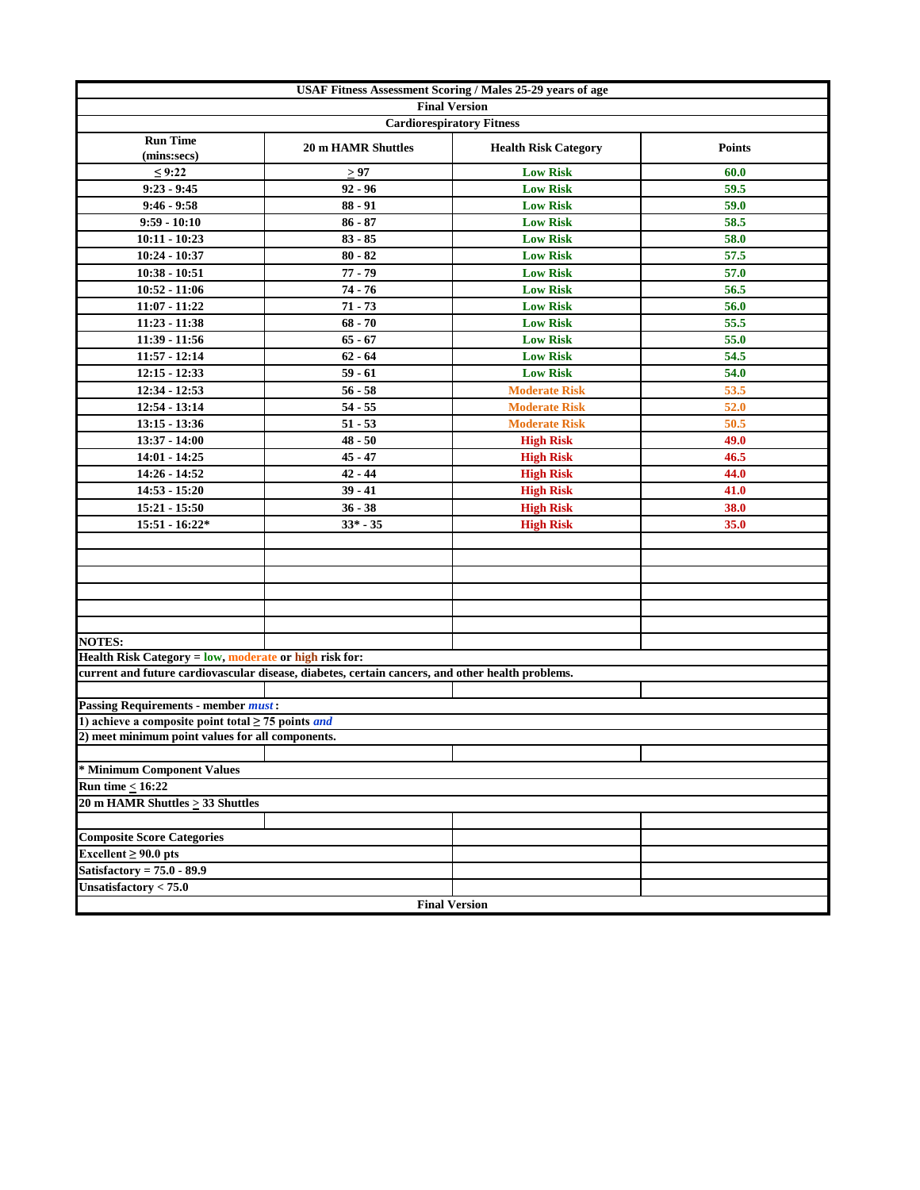|                                                                | USAF Fitness Assessment Scoring / Males 25-29 years of age                                       |                             |               |
|----------------------------------------------------------------|--------------------------------------------------------------------------------------------------|-----------------------------|---------------|
|                                                                | <b>Final Version</b>                                                                             |                             |               |
|                                                                | <b>Cardiorespiratory Fitness</b>                                                                 |                             |               |
| <b>Run Time</b><br>(mins:secs)                                 | <b>20 m HAMR Shuttles</b>                                                                        | <b>Health Risk Category</b> | <b>Points</b> |
| ≤ 9:22                                                         | $\geq 97$                                                                                        | <b>Low Risk</b>             | 60.0          |
| $9:23 - 9:45$                                                  | $92 - 96$                                                                                        | <b>Low Risk</b>             | 59.5          |
| $9:46 - 9:58$                                                  | $88 - 91$                                                                                        | <b>Low Risk</b>             | 59.0          |
| $9:59 - 10:10$                                                 | $86 - 87$                                                                                        | <b>Low Risk</b>             | 58.5          |
| $10:11 - 10:23$                                                | $83 - 85$                                                                                        | <b>Low Risk</b>             | 58.0          |
| 10:24 - 10:37                                                  | $80 - 82$                                                                                        | <b>Low Risk</b>             | 57.5          |
| $10:38 - 10:51$                                                | $77 - 79$                                                                                        | <b>Low Risk</b>             | 57.0          |
| $10:52 - 11:06$                                                | 74 - 76                                                                                          | <b>Low Risk</b>             | 56.5          |
| 11:07 - 11:22                                                  | $71 - 73$                                                                                        | <b>Low Risk</b>             | 56.0          |
| 11:23 - 11:38                                                  | $68 - 70$                                                                                        | <b>Low Risk</b>             | 55.5          |
| $11:39 - 11:56$                                                | $65 - 67$                                                                                        | <b>Low Risk</b>             | 55.0          |
| $11:57 - 12:14$                                                | $62 - 64$                                                                                        | <b>Low Risk</b>             | 54.5          |
| $12:15 - 12:33$                                                | $59 - 61$                                                                                        | <b>Low Risk</b>             | 54.0          |
| 12:34 - 12:53                                                  | $56 - 58$                                                                                        | <b>Moderate Risk</b>        | 53.5          |
| 12:54 - 13:14                                                  | $54 - 55$                                                                                        | <b>Moderate Risk</b>        | 52.0          |
| $13:15 - 13:36$                                                | $51 - 53$                                                                                        | <b>Moderate Risk</b>        | 50.5          |
| 13:37 - 14:00                                                  | $48 - 50$                                                                                        | <b>High Risk</b>            | 49.0          |
| $14:01 - 14:25$                                                | $45 - 47$                                                                                        | <b>High Risk</b>            | 46.5          |
| $14:26 - 14:52$                                                | $42 - 44$                                                                                        | <b>High Risk</b>            | 44.0          |
| 14:53 - 15:20                                                  | $39 - 41$                                                                                        | <b>High Risk</b>            | 41.0          |
| 15:21 - 15:50                                                  | $36 - 38$                                                                                        | <b>High Risk</b>            | 38.0          |
| $15:51 - 16:22*$                                               | $33* - 35$                                                                                       | <b>High Risk</b>            | 35.0          |
|                                                                |                                                                                                  |                             |               |
|                                                                |                                                                                                  |                             |               |
|                                                                |                                                                                                  |                             |               |
|                                                                |                                                                                                  |                             |               |
|                                                                |                                                                                                  |                             |               |
|                                                                |                                                                                                  |                             |               |
| <b>NOTES:</b>                                                  |                                                                                                  |                             |               |
| Health Risk Category = low, moderate or high risk for:         |                                                                                                  |                             |               |
|                                                                | current and future cardiovascular disease, diabetes, certain cancers, and other health problems. |                             |               |
|                                                                |                                                                                                  |                             |               |
| <b>Passing Requirements - member must:</b>                     |                                                                                                  |                             |               |
| 1) achieve a composite point total $\geq$ 75 points <i>and</i> |                                                                                                  |                             |               |
| 2) meet minimum point values for all components.               |                                                                                                  |                             |               |
|                                                                |                                                                                                  |                             |               |
| * Minimum Component Values                                     |                                                                                                  |                             |               |
| Run time $< 16:22$                                             |                                                                                                  |                             |               |
| 20 m HAMR Shuttles $\geq$ 33 Shuttles                          |                                                                                                  |                             |               |
|                                                                |                                                                                                  |                             |               |
| <b>Composite Score Categories</b>                              |                                                                                                  |                             |               |
| Excellent $\geq 90.0$ pts                                      |                                                                                                  |                             |               |
| Satisfactory = $75.0 - 89.9$                                   |                                                                                                  |                             |               |
| Unsatisfactory $< 75.0$                                        |                                                                                                  |                             |               |
|                                                                | <b>Final Version</b>                                                                             |                             |               |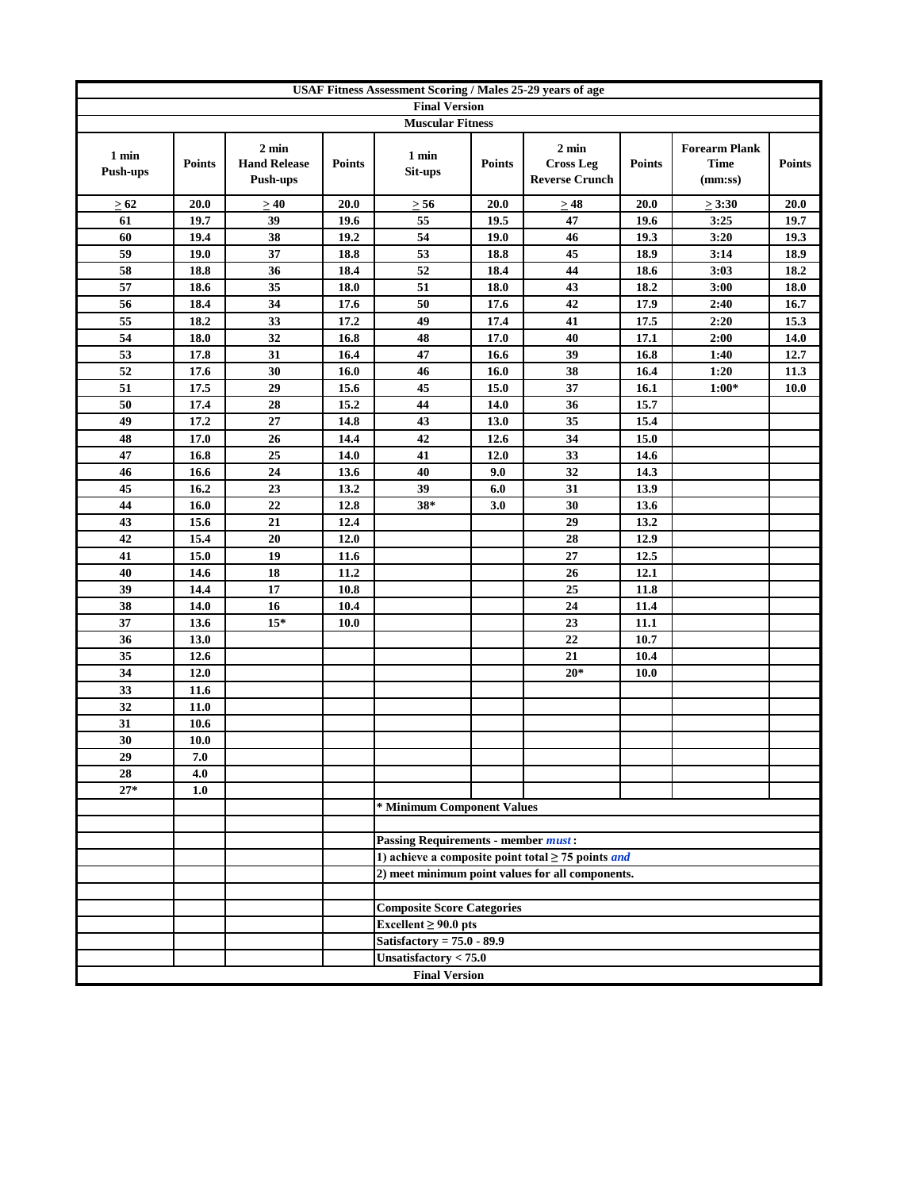|                          |               |                                                    |               | USAF Fitness Assessment Scoring / Males 25-29 years of age |               |                                                                |               |                                                |               |
|--------------------------|---------------|----------------------------------------------------|---------------|------------------------------------------------------------|---------------|----------------------------------------------------------------|---------------|------------------------------------------------|---------------|
|                          |               |                                                    |               | <b>Final Version</b>                                       |               |                                                                |               |                                                |               |
|                          |               |                                                    |               | <b>Muscular Fitness</b>                                    |               |                                                                |               |                                                |               |
| 1 min<br><b>Push-ups</b> | <b>Points</b> | $2 \text{ min}$<br><b>Hand Release</b><br>Push-ups | <b>Points</b> | 1 min<br>Sit-ups                                           | <b>Points</b> | $2 \text{ min}$<br><b>Cross Leg</b><br><b>Reverse Crunch</b>   | <b>Points</b> | <b>Forearm Plank</b><br><b>Time</b><br>(mm:ss) | <b>Points</b> |
| > 62                     | 20.0          | >40                                                | 20.0          | $\geq 56$                                                  | 20.0          | $\geq 48$                                                      | 20.0          | $\geq 3:30$                                    | 20.0          |
| 61                       | 19.7          | 39                                                 | 19.6          | 55                                                         | 19.5          | 47                                                             | 19.6          | 3:25                                           | 19.7          |
| 60                       | 19.4          | 38                                                 | 19.2          | 54                                                         | 19.0          | 46                                                             | 19.3          | 3:20                                           | 19.3          |
| 59                       | 19.0          | 37                                                 | 18.8          | 53                                                         | 18.8          | 45                                                             | 18.9          | 3:14                                           | 18.9          |
| 58                       | 18.8          | 36                                                 | 18.4          | 52                                                         | 18.4          | 44                                                             | 18.6          | 3:03                                           | 18.2          |
| 57                       | 18.6          | 35                                                 | 18.0          | 51                                                         | 18.0          | 43                                                             | 18.2          | 3:00                                           | $18.0\,$      |
| 56                       | 18.4          | 34                                                 | 17.6          | 50                                                         | 17.6          | 42                                                             | 17.9          | 2:40                                           | 16.7          |
| 55                       | 18.2          | 33                                                 | 17.2          | 49                                                         | 17.4          | 41                                                             | 17.5          | 2:20                                           | 15.3          |
| 54                       | 18.0          | 32                                                 | 16.8          | 48                                                         | 17.0          | 40                                                             | 17.1          | 2:00                                           | 14.0          |
| 53                       | 17.8          | 31                                                 | 16.4          | 47                                                         | 16.6          | 39                                                             | 16.8          | 1:40                                           | 12.7          |
| 52                       | 17.6          | 30                                                 | 16.0          | 46                                                         | 16.0          | 38                                                             | 16.4          | 1:20                                           | 11.3          |
| 51                       | 17.5          | 29                                                 | 15.6          | 45                                                         | 15.0          | 37                                                             | 16.1          | $1:00*$                                        | <b>10.0</b>   |
| 50                       | 17.4          | 28                                                 | 15.2          | 44                                                         | 14.0          | 36                                                             | 15.7          |                                                |               |
| 49                       | 17.2          | 27                                                 | 14.8          | 43                                                         | 13.0          | 35                                                             | 15.4          |                                                |               |
| 48                       | 17.0          | 26                                                 | 14.4          | 42                                                         | 12.6          | 34                                                             | 15.0          |                                                |               |
| 47                       | 16.8          | 25                                                 | 14.0          | 41                                                         | 12.0          | 33                                                             | 14.6          |                                                |               |
| 46                       | 16.6          | 24                                                 | 13.6          | 40                                                         | 9.0           | 32                                                             | 14.3          |                                                |               |
| 45                       | 16.2          | 23                                                 | 13.2          | 39                                                         | 6.0           | 31                                                             | 13.9          |                                                |               |
| 44                       | 16.0          | 22                                                 | 12.8          | $38*$                                                      | 3.0           | 30                                                             | 13.6          |                                                |               |
| 43                       | 15.6          | 21                                                 | 12.4          |                                                            |               | 29                                                             | 13.2          |                                                |               |
| 42                       | 15.4          | 20                                                 | 12.0          |                                                            |               | 28<br>$\overline{27}$                                          | 12.9          |                                                |               |
| 41<br>40                 | 15.0          | 19<br>18                                           | 11.6<br>11.2  |                                                            |               | 26                                                             | 12.5<br>12.1  |                                                |               |
|                          | 14.6          | 17                                                 |               |                                                            |               |                                                                |               |                                                |               |
| 39<br>38                 | 14.4<br>14.0  | 16                                                 | 10.8<br>10.4  |                                                            |               | 25<br>24                                                       | 11.8<br>11.4  |                                                |               |
| 37                       | 13.6          | $15*$                                              | 10.0          |                                                            |               | 23                                                             | 11.1          |                                                |               |
| 36                       | 13.0          |                                                    |               |                                                            |               | 22                                                             | 10.7          |                                                |               |
| 35                       | 12.6          |                                                    |               |                                                            |               | 21                                                             | 10.4          |                                                |               |
| 34                       | 12.0          |                                                    |               |                                                            |               | $20*$                                                          | 10.0          |                                                |               |
| 33                       | 11.6          |                                                    |               |                                                            |               |                                                                |               |                                                |               |
| 32                       | 11.0          |                                                    |               |                                                            |               |                                                                |               |                                                |               |
| 31                       | 10.6          |                                                    |               |                                                            |               |                                                                |               |                                                |               |
| 30                       | 10.0          |                                                    |               |                                                            |               |                                                                |               |                                                |               |
| 29                       | 7.0           |                                                    |               |                                                            |               |                                                                |               |                                                |               |
| 28                       | 4.0           |                                                    |               |                                                            |               |                                                                |               |                                                |               |
| $27*$                    | 1.0           |                                                    |               |                                                            |               |                                                                |               |                                                |               |
|                          |               |                                                    |               | * Minimum Component Values                                 |               |                                                                |               |                                                |               |
|                          |               |                                                    |               |                                                            |               |                                                                |               |                                                |               |
|                          |               |                                                    |               | <b>Passing Requirements - member must:</b>                 |               |                                                                |               |                                                |               |
|                          |               |                                                    |               |                                                            |               | 1) achieve a composite point total $\geq$ 75 points <i>and</i> |               |                                                |               |
|                          |               |                                                    |               |                                                            |               | 2) meet minimum point values for all components.               |               |                                                |               |
|                          |               |                                                    |               |                                                            |               |                                                                |               |                                                |               |
|                          |               |                                                    |               | <b>Composite Score Categories</b>                          |               |                                                                |               |                                                |               |
|                          |               |                                                    |               | Excellent $\geq 90.0$ pts                                  |               |                                                                |               |                                                |               |
|                          |               |                                                    |               | Satisfactory = $75.0 - 89.9$                               |               |                                                                |               |                                                |               |
|                          |               |                                                    |               | Unsatisfactory $< 75.0$                                    |               |                                                                |               |                                                |               |
|                          |               |                                                    |               | <b>Final Version</b>                                       |               |                                                                |               |                                                |               |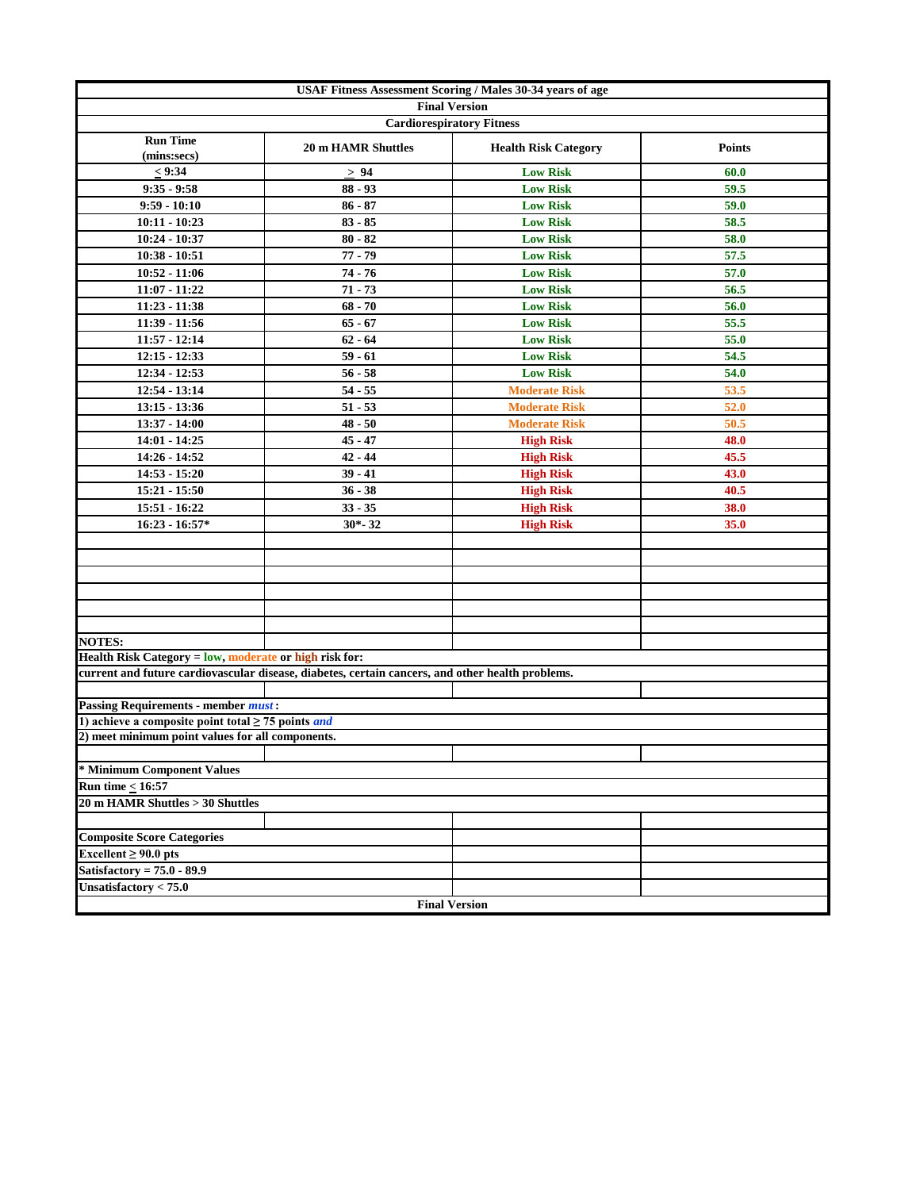|                                                                | USAF Fitness Assessment Scoring / Males 30-34 years of age                                       |                             |               |
|----------------------------------------------------------------|--------------------------------------------------------------------------------------------------|-----------------------------|---------------|
|                                                                | <b>Final Version</b>                                                                             |                             |               |
|                                                                | <b>Cardiorespiratory Fitness</b>                                                                 |                             |               |
| <b>Run Time</b><br>(mins:secs)                                 | <b>20 m HAMR Shuttles</b>                                                                        | <b>Health Risk Category</b> | <b>Points</b> |
| < 9:34                                                         | > 94                                                                                             | <b>Low Risk</b>             | 60.0          |
| $9:35 - 9:58$                                                  | $88 - 93$                                                                                        | <b>Low Risk</b>             | 59.5          |
| $9:59 - 10:10$                                                 | $86 - 87$                                                                                        | <b>Low Risk</b>             | 59.0          |
| $10:11 - 10:23$                                                | $83 - 85$                                                                                        | <b>Low Risk</b>             | 58.5          |
| $10:24 - 10:37$                                                | $80 - 82$                                                                                        | <b>Low Risk</b>             | 58.0          |
| $10:38 - 10:51$                                                | $77 - 79$                                                                                        | <b>Low Risk</b>             | 57.5          |
| $10:52 - 11:06$                                                | $74 - 76$                                                                                        | <b>Low Risk</b>             | 57.0          |
| $11:07 - 11:22$                                                | $71 - 73$                                                                                        | <b>Low Risk</b>             | 56.5          |
| 11:23 - 11:38                                                  | $68 - 70$                                                                                        | <b>Low Risk</b>             | 56.0          |
| $11:39 - 11:56$                                                | $65 - 67$                                                                                        | <b>Low Risk</b>             | 55.5          |
| $11:57 - 12:14$                                                | $62 - 64$                                                                                        | <b>Low Risk</b>             | 55.0          |
| $12:15 - 12:33$                                                | $59 - 61$                                                                                        | <b>Low Risk</b>             | 54.5          |
| 12:34 - 12:53                                                  | $56 - 58$                                                                                        | <b>Low Risk</b>             | 54.0          |
| 12:54 - 13:14                                                  | $54 - 55$                                                                                        | <b>Moderate Risk</b>        | 53.5          |
| $13:15 - 13:36$                                                | $51 - 53$                                                                                        | <b>Moderate Risk</b>        | 52.0          |
| $13:37 - 14:00$                                                | $48 - 50$                                                                                        | <b>Moderate Risk</b>        | 50.5          |
| 14:01 - 14:25                                                  | $45 - 47$                                                                                        | <b>High Risk</b>            | 48.0          |
| 14:26 - 14:52                                                  | $42 - 44$                                                                                        | <b>High Risk</b>            | 45.5          |
| $14:53 - 15:20$                                                | $39 - 41$                                                                                        | <b>High Risk</b>            | 43.0          |
| $15:21 - 15:50$                                                | $36 - 38$                                                                                        | <b>High Risk</b>            | 40.5          |
| 15:51 - 16:22                                                  | $33 - 35$                                                                                        | <b>High Risk</b>            | 38.0          |
| $16:23 - 16:57*$                                               | $30 - 32$                                                                                        | <b>High Risk</b>            | 35.0          |
|                                                                |                                                                                                  |                             |               |
|                                                                |                                                                                                  |                             |               |
|                                                                |                                                                                                  |                             |               |
|                                                                |                                                                                                  |                             |               |
|                                                                |                                                                                                  |                             |               |
|                                                                |                                                                                                  |                             |               |
| <b>NOTES:</b>                                                  |                                                                                                  |                             |               |
| Health Risk Category = low, moderate or high risk for:         |                                                                                                  |                             |               |
|                                                                | current and future cardiovascular disease, diabetes, certain cancers, and other health problems. |                             |               |
|                                                                |                                                                                                  |                             |               |
| <b>Passing Requirements - member must:</b>                     |                                                                                                  |                             |               |
| 1) achieve a composite point total $\geq$ 75 points <i>and</i> |                                                                                                  |                             |               |
| 2) meet minimum point values for all components.               |                                                                                                  |                             |               |
|                                                                |                                                                                                  |                             |               |
| * Minimum Component Values                                     |                                                                                                  |                             |               |
| <b>Run time &lt; 16:57</b>                                     |                                                                                                  |                             |               |
| 20 m HAMR Shuttles > 30 Shuttles                               |                                                                                                  |                             |               |
|                                                                |                                                                                                  |                             |               |
| <b>Composite Score Categories</b>                              |                                                                                                  |                             |               |
| Excellent $\geq 90.0$ pts                                      |                                                                                                  |                             |               |
| Satisfactory = $75.0 - 89.9$                                   |                                                                                                  |                             |               |
| Unsatisfactory $< 75.0$                                        |                                                                                                  |                             |               |
|                                                                | <b>Final Version</b>                                                                             |                             |               |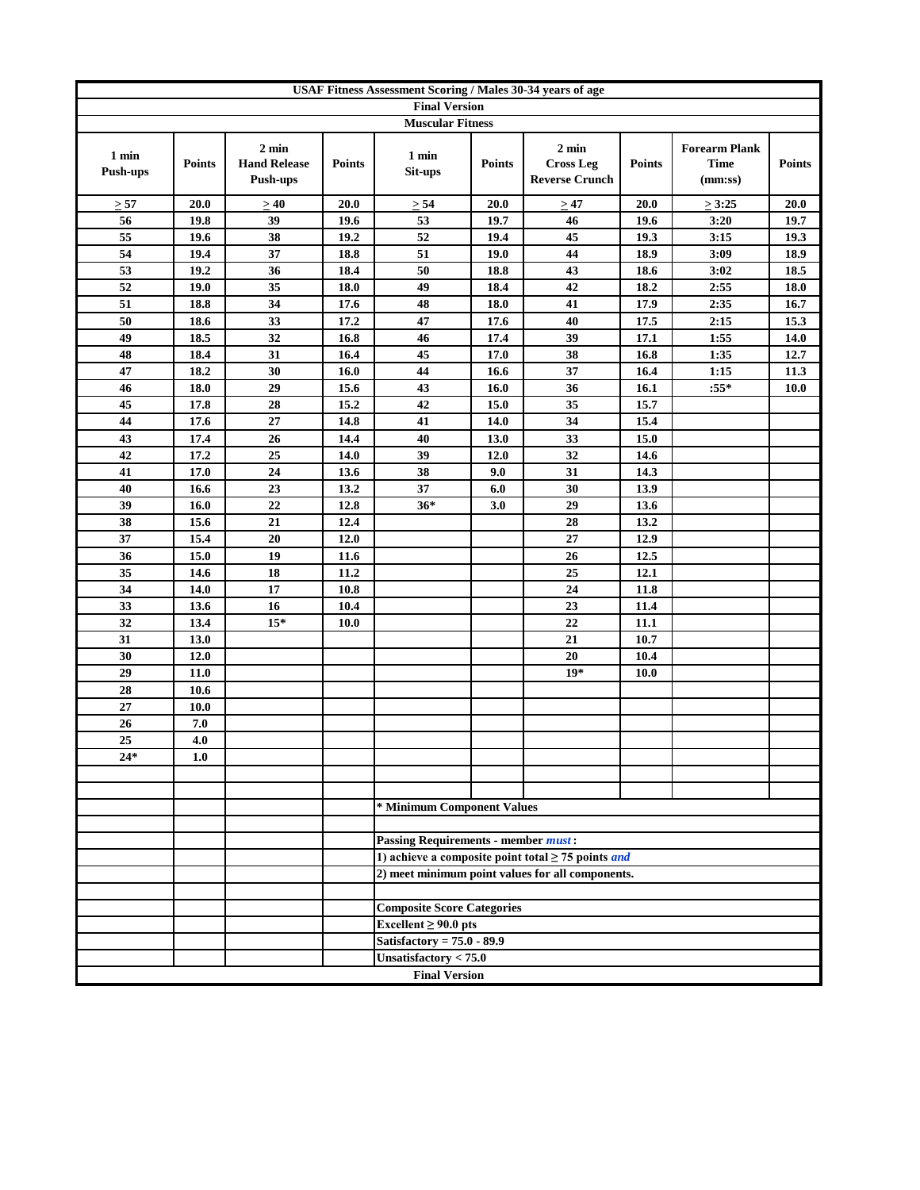|                          |               |                                                    |               | USAF Fitness Assessment Scoring / Males 30-34 years of age |               |                                                                |               |                                                |               |
|--------------------------|---------------|----------------------------------------------------|---------------|------------------------------------------------------------|---------------|----------------------------------------------------------------|---------------|------------------------------------------------|---------------|
|                          |               |                                                    |               | <b>Final Version</b>                                       |               |                                                                |               |                                                |               |
|                          |               |                                                    |               | <b>Muscular Fitness</b>                                    |               |                                                                |               |                                                |               |
| 1 min<br><b>Push-ups</b> | <b>Points</b> | $2 \text{ min}$<br><b>Hand Release</b><br>Push-ups | <b>Points</b> | 1 min<br>Sit-ups                                           | <b>Points</b> | $2 \text{ min}$<br><b>Cross Leg</b><br><b>Reverse Crunch</b>   | <b>Points</b> | <b>Forearm Plank</b><br><b>Time</b><br>(mm:ss) | <b>Points</b> |
| $\geq 57$                | 20.0          | >40                                                | 20.0          | $\geq 54$                                                  | 20.0          | $\geq 47$                                                      | 20.0          | $\geq 3:25$                                    | 20.0          |
| 56                       | 19.8          | 39                                                 | 19.6          | 53                                                         | 19.7          | 46                                                             | 19.6          | 3:20                                           | 19.7          |
| 55                       | 19.6          | 38                                                 | 19.2          | 52                                                         | 19.4          | 45                                                             | 19.3          | 3:15                                           | 19.3          |
| 54                       | 19.4          | 37                                                 | 18.8          | 51                                                         | 19.0          | 44                                                             | 18.9          | 3:09                                           | 18.9          |
| 53                       | 19.2          | 36                                                 | 18.4          | 50                                                         | 18.8          | 43                                                             | 18.6          | 3:02                                           | 18.5          |
| 52                       | 19.0          | 35                                                 | 18.0          | 49                                                         | 18.4          | 42                                                             | 18.2          | 2:55                                           | 18.0          |
| 51                       | 18.8          | 34                                                 | 17.6          | 48                                                         | 18.0          | 41                                                             | 17.9          | 2:35                                           | 16.7          |
| 50                       | 18.6          | 33                                                 | 17.2          | 47                                                         | 17.6          | 40                                                             | 17.5          | 2:15                                           | 15.3          |
| 49                       | 18.5          | 32                                                 | 16.8          | 46                                                         | 17.4          | 39                                                             | 17.1          | 1:55                                           | 14.0          |
| 48                       | 18.4          | 31                                                 | 16.4          | 45                                                         | 17.0          | 38                                                             | 16.8          | 1:35                                           | 12.7          |
| 47                       | 18.2          | 30                                                 | 16.0          | 44                                                         | 16.6          | 37                                                             | 16.4          | 1:15                                           | 11.3          |
| 46                       | 18.0          | 29                                                 | 15.6          | 43                                                         | 16.0          | 36                                                             | 16.1          | $:55*$                                         | <b>10.0</b>   |
| 45                       | 17.8          | 28                                                 | 15.2          | 42                                                         | 15.0          | 35                                                             | 15.7          |                                                |               |
| 44                       | 17.6          | 27                                                 | 14.8          | 41                                                         | 14.0          | 34                                                             | 15.4          |                                                |               |
| 43                       | 17.4          | 26                                                 | 14.4          | 40                                                         | 13.0          | 33                                                             | 15.0          |                                                |               |
| 42                       | 17.2          | 25                                                 | 14.0          | 39                                                         | 12.0          | 32                                                             | 14.6          |                                                |               |
| 41                       | 17.0          | 24                                                 | 13.6          | 38                                                         | 9.0           | 31                                                             | 14.3          |                                                |               |
| 40                       | 16.6          | 23                                                 | 13.2          | 37                                                         | 6.0           | 30                                                             | 13.9          |                                                |               |
| 39                       | 16.0          | 22                                                 | 12.8          | $36*$                                                      | 3.0           | 29                                                             | 13.6          |                                                |               |
| 38                       | 15.6          | 21                                                 | 12.4          |                                                            |               | 28                                                             | 13.2          |                                                |               |
| 37                       | 15.4          | 20                                                 | 12.0          |                                                            |               | 27                                                             | 12.9          |                                                |               |
| 36                       | 15.0          | 19                                                 | 11.6          |                                                            |               | 26                                                             | 12.5          |                                                |               |
| 35                       | 14.6          | 18                                                 | 11.2          |                                                            |               | 25                                                             | 12.1          |                                                |               |
| 34                       | 14.0          | 17<br>16                                           | 10.8<br>10.4  |                                                            |               | 24<br>23                                                       | 11.8          |                                                |               |
| 33<br>32                 | 13.6<br>13.4  | $15*$                                              | 10.0          |                                                            |               | 22                                                             | 11.4<br>11.1  |                                                |               |
| 31                       | 13.0          |                                                    |               |                                                            |               | 21                                                             |               |                                                |               |
| 30                       |               |                                                    |               |                                                            |               | $20\,$                                                         | 10.7          |                                                |               |
| 29                       | 12.0<br>11.0  |                                                    |               |                                                            |               | $19*$                                                          | 10.4<br>10.0  |                                                |               |
| 28                       | 10.6          |                                                    |               |                                                            |               |                                                                |               |                                                |               |
| 27                       | <b>10.0</b>   |                                                    |               |                                                            |               |                                                                |               |                                                |               |
| 26                       | 7.0           |                                                    |               |                                                            |               |                                                                |               |                                                |               |
| 25                       | 4.0           |                                                    |               |                                                            |               |                                                                |               |                                                |               |
| 24*                      | 1.0           |                                                    |               |                                                            |               |                                                                |               |                                                |               |
|                          |               |                                                    |               |                                                            |               |                                                                |               |                                                |               |
|                          |               |                                                    |               |                                                            |               |                                                                |               |                                                |               |
|                          |               |                                                    |               | * Minimum Component Values                                 |               |                                                                |               |                                                |               |
|                          |               |                                                    |               |                                                            |               |                                                                |               |                                                |               |
|                          |               |                                                    |               | <b>Passing Requirements - member must:</b>                 |               |                                                                |               |                                                |               |
|                          |               |                                                    |               |                                                            |               | 1) achieve a composite point total $\geq$ 75 points <i>and</i> |               |                                                |               |
|                          |               |                                                    |               |                                                            |               | 2) meet minimum point values for all components.               |               |                                                |               |
|                          |               |                                                    |               |                                                            |               |                                                                |               |                                                |               |
|                          |               |                                                    |               | <b>Composite Score Categories</b>                          |               |                                                                |               |                                                |               |
|                          |               |                                                    |               | Excellent $\geq 90.0$ pts                                  |               |                                                                |               |                                                |               |
|                          |               |                                                    |               | Satisfactory = $75.0 - 89.9$                               |               |                                                                |               |                                                |               |
|                          |               |                                                    |               | Unsatisfactory $< 75.0$                                    |               |                                                                |               |                                                |               |
|                          |               |                                                    |               | <b>Final Version</b>                                       |               |                                                                |               |                                                |               |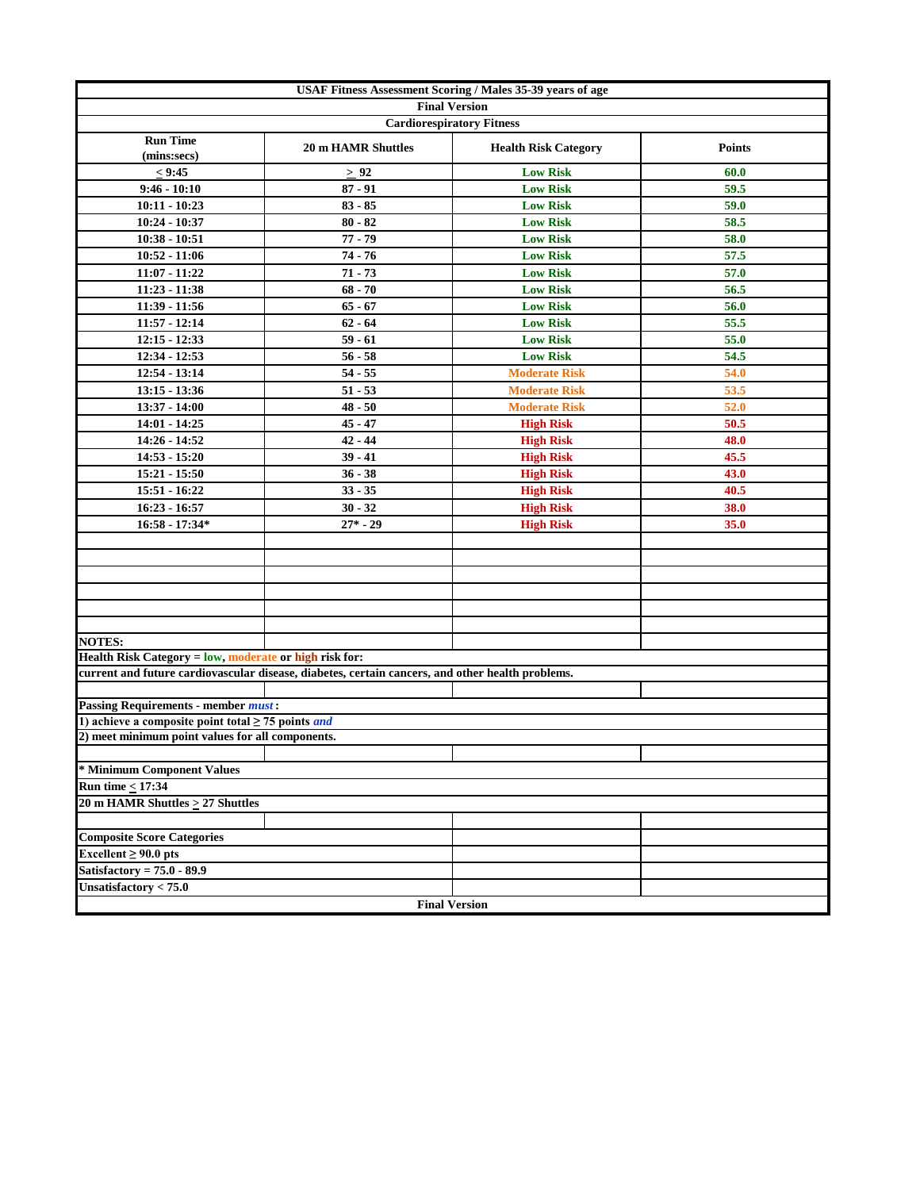| USAF Fitness Assessment Scoring / Males 35-39 years of age     |                                                                                                  |                             |               |  |  |  |  |
|----------------------------------------------------------------|--------------------------------------------------------------------------------------------------|-----------------------------|---------------|--|--|--|--|
|                                                                | <b>Final Version</b>                                                                             |                             |               |  |  |  |  |
|                                                                | <b>Cardiorespiratory Fitness</b>                                                                 |                             |               |  |  |  |  |
| <b>Run Time</b><br>(mins:secs)                                 | <b>20 m HAMR Shuttles</b>                                                                        | <b>Health Risk Category</b> | <b>Points</b> |  |  |  |  |
| < 9:45                                                         | $\geq$ 92                                                                                        | <b>Low Risk</b>             | 60.0          |  |  |  |  |
| $9:46 - 10:10$                                                 | $87 - 91$                                                                                        | <b>Low Risk</b>             | 59.5          |  |  |  |  |
| $10:11 - 10:23$                                                | $83 - 85$                                                                                        | <b>Low Risk</b>             | 59.0          |  |  |  |  |
| 10:24 - 10:37                                                  | $80 - 82$                                                                                        | <b>Low Risk</b>             | 58.5          |  |  |  |  |
| $10:38 - 10:51$                                                | $77 - 79$                                                                                        | <b>Low Risk</b>             | 58.0          |  |  |  |  |
| $10:52 - 11:06$                                                | $74 - 76$                                                                                        | <b>Low Risk</b>             | 57.5          |  |  |  |  |
| $11:07 - 11:22$                                                | $71 - 73$                                                                                        | <b>Low Risk</b>             | 57.0          |  |  |  |  |
| $11:23 - 11:38$                                                | $68 - 70$                                                                                        | <b>Low Risk</b>             | 56.5          |  |  |  |  |
| 11:39 - 11:56                                                  | $65 - 67$                                                                                        | <b>Low Risk</b>             | 56.0          |  |  |  |  |
| $11:57 - 12:14$                                                | $62 - 64$                                                                                        | <b>Low Risk</b>             | 55.5          |  |  |  |  |
| $12:15 - 12:33$                                                | $59 - 61$                                                                                        | <b>Low Risk</b>             | 55.0          |  |  |  |  |
| 12:34 - 12:53                                                  | $56 - 58$                                                                                        | <b>Low Risk</b>             | 54.5          |  |  |  |  |
| 12:54 - 13:14                                                  | $54 - 55$                                                                                        | <b>Moderate Risk</b>        | 54.0          |  |  |  |  |
| $13:15 - 13:36$                                                | $51 - 53$                                                                                        | <b>Moderate Risk</b>        | 53.5          |  |  |  |  |
| 13:37 - 14:00                                                  | $48 - 50$                                                                                        | <b>Moderate Risk</b>        | 52.0          |  |  |  |  |
| $14:01 - 14:25$                                                | $45 - 47$                                                                                        | <b>High Risk</b>            | 50.5          |  |  |  |  |
| 14:26 - 14:52                                                  | $42 - 44$                                                                                        | <b>High Risk</b>            | 48.0          |  |  |  |  |
| $14:53 - 15:20$                                                | $39 - 41$                                                                                        | <b>High Risk</b>            | 45.5          |  |  |  |  |
| $15:21 - 15:50$                                                | $36 - 38$                                                                                        | <b>High Risk</b>            | 43.0          |  |  |  |  |
| 15:51 - 16:22                                                  | $33 - 35$                                                                                        | <b>High Risk</b>            | 40.5          |  |  |  |  |
| $16:23 - 16:57$                                                | $30 - 32$                                                                                        | <b>High Risk</b>            | 38.0          |  |  |  |  |
| $16:58 - 17:34*$                                               | $27^* - 29$                                                                                      | <b>High Risk</b>            | 35.0          |  |  |  |  |
|                                                                |                                                                                                  |                             |               |  |  |  |  |
|                                                                |                                                                                                  |                             |               |  |  |  |  |
|                                                                |                                                                                                  |                             |               |  |  |  |  |
|                                                                |                                                                                                  |                             |               |  |  |  |  |
|                                                                |                                                                                                  |                             |               |  |  |  |  |
|                                                                |                                                                                                  |                             |               |  |  |  |  |
| <b>NOTES:</b>                                                  |                                                                                                  |                             |               |  |  |  |  |
| Health Risk Category = low, moderate or high risk for:         |                                                                                                  |                             |               |  |  |  |  |
|                                                                | current and future cardiovascular disease, diabetes, certain cancers, and other health problems. |                             |               |  |  |  |  |
| <b>Passing Requirements - member must:</b>                     |                                                                                                  |                             |               |  |  |  |  |
| 1) achieve a composite point total $\geq$ 75 points <i>and</i> |                                                                                                  |                             |               |  |  |  |  |
| 2) meet minimum point values for all components.               |                                                                                                  |                             |               |  |  |  |  |
|                                                                |                                                                                                  |                             |               |  |  |  |  |
| * Minimum Component Values                                     |                                                                                                  |                             |               |  |  |  |  |
| <b>Run time &lt; 17:34</b>                                     |                                                                                                  |                             |               |  |  |  |  |
| 20 m HAMR Shuttles $\geq$ 27 Shuttles                          |                                                                                                  |                             |               |  |  |  |  |
|                                                                |                                                                                                  |                             |               |  |  |  |  |
| <b>Composite Score Categories</b>                              |                                                                                                  |                             |               |  |  |  |  |
| Excellent $\geq 90.0$ pts                                      |                                                                                                  |                             |               |  |  |  |  |
| Satisfactory = $75.0 - 89.9$                                   |                                                                                                  |                             |               |  |  |  |  |
| Unsatisfactory $< 75.0$                                        |                                                                                                  |                             |               |  |  |  |  |
|                                                                | <b>Final Version</b>                                                                             |                             |               |  |  |  |  |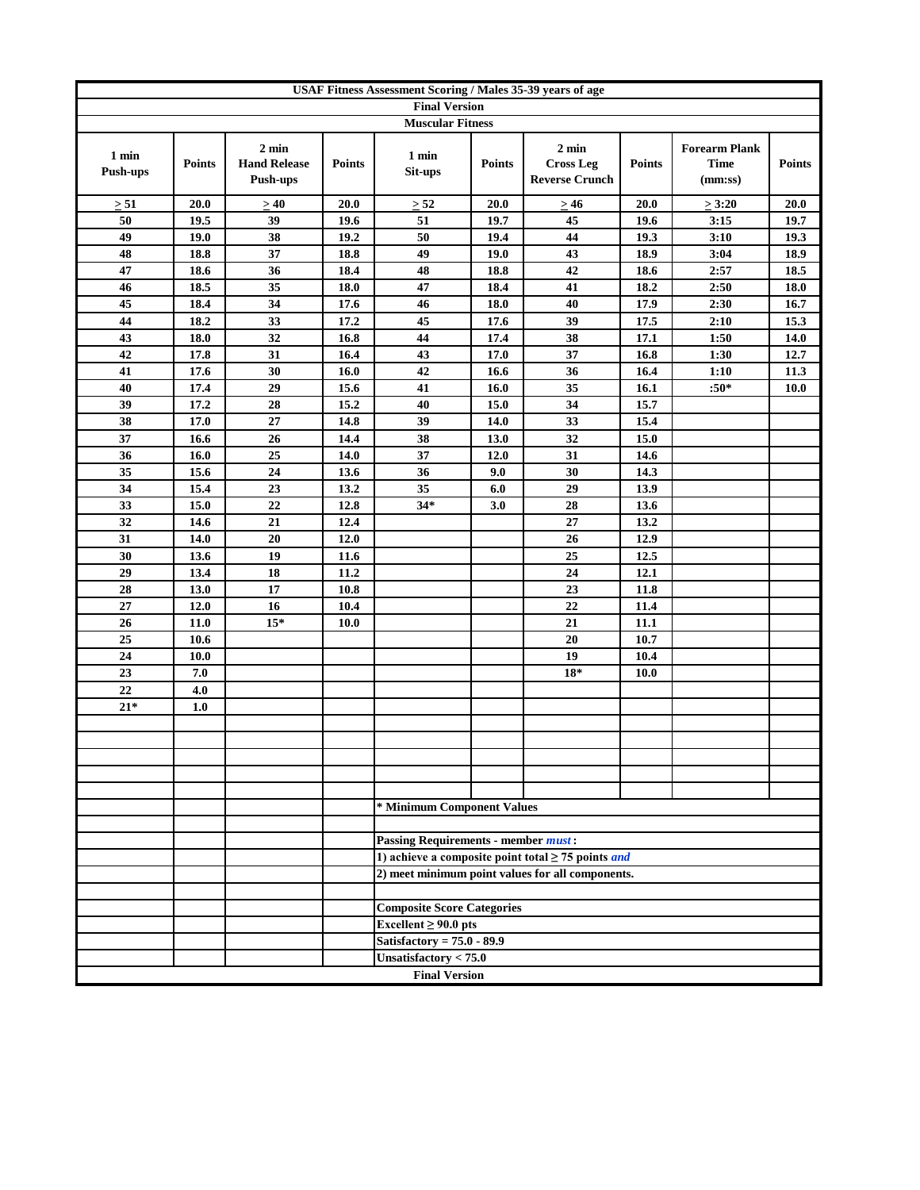|                          | <b>USAF Fitness Assessment Scoring / Males 35-39 years of age</b> |                                                    |               |                                            |               |                                                                |               |                                                |               |
|--------------------------|-------------------------------------------------------------------|----------------------------------------------------|---------------|--------------------------------------------|---------------|----------------------------------------------------------------|---------------|------------------------------------------------|---------------|
|                          |                                                                   |                                                    |               | <b>Final Version</b>                       |               |                                                                |               |                                                |               |
|                          |                                                                   |                                                    |               | <b>Muscular Fitness</b>                    |               |                                                                |               |                                                |               |
| 1 min<br><b>Push-ups</b> | <b>Points</b>                                                     | $2 \text{ min}$<br><b>Hand Release</b><br>Push-ups | <b>Points</b> | 1 min<br>Sit-ups                           | <b>Points</b> | $2 \text{ min}$<br><b>Cross Leg</b><br><b>Reverse Crunch</b>   | <b>Points</b> | <b>Forearm Plank</b><br><b>Time</b><br>(mm:ss) | <b>Points</b> |
| $\geq 51$                | 20.0                                                              | >40                                                | 20.0          | $\geq 52$                                  | 20.0          | $\geq 46$                                                      | 20.0          | $\geq$ 3:20                                    | 20.0          |
| 50                       | 19.5                                                              | 39                                                 | 19.6          | 51                                         | 19.7          | 45                                                             | 19.6          | 3:15                                           | 19.7          |
| 49                       | <b>19.0</b>                                                       | 38                                                 | 19.2          | 50                                         | 19.4          | 44                                                             | 19.3          | 3:10                                           | 19.3          |
| 48                       | 18.8                                                              | 37                                                 | 18.8          | 49                                         | 19.0          | 43                                                             | 18.9          | 3:04                                           | 18.9          |
| 47                       | 18.6                                                              | 36                                                 | 18.4          | 48                                         | 18.8          | 42                                                             | 18.6          | 2:57                                           | 18.5          |
| 46                       | 18.5                                                              | 35                                                 | 18.0          | 47                                         | 18.4          | 41                                                             | 18.2          | 2:50                                           | 18.0          |
| 45                       | 18.4                                                              | 34                                                 | 17.6          | 46                                         | 18.0          | 40                                                             | 17.9          | 2:30                                           | 16.7          |
| 44                       | 18.2                                                              | 33                                                 | 17.2          | 45                                         | 17.6          | 39                                                             | 17.5          | 2:10                                           | 15.3          |
| 43                       | 18.0                                                              | 32                                                 | 16.8          | 44                                         | 17.4          | 38                                                             | 17.1          | 1:50                                           | 14.0          |
| 42                       | 17.8                                                              | 31                                                 | 16.4          | 43                                         | 17.0          | 37                                                             | 16.8          | 1:30                                           | 12.7          |
| 41                       | 17.6                                                              | 30                                                 | 16.0          | 42                                         | 16.6          | 36                                                             | 16.4          | 1:10                                           | 11.3          |
| 40                       | 17.4                                                              | 29                                                 | 15.6          | 41                                         | 16.0          | 35                                                             | 16.1          | $:50*$                                         | <b>10.0</b>   |
| 39                       | 17.2                                                              | 28                                                 | 15.2          | 40                                         | 15.0          | 34                                                             | 15.7          |                                                |               |
| 38                       | 17.0                                                              | 27                                                 | 14.8          | 39                                         | 14.0          | 33                                                             | 15.4          |                                                |               |
| 37                       | 16.6                                                              | 26                                                 | 14.4          | 38                                         | 13.0          | 32                                                             | 15.0          |                                                |               |
| 36                       | 16.0                                                              | 25                                                 | 14.0          | 37                                         | 12.0          | 31                                                             | 14.6          |                                                |               |
| 35                       | 15.6                                                              | 24                                                 | 13.6          | 36                                         | 9.0           | 30                                                             | 14.3          |                                                |               |
| 34                       | 15.4                                                              | 23                                                 | 13.2          | 35                                         | 6.0           | 29                                                             | 13.9          |                                                |               |
| 33                       | 15.0                                                              | 22                                                 | 12.8          | $34*$                                      | 3.0           | 28                                                             | 13.6          |                                                |               |
| 32                       | 14.6                                                              | 21                                                 | 12.4          |                                            |               | 27                                                             | 13.2          |                                                |               |
| 31                       | 14.0                                                              | 20                                                 | 12.0          |                                            |               | 26                                                             | 12.9          |                                                |               |
| 30                       | 13.6                                                              | 19                                                 | 11.6          |                                            |               | 25                                                             | 12.5          |                                                |               |
| 29                       | 13.4                                                              | 18                                                 | 11.2          |                                            |               | 24                                                             | 12.1          |                                                |               |
| 28                       | 13.0                                                              | 17                                                 | 10.8          |                                            |               | 23                                                             | 11.8          |                                                |               |
| 27                       | 12.0                                                              | 16                                                 | 10.4          |                                            |               | 22                                                             | 11.4          |                                                |               |
| 26                       | 11.0                                                              | $15*$                                              | 10.0          |                                            |               | 21                                                             | 11.1          |                                                |               |
| 25                       | 10.6                                                              |                                                    |               |                                            |               | 20                                                             | 10.7          |                                                |               |
| 24                       | <b>10.0</b>                                                       |                                                    |               |                                            |               | 19                                                             | 10.4          |                                                |               |
| 23                       | 7.0                                                               |                                                    |               |                                            |               | $18*$                                                          | 10.0          |                                                |               |
| 22                       | 4.0                                                               |                                                    |               |                                            |               |                                                                |               |                                                |               |
| $21*$                    | 1.0                                                               |                                                    |               |                                            |               |                                                                |               |                                                |               |
|                          |                                                                   |                                                    |               |                                            |               |                                                                |               |                                                |               |
|                          |                                                                   |                                                    |               |                                            |               |                                                                |               |                                                |               |
|                          |                                                                   |                                                    |               |                                            |               |                                                                |               |                                                |               |
|                          |                                                                   |                                                    |               |                                            |               |                                                                |               |                                                |               |
|                          |                                                                   |                                                    |               | * Minimum Component Values                 |               |                                                                |               |                                                |               |
|                          |                                                                   |                                                    |               |                                            |               |                                                                |               |                                                |               |
|                          |                                                                   |                                                    |               | <b>Passing Requirements - member must:</b> |               |                                                                |               |                                                |               |
|                          |                                                                   |                                                    |               |                                            |               | 1) achieve a composite point total $\geq$ 75 points <i>and</i> |               |                                                |               |
|                          |                                                                   |                                                    |               |                                            |               | 2) meet minimum point values for all components.               |               |                                                |               |
|                          |                                                                   |                                                    |               |                                            |               |                                                                |               |                                                |               |
|                          |                                                                   |                                                    |               | <b>Composite Score Categories</b>          |               |                                                                |               |                                                |               |
|                          |                                                                   |                                                    |               | $Excellent \ge 90.0$ pts                   |               |                                                                |               |                                                |               |
|                          |                                                                   |                                                    |               | Satisfactory = $75.0 - 89.9$               |               |                                                                |               |                                                |               |
|                          |                                                                   |                                                    |               | Unsatisfactory < 75.0                      |               |                                                                |               |                                                |               |
|                          |                                                                   |                                                    |               | <b>Final Version</b>                       |               |                                                                |               |                                                |               |
|                          |                                                                   |                                                    |               |                                            |               |                                                                |               |                                                |               |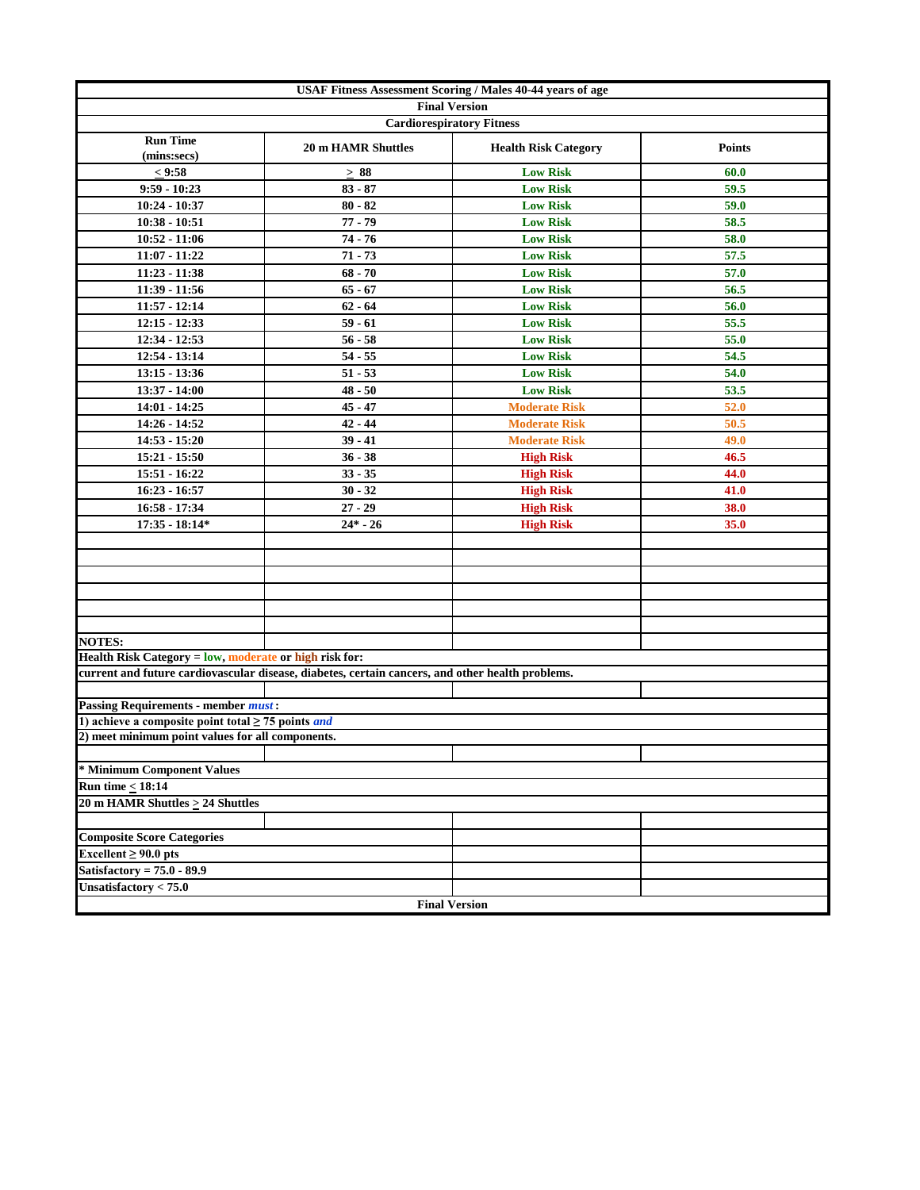|                                                                |                                                                                                  | <b>USAF Fitness Assessment Scoring / Males 40-44 years of age</b> |               |
|----------------------------------------------------------------|--------------------------------------------------------------------------------------------------|-------------------------------------------------------------------|---------------|
|                                                                |                                                                                                  | <b>Final Version</b>                                              |               |
|                                                                |                                                                                                  | <b>Cardiorespiratory Fitness</b>                                  |               |
| <b>Run Time</b><br>(mins:secs)                                 | <b>20 m HAMR Shuttles</b>                                                                        | <b>Health Risk Category</b>                                       | <b>Points</b> |
| < 9:58                                                         | $\geq 88$                                                                                        | <b>Low Risk</b>                                                   | 60.0          |
| $9:59 - 10:23$                                                 | $83 - 87$                                                                                        | <b>Low Risk</b>                                                   | 59.5          |
| $10:24 - 10:37$                                                | $80 - 82$                                                                                        | <b>Low Risk</b>                                                   | 59.0          |
| $10:38 - 10:51$                                                | $77 - 79$                                                                                        | <b>Low Risk</b>                                                   | 58.5          |
| $10:52 - 11:06$                                                | $74 - 76$                                                                                        | <b>Low Risk</b>                                                   | 58.0          |
| 11:07 - 11:22                                                  | $71 - 73$                                                                                        | <b>Low Risk</b>                                                   | 57.5          |
| $11:23 - 11:38$                                                | $68 - 70$                                                                                        | <b>Low Risk</b>                                                   | 57.0          |
| $11:39 - 11:56$                                                | $65 - 67$                                                                                        | <b>Low Risk</b>                                                   | 56.5          |
| $11:57 - 12:14$                                                | $62 - 64$                                                                                        | <b>Low Risk</b>                                                   | 56.0          |
| $12:15 - 12:33$                                                | $59 - 61$                                                                                        | <b>Low Risk</b>                                                   | 55.5          |
| 12:34 - 12:53                                                  | $56 - 58$                                                                                        | <b>Low Risk</b>                                                   | 55.0          |
| 12:54 - 13:14                                                  | $54 - 55$                                                                                        | <b>Low Risk</b>                                                   | 54.5          |
| $13:15 - 13:36$                                                | $51 - 53$                                                                                        | <b>Low Risk</b>                                                   | 54.0          |
| 13:37 - 14:00                                                  | $48 - 50$                                                                                        | <b>Low Risk</b>                                                   | 53.5          |
| $14:01 - 14:25$                                                | $45 - 47$                                                                                        | <b>Moderate Risk</b>                                              | 52.0          |
| 14:26 - 14:52                                                  | $42 - 44$                                                                                        | <b>Moderate Risk</b>                                              | 50.5          |
| 14:53 - 15:20                                                  | $39 - 41$                                                                                        | <b>Moderate Risk</b>                                              | 49.0          |
| 15:21 - 15:50                                                  | $36 - 38$                                                                                        | <b>High Risk</b>                                                  | 46.5          |
| $15:51 - 16:22$                                                | $33 - 35$                                                                                        | <b>High Risk</b>                                                  | 44.0          |
| $16:23 - 16:57$                                                | $30 - 32$                                                                                        | <b>High Risk</b>                                                  | 41.0          |
| 16:58 - 17:34                                                  | $27 - 29$                                                                                        | <b>High Risk</b>                                                  | 38.0          |
| $17:35 - 18:14*$                                               | $24* - 26$                                                                                       | <b>High Risk</b>                                                  | 35.0          |
|                                                                |                                                                                                  |                                                                   |               |
|                                                                |                                                                                                  |                                                                   |               |
|                                                                |                                                                                                  |                                                                   |               |
|                                                                |                                                                                                  |                                                                   |               |
|                                                                |                                                                                                  |                                                                   |               |
|                                                                |                                                                                                  |                                                                   |               |
| <b>NOTES:</b>                                                  |                                                                                                  |                                                                   |               |
| Health Risk Category = low, moderate or high risk for:         |                                                                                                  |                                                                   |               |
|                                                                | current and future cardiovascular disease, diabetes, certain cancers, and other health problems. |                                                                   |               |
|                                                                |                                                                                                  |                                                                   |               |
| <b>Passing Requirements - member must:</b>                     |                                                                                                  |                                                                   |               |
| 1) achieve a composite point total $\geq$ 75 points <i>and</i> |                                                                                                  |                                                                   |               |
| 2) meet minimum point values for all components.               |                                                                                                  |                                                                   |               |
|                                                                |                                                                                                  |                                                                   |               |
| * Minimum Component Values                                     |                                                                                                  |                                                                   |               |
| <b>Run time &lt; 18:14</b>                                     |                                                                                                  |                                                                   |               |
| 20 m HAMR Shuttles $\geq$ 24 Shuttles                          |                                                                                                  |                                                                   |               |
|                                                                |                                                                                                  |                                                                   |               |
| <b>Composite Score Categories</b>                              |                                                                                                  |                                                                   |               |
| Excellent $\geq 90.0$ pts                                      |                                                                                                  |                                                                   |               |
| Satisfactory = $75.0 - 89.9$                                   |                                                                                                  |                                                                   |               |
| Unsatisfactory $< 75.0$                                        |                                                                                                  |                                                                   |               |
|                                                                |                                                                                                  | <b>Final Version</b>                                              |               |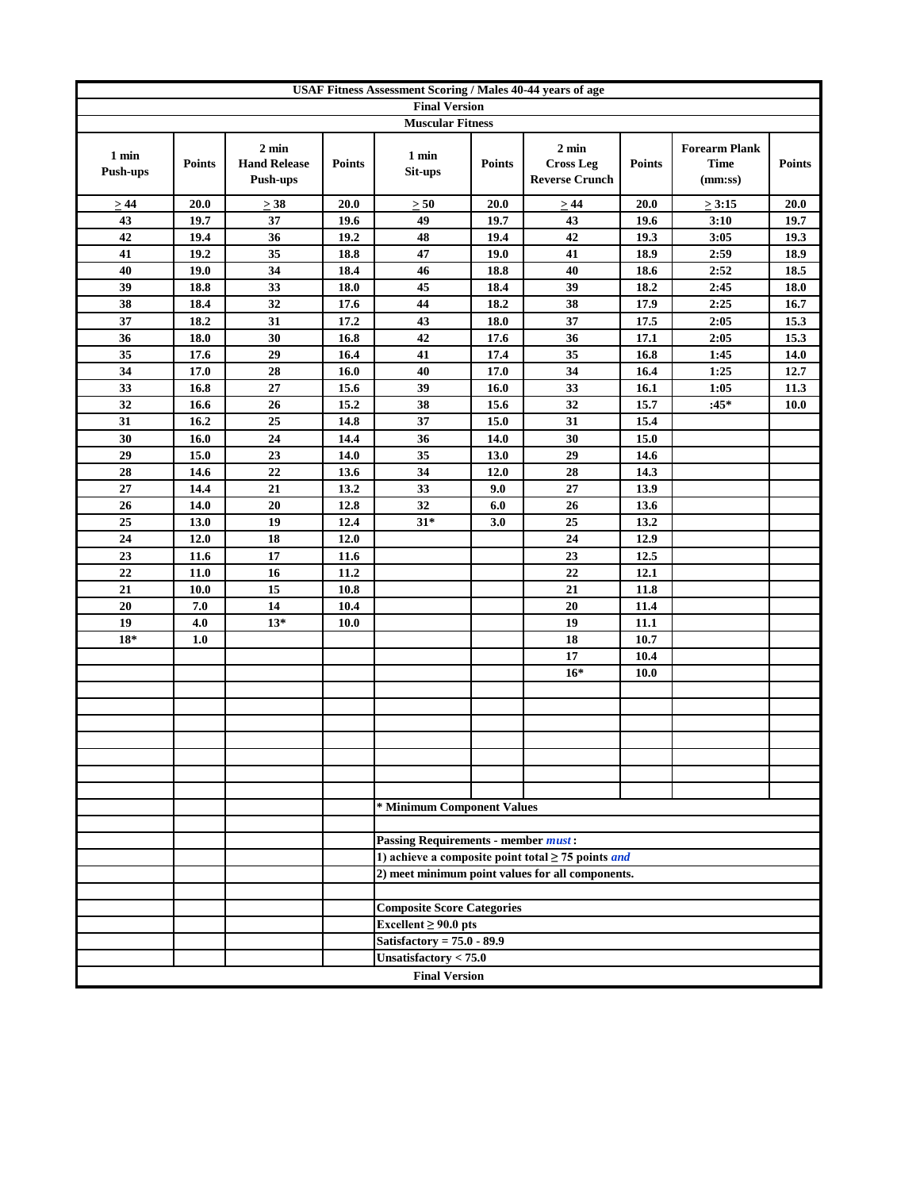| <b>Final Version</b><br><b>Muscular Fitness</b><br>$2$ min<br>$2 \text{ min}$<br><b>Forearm Plank</b><br>1 min<br>1 min<br><b>Cross Leg</b><br><b>Hand Release</b><br><b>Points</b><br><b>Points</b><br><b>Time</b><br><b>Points</b><br><b>Points</b><br><b>Push-ups</b><br>Sit-ups<br><b>Reverse Crunch</b><br>Push-ups<br>(mm:ss)<br>$\geq 44$<br>20.0<br>$\geq$ 38<br>20.0<br>$\geq 50$<br>20.0<br>$\geq 44$<br>20.0<br>$\geq 3:15$ | <b>Points</b><br>20.0<br>19.7<br>19.3 |
|----------------------------------------------------------------------------------------------------------------------------------------------------------------------------------------------------------------------------------------------------------------------------------------------------------------------------------------------------------------------------------------------------------------------------------------|---------------------------------------|
|                                                                                                                                                                                                                                                                                                                                                                                                                                        |                                       |
|                                                                                                                                                                                                                                                                                                                                                                                                                                        |                                       |
|                                                                                                                                                                                                                                                                                                                                                                                                                                        |                                       |
|                                                                                                                                                                                                                                                                                                                                                                                                                                        |                                       |
| 37<br>49<br>43<br>43<br>19.7<br>19.6<br>19.7<br>19.6<br>3:10                                                                                                                                                                                                                                                                                                                                                                           |                                       |
| 42<br>42<br>36<br>19.2<br>48<br>3:05<br>19.4<br>19.4<br>19.3                                                                                                                                                                                                                                                                                                                                                                           |                                       |
| 19.2<br>35<br>18.8<br>47<br>19.0<br>41<br>18.9<br>2:59<br>41                                                                                                                                                                                                                                                                                                                                                                           | 18.9                                  |
| 19.0<br>34<br>18.4<br>18.8<br>40<br>18.6<br>2:52<br>40<br>46                                                                                                                                                                                                                                                                                                                                                                           | 18.5                                  |
| 33<br>39<br>39<br>18.8<br>18.0<br>45<br>18.4<br>18.2<br>2:45                                                                                                                                                                                                                                                                                                                                                                           | 18.0                                  |
| 32<br>38<br>17.6<br>44<br>18.2<br>38<br>17.9<br>2:25<br>18.4                                                                                                                                                                                                                                                                                                                                                                           | 16.7                                  |
| $\overline{31}$<br>$\overline{43}$<br>$\overline{37}$<br>37<br>18.0<br>17.5<br>18.2<br>17.2<br>2:05                                                                                                                                                                                                                                                                                                                                    | 15.3                                  |
| 42<br>36<br>36<br>30<br>16.8<br>17.6<br>17.1<br>2:05<br>18.0                                                                                                                                                                                                                                                                                                                                                                           | 15.3                                  |
| 35<br>29<br>41<br>35<br>17.6<br>16.4<br>17.4<br>16.8<br>1:45                                                                                                                                                                                                                                                                                                                                                                           | 14.0                                  |
| 17.0<br>28<br>40<br>17.0<br>34<br>34<br>16.0<br>16.4<br>1:25                                                                                                                                                                                                                                                                                                                                                                           | 12.7                                  |
| 27<br>15.6<br>39<br>16.0<br>33<br>1:05<br>33<br>16.8<br>16.1                                                                                                                                                                                                                                                                                                                                                                           | 11.3                                  |
| 32<br>26<br>15.2<br>32<br>$:45*$<br>16.6<br>38<br>15.6<br>15.7                                                                                                                                                                                                                                                                                                                                                                         | <b>10.0</b>                           |
| 31<br>25<br>14.8<br>37<br>15.0<br>31<br>16.2<br>15.4                                                                                                                                                                                                                                                                                                                                                                                   |                                       |
| 30<br>24<br>14.4<br>36<br>14.0<br>30<br>15.0<br>16.0                                                                                                                                                                                                                                                                                                                                                                                   |                                       |
| 23<br>35<br>29<br>29<br>15.0<br>14.0<br>13.0<br>14.6                                                                                                                                                                                                                                                                                                                                                                                   |                                       |
| 22<br>28<br>28<br>34<br>14.3<br>14.6<br>13.6<br>12.0                                                                                                                                                                                                                                                                                                                                                                                   |                                       |
| 14.4<br>21<br>13.2<br>9.0<br>27<br>13.9<br>27<br>33                                                                                                                                                                                                                                                                                                                                                                                    |                                       |
| 14.0<br>20<br>12.8<br>32<br>6.0<br>26<br>13.6<br>26                                                                                                                                                                                                                                                                                                                                                                                    |                                       |
| 19<br>12.4<br>$31*$<br>25<br>25<br>13.0<br>3.0<br>13.2                                                                                                                                                                                                                                                                                                                                                                                 |                                       |
| 24<br>18<br>12.0<br>24<br>12.0<br>12.9                                                                                                                                                                                                                                                                                                                                                                                                 |                                       |
| 17<br>23<br>11.6<br>23<br>12.5<br>11.6                                                                                                                                                                                                                                                                                                                                                                                                 |                                       |
| 22<br>22<br>$11.0$<br>16<br>11.2<br>12.1                                                                                                                                                                                                                                                                                                                                                                                               |                                       |
| 15<br>21<br>10.8<br>21<br>10.0<br>11.8                                                                                                                                                                                                                                                                                                                                                                                                 |                                       |
| 20<br>7.0<br>14<br>10.4<br>20<br>11.4                                                                                                                                                                                                                                                                                                                                                                                                  |                                       |
| 4.0<br>19<br>19<br>$13*$<br>11.1<br>10.0                                                                                                                                                                                                                                                                                                                                                                                               |                                       |
| $18*$<br>1.0<br>18<br>10.7                                                                                                                                                                                                                                                                                                                                                                                                             |                                       |
| 17<br>10.4                                                                                                                                                                                                                                                                                                                                                                                                                             |                                       |
| $16*$<br>10.0                                                                                                                                                                                                                                                                                                                                                                                                                          |                                       |
|                                                                                                                                                                                                                                                                                                                                                                                                                                        |                                       |
|                                                                                                                                                                                                                                                                                                                                                                                                                                        |                                       |
|                                                                                                                                                                                                                                                                                                                                                                                                                                        |                                       |
|                                                                                                                                                                                                                                                                                                                                                                                                                                        |                                       |
|                                                                                                                                                                                                                                                                                                                                                                                                                                        |                                       |
|                                                                                                                                                                                                                                                                                                                                                                                                                                        |                                       |
| * Minimum Component Values                                                                                                                                                                                                                                                                                                                                                                                                             |                                       |
|                                                                                                                                                                                                                                                                                                                                                                                                                                        |                                       |
| <b>Passing Requirements - member must:</b>                                                                                                                                                                                                                                                                                                                                                                                             |                                       |
| 1) achieve a composite point total $\geq$ 75 points <i>and</i>                                                                                                                                                                                                                                                                                                                                                                         |                                       |
| 2) meet minimum point values for all components.                                                                                                                                                                                                                                                                                                                                                                                       |                                       |
|                                                                                                                                                                                                                                                                                                                                                                                                                                        |                                       |
| <b>Composite Score Categories</b>                                                                                                                                                                                                                                                                                                                                                                                                      |                                       |
| Excellent $\geq 90.0$ pts                                                                                                                                                                                                                                                                                                                                                                                                              |                                       |
| Satisfactory = $75.0 - 89.9$                                                                                                                                                                                                                                                                                                                                                                                                           |                                       |
| Unsatisfactory $< 75.0$                                                                                                                                                                                                                                                                                                                                                                                                                |                                       |
| <b>Final Version</b>                                                                                                                                                                                                                                                                                                                                                                                                                   |                                       |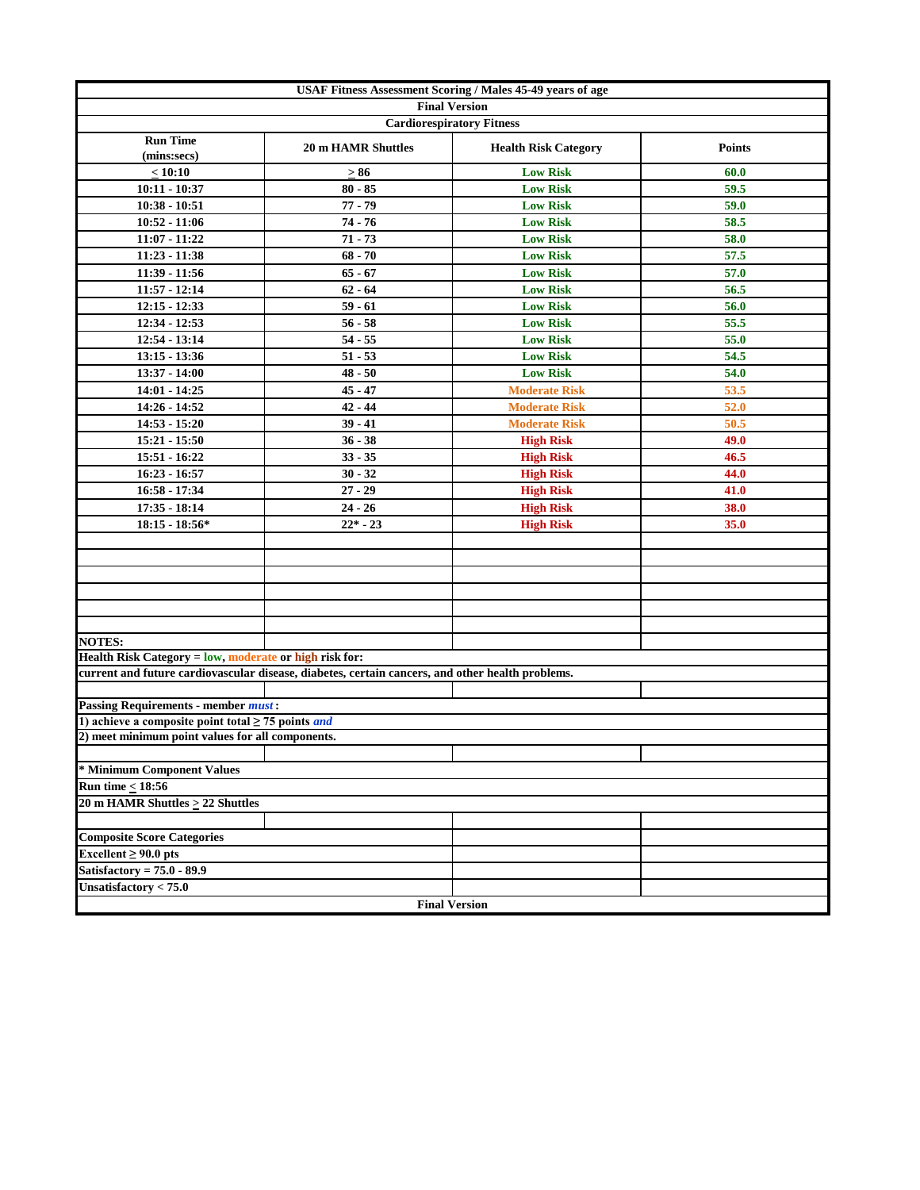| USAF Fitness Assessment Scoring / Males 45-49 years of age     |                                                                                                  |                             |               |  |  |  |  |
|----------------------------------------------------------------|--------------------------------------------------------------------------------------------------|-----------------------------|---------------|--|--|--|--|
|                                                                | <b>Final Version</b>                                                                             |                             |               |  |  |  |  |
|                                                                | <b>Cardiorespiratory Fitness</b>                                                                 |                             |               |  |  |  |  |
| <b>Run Time</b><br>(mins:secs)                                 | <b>20 m HAMR Shuttles</b>                                                                        | <b>Health Risk Category</b> | <b>Points</b> |  |  |  |  |
| < 10:10                                                        | $\geq 86$                                                                                        | <b>Low Risk</b>             | 60.0          |  |  |  |  |
| $10:11 - 10:37$                                                | $80 - 85$                                                                                        | <b>Low Risk</b>             | 59.5          |  |  |  |  |
| $10:38 - 10:51$                                                | $77 - 79$                                                                                        | <b>Low Risk</b>             | 59.0          |  |  |  |  |
| $10:52 - 11:06$                                                | $74 - 76$                                                                                        | <b>Low Risk</b>             | 58.5          |  |  |  |  |
| 11:07 - 11:22                                                  | $71 - 73$                                                                                        | <b>Low Risk</b>             | 58.0          |  |  |  |  |
| $11:23 - 11:38$                                                | $68 - 70$                                                                                        | <b>Low Risk</b>             | 57.5          |  |  |  |  |
| 11:39 - 11:56                                                  | $65 - 67$                                                                                        | <b>Low Risk</b>             | 57.0          |  |  |  |  |
| $11:57 - 12:14$                                                | $62 - 64$                                                                                        | <b>Low Risk</b>             | 56.5          |  |  |  |  |
| $12:15 - 12:33$                                                | $59 - 61$                                                                                        | <b>Low Risk</b>             | 56.0          |  |  |  |  |
| 12:34 - 12:53                                                  | $56 - 58$                                                                                        | <b>Low Risk</b>             | 55.5          |  |  |  |  |
| 12:54 - 13:14                                                  | $54 - 55$                                                                                        | <b>Low Risk</b>             | 55.0          |  |  |  |  |
| $13:15 - 13:36$                                                | $51 - 53$                                                                                        | <b>Low Risk</b>             | 54.5          |  |  |  |  |
| 13:37 - 14:00                                                  | $48 - 50$                                                                                        | <b>Low Risk</b>             | 54.0          |  |  |  |  |
| 14:01 - 14:25                                                  | $45 - 47$                                                                                        | <b>Moderate Risk</b>        | 53.5          |  |  |  |  |
| 14:26 - 14:52                                                  | $42 - 44$                                                                                        | <b>Moderate Risk</b>        | 52.0          |  |  |  |  |
| $14:53 - 15:20$                                                | $39 - 41$                                                                                        | <b>Moderate Risk</b>        | 50.5          |  |  |  |  |
| 15:21 - 15:50                                                  | $36 - 38$                                                                                        | <b>High Risk</b>            | 49.0          |  |  |  |  |
| 15:51 - 16:22                                                  | $33 - 35$                                                                                        | <b>High Risk</b>            | 46.5          |  |  |  |  |
| $16:23 - 16:57$                                                | $30 - 32$                                                                                        | <b>High Risk</b>            | 44.0          |  |  |  |  |
| $16:58 - 17:34$                                                | $27 - 29$                                                                                        | <b>High Risk</b>            | 41.0          |  |  |  |  |
| $17:35 - 18:14$                                                | $24 - 26$                                                                                        | <b>High Risk</b>            | 38.0          |  |  |  |  |
| $18:15 - 18:56*$                                               | $22* - 23$                                                                                       | <b>High Risk</b>            | 35.0          |  |  |  |  |
|                                                                |                                                                                                  |                             |               |  |  |  |  |
|                                                                |                                                                                                  |                             |               |  |  |  |  |
|                                                                |                                                                                                  |                             |               |  |  |  |  |
|                                                                |                                                                                                  |                             |               |  |  |  |  |
|                                                                |                                                                                                  |                             |               |  |  |  |  |
|                                                                |                                                                                                  |                             |               |  |  |  |  |
| <b>NOTES:</b>                                                  |                                                                                                  |                             |               |  |  |  |  |
| Health Risk Category = low, moderate or high risk for:         |                                                                                                  |                             |               |  |  |  |  |
|                                                                | current and future cardiovascular disease, diabetes, certain cancers, and other health problems. |                             |               |  |  |  |  |
|                                                                |                                                                                                  |                             |               |  |  |  |  |
| <b>Passing Requirements - member must:</b>                     |                                                                                                  |                             |               |  |  |  |  |
| 1) achieve a composite point total $\geq$ 75 points <i>and</i> |                                                                                                  |                             |               |  |  |  |  |
| 2) meet minimum point values for all components.               |                                                                                                  |                             |               |  |  |  |  |
|                                                                |                                                                                                  |                             |               |  |  |  |  |
| * Minimum Component Values                                     |                                                                                                  |                             |               |  |  |  |  |
| <b>Run time &lt; 18:56</b>                                     |                                                                                                  |                             |               |  |  |  |  |
| 20 m HAMR Shuttles $\geq$ 22 Shuttles                          |                                                                                                  |                             |               |  |  |  |  |
|                                                                |                                                                                                  |                             |               |  |  |  |  |
| <b>Composite Score Categories</b>                              |                                                                                                  |                             |               |  |  |  |  |
| Excellent $\geq 90.0$ pts                                      |                                                                                                  |                             |               |  |  |  |  |
| Satisfactory = $75.0 - 89.9$                                   |                                                                                                  |                             |               |  |  |  |  |
| Unsatisfactory $< 75.0$                                        |                                                                                                  |                             |               |  |  |  |  |
|                                                                | <b>Final Version</b>                                                                             |                             |               |  |  |  |  |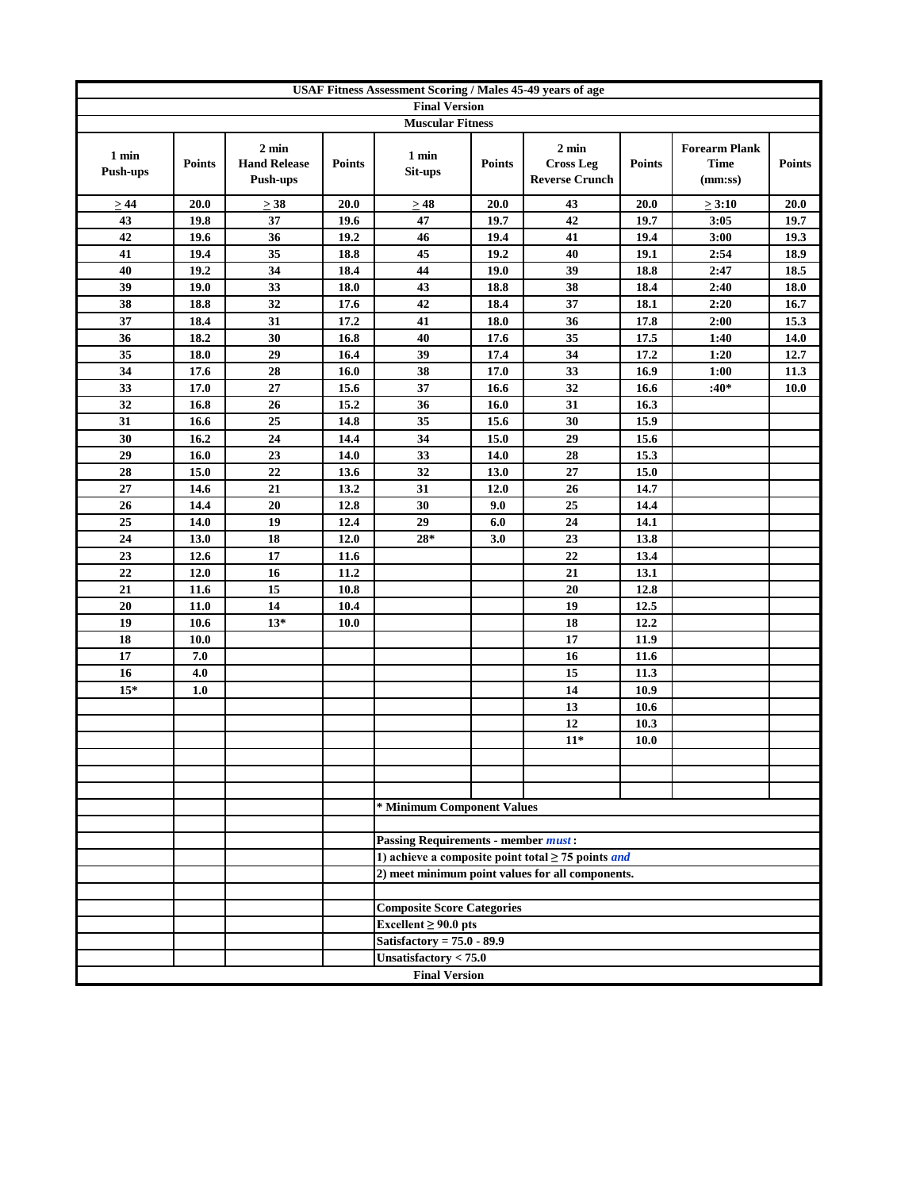|                          | <b>USAF Fitness Assessment Scoring / Males 45-49 years of age</b> |                                                    |               |                                                                |               |                                                                                                                    |               |                                                |               |
|--------------------------|-------------------------------------------------------------------|----------------------------------------------------|---------------|----------------------------------------------------------------|---------------|--------------------------------------------------------------------------------------------------------------------|---------------|------------------------------------------------|---------------|
|                          |                                                                   |                                                    |               | <b>Final Version</b>                                           |               |                                                                                                                    |               |                                                |               |
|                          |                                                                   |                                                    |               | <b>Muscular Fitness</b>                                        |               |                                                                                                                    |               |                                                |               |
| 1 min<br><b>Push-ups</b> | <b>Points</b>                                                     | $2 \text{ min}$<br><b>Hand Release</b><br>Push-ups | <b>Points</b> | 1 min<br>Sit-ups                                               | <b>Points</b> | $2 \text{ min}$<br><b>Cross Leg</b><br><b>Reverse Crunch</b>                                                       | <b>Points</b> | <b>Forearm Plank</b><br><b>Time</b><br>(mm:ss) | <b>Points</b> |
| $\geq 44$                | 20.0                                                              | $>$ 38                                             | 20.0          | $\geq 48$                                                      | 20.0          | 43                                                                                                                 | 20.0          | $\geq 3:10$                                    | 20.0          |
| 43                       | 19.8                                                              | 37                                                 | 19.6          | 47                                                             | 19.7          | 42                                                                                                                 | 19.7          | 3:05                                           | 19.7          |
| 42                       | 19.6                                                              | 36                                                 | 19.2          | 46                                                             | 19.4          | 41                                                                                                                 | 19.4          | 3:00                                           | 19.3          |
| 41                       | 19.4                                                              | 35                                                 | 18.8          | 45                                                             | 19.2          | 40                                                                                                                 | 19.1          | 2:54                                           | 18.9          |
| 40                       | 19.2                                                              | 34                                                 | 18.4          | 44                                                             | 19.0          | 39                                                                                                                 | 18.8          | 2:47                                           | 18.5          |
| 39                       | 19.0                                                              | 33                                                 | 18.0          | 43                                                             | 18.8          | 38                                                                                                                 | 18.4          | 2:40                                           | 18.0          |
| 38                       | 18.8                                                              | 32                                                 | 17.6          | 42                                                             | 18.4          | 37                                                                                                                 | 18.1          | 2:20                                           | 16.7          |
| 37                       | 18.4                                                              | 31                                                 | 17.2          | 41                                                             | 18.0          | 36                                                                                                                 | 17.8          | 2:00                                           | 15.3          |
| 36                       | 18.2                                                              | 30                                                 | 16.8          | 40                                                             | 17.6          | 35                                                                                                                 | 17.5          | 1:40                                           | 14.0          |
| 35                       | 18.0                                                              | 29                                                 | 16.4          | 39                                                             | 17.4          | 34                                                                                                                 | 17.2          | 1:20                                           | 12.7          |
| 34                       | 17.6                                                              | 28                                                 | 16.0          | 38                                                             | 17.0          | 33                                                                                                                 | 16.9          | 1:00                                           | 11.3          |
| 33                       | 17.0                                                              | 27                                                 | 15.6          | 37                                                             | 16.6          | 32                                                                                                                 | 16.6          | $:40*$                                         | 10.0          |
| 32                       | 16.8                                                              | 26                                                 | 15.2          | 36                                                             | 16.0          | 31                                                                                                                 | 16.3          |                                                |               |
| 31                       | 16.6                                                              | 25                                                 | 14.8          | 35                                                             | 15.6          | 30                                                                                                                 | 15.9          |                                                |               |
| 30                       | 16.2                                                              | 24                                                 | 14.4          | 34                                                             | 15.0          | 29                                                                                                                 | 15.6          |                                                |               |
| 29                       | 16.0                                                              | 23                                                 | 14.0          | 33                                                             | 14.0          | 28                                                                                                                 | 15.3          |                                                |               |
| 28                       | 15.0                                                              | 22                                                 | 13.6          | 32                                                             | 13.0          | 27                                                                                                                 | 15.0          |                                                |               |
| 27                       | 14.6                                                              | 21                                                 | 13.2          | 31                                                             | 12.0          | 26                                                                                                                 | 14.7          |                                                |               |
| 26                       | 14.4                                                              | 20                                                 | 12.8          | 30                                                             | 9.0           | 25                                                                                                                 | 14.4          |                                                |               |
| 25                       | 14.0                                                              | 19                                                 | 12.4          | 29                                                             | 6.0           | 24                                                                                                                 | 14.1          |                                                |               |
| 24                       | 13.0                                                              | 18                                                 | 12.0          | $28*$                                                          | 3.0           | 23                                                                                                                 | 13.8          |                                                |               |
| 23                       | 12.6                                                              | 17                                                 | 11.6          |                                                                |               | 22                                                                                                                 | 13.4          |                                                |               |
| 22                       | 12.0                                                              | 16                                                 | 11.2          |                                                                |               | 21                                                                                                                 | 13.1          |                                                |               |
| 21                       | 11.6                                                              | 15                                                 | 10.8          |                                                                |               | 20                                                                                                                 | 12.8          |                                                |               |
| 20                       | 11.0                                                              | 14                                                 | 10.4          |                                                                |               | 19                                                                                                                 | 12.5          |                                                |               |
| 19                       | 10.6                                                              | $13*$                                              | 10.0          |                                                                |               | 18                                                                                                                 | 12.2          |                                                |               |
| 18                       | 10.0                                                              |                                                    |               |                                                                |               | 17                                                                                                                 | 11.9          |                                                |               |
| 17                       | 7.0                                                               |                                                    |               |                                                                |               | 16                                                                                                                 | 11.6          |                                                |               |
| 16                       | 4.0                                                               |                                                    |               |                                                                |               | 15                                                                                                                 | 11.3          |                                                |               |
| $15*$                    | 1.0                                                               |                                                    |               |                                                                |               | 14                                                                                                                 | 10.9          |                                                |               |
|                          |                                                                   |                                                    |               |                                                                |               | 13                                                                                                                 | 10.6          |                                                |               |
|                          |                                                                   |                                                    |               |                                                                |               | 12                                                                                                                 | 10.3          |                                                |               |
|                          |                                                                   |                                                    |               |                                                                |               | $11*$                                                                                                              | 10.0          |                                                |               |
|                          |                                                                   |                                                    |               |                                                                |               |                                                                                                                    |               |                                                |               |
|                          |                                                                   |                                                    |               |                                                                |               |                                                                                                                    |               |                                                |               |
|                          |                                                                   |                                                    |               |                                                                |               |                                                                                                                    |               |                                                |               |
|                          |                                                                   |                                                    |               | * Minimum Component Values                                     |               |                                                                                                                    |               |                                                |               |
|                          |                                                                   |                                                    |               |                                                                |               |                                                                                                                    |               |                                                |               |
|                          |                                                                   |                                                    |               | <b>Passing Requirements - member must:</b>                     |               |                                                                                                                    |               |                                                |               |
|                          |                                                                   |                                                    |               |                                                                |               | 1) achieve a composite point total $\geq$ 75 points <i>and</i><br>2) meet minimum point values for all components. |               |                                                |               |
|                          |                                                                   |                                                    |               |                                                                |               |                                                                                                                    |               |                                                |               |
|                          |                                                                   |                                                    |               |                                                                |               |                                                                                                                    |               |                                                |               |
|                          |                                                                   |                                                    |               | <b>Composite Score Categories</b><br>Excellent $\geq 90.0$ pts |               |                                                                                                                    |               |                                                |               |
|                          |                                                                   |                                                    |               | Satisfactory = $75.0 - 89.9$                                   |               |                                                                                                                    |               |                                                |               |
|                          |                                                                   |                                                    |               | Unsatisfactory < 75.0                                          |               |                                                                                                                    |               |                                                |               |
|                          |                                                                   |                                                    |               |                                                                |               |                                                                                                                    |               |                                                |               |
|                          |                                                                   |                                                    |               | <b>Final Version</b>                                           |               |                                                                                                                    |               |                                                |               |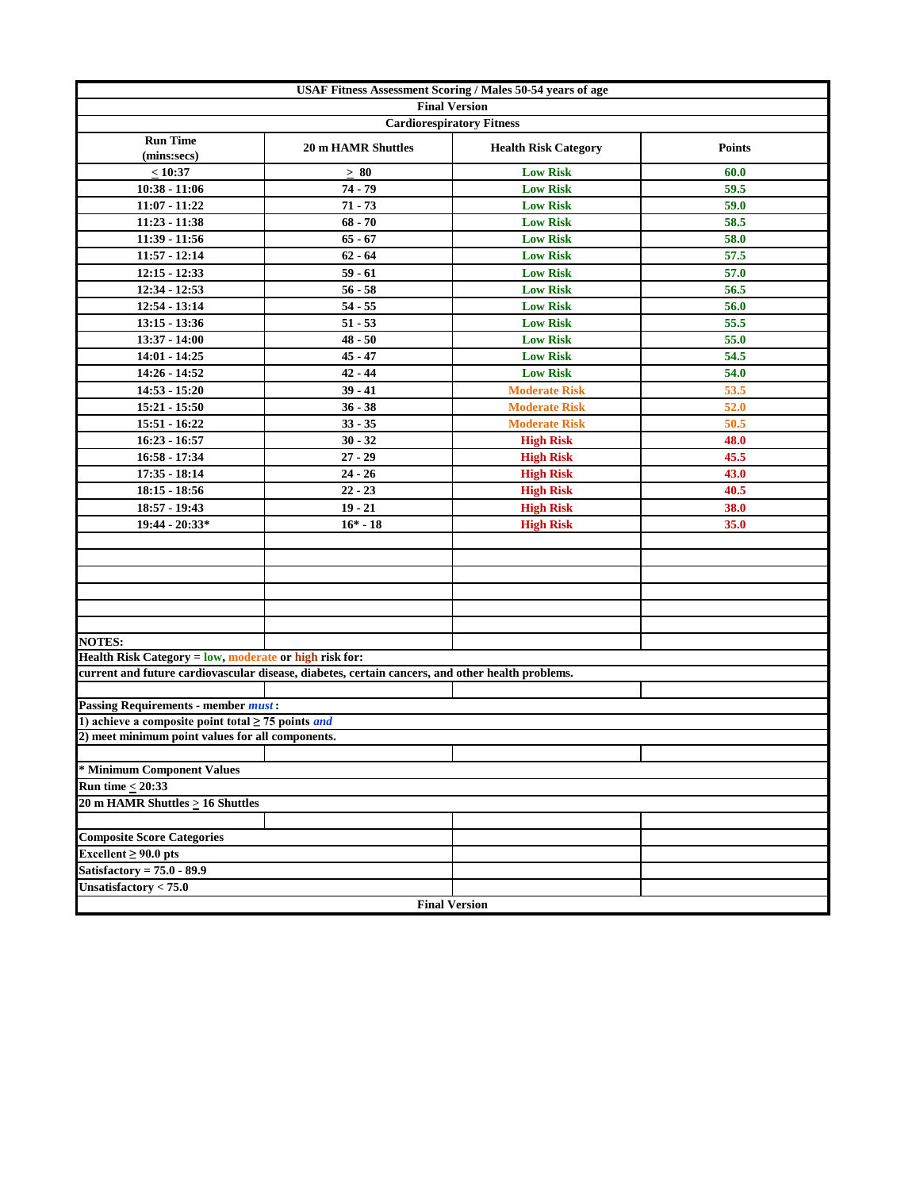| USAF Fitness Assessment Scoring / Males 50-54 years of age     |                                                                                                  |                             |               |  |  |  |  |  |
|----------------------------------------------------------------|--------------------------------------------------------------------------------------------------|-----------------------------|---------------|--|--|--|--|--|
|                                                                | <b>Final Version</b>                                                                             |                             |               |  |  |  |  |  |
|                                                                | <b>Cardiorespiratory Fitness</b>                                                                 |                             |               |  |  |  |  |  |
| <b>Run Time</b><br>(mins:secs)                                 | <b>20 m HAMR Shuttles</b>                                                                        | <b>Health Risk Category</b> | <b>Points</b> |  |  |  |  |  |
| < 10:37                                                        | $\geq 80$                                                                                        | <b>Low Risk</b>             | 60.0          |  |  |  |  |  |
| $10:38 - 11:06$                                                | 74 - 79                                                                                          | <b>Low Risk</b>             | 59.5          |  |  |  |  |  |
| $11:07 - 11:22$                                                | $71 - 73$                                                                                        | <b>Low Risk</b>             | 59.0          |  |  |  |  |  |
| $11:23 - 11:38$                                                | $68 - 70$                                                                                        | <b>Low Risk</b>             | 58.5          |  |  |  |  |  |
| 11:39 - 11:56                                                  | $65 - 67$                                                                                        | <b>Low Risk</b>             | 58.0          |  |  |  |  |  |
| $11:57 - 12:14$                                                | $62 - 64$                                                                                        | <b>Low Risk</b>             | 57.5          |  |  |  |  |  |
| $12:15 - 12:33$                                                | $59 - 61$                                                                                        | <b>Low Risk</b>             | 57.0          |  |  |  |  |  |
| $12:34 - 12:53$                                                | $56 - 58$                                                                                        | <b>Low Risk</b>             | 56.5          |  |  |  |  |  |
| $12:54 - 13:14$                                                | $54 - 55$                                                                                        | <b>Low Risk</b>             | 56.0          |  |  |  |  |  |
| $13:15 - 13:36$                                                | $51 - 53$                                                                                        | <b>Low Risk</b>             | 55.5          |  |  |  |  |  |
| 13:37 - 14:00                                                  | $48 - 50$                                                                                        | <b>Low Risk</b>             | 55.0          |  |  |  |  |  |
| 14:01 - 14:25                                                  | $45 - 47$                                                                                        | <b>Low Risk</b>             | 54.5          |  |  |  |  |  |
| 14:26 - 14:52                                                  | $42 - 44$                                                                                        | <b>Low Risk</b>             | 54.0          |  |  |  |  |  |
| 14:53 - 15:20                                                  | $39 - 41$                                                                                        | <b>Moderate Risk</b>        | 53.5          |  |  |  |  |  |
| 15:21 - 15:50                                                  | $36 - 38$                                                                                        | <b>Moderate Risk</b>        | 52.0          |  |  |  |  |  |
| 15:51 - 16:22                                                  | $33 - 35$                                                                                        | <b>Moderate Risk</b>        | 50.5          |  |  |  |  |  |
| $16:23 - 16:57$                                                | $30 - 32$                                                                                        | <b>High Risk</b>            | 48.0          |  |  |  |  |  |
| 16:58 - 17:34                                                  | $27 - 29$                                                                                        | <b>High Risk</b>            | 45.5          |  |  |  |  |  |
| $17:35 - 18:14$                                                | $24 - 26$                                                                                        | <b>High Risk</b>            | 43.0          |  |  |  |  |  |
| $18:15 - 18:56$                                                | $22 - 23$                                                                                        | <b>High Risk</b>            | 40.5          |  |  |  |  |  |
| 18:57 - 19:43                                                  | $19 - 21$                                                                                        | <b>High Risk</b>            | 38.0          |  |  |  |  |  |
| 19:44 - 20:33*                                                 | $16* - 18$                                                                                       | <b>High Risk</b>            | 35.0          |  |  |  |  |  |
|                                                                |                                                                                                  |                             |               |  |  |  |  |  |
|                                                                |                                                                                                  |                             |               |  |  |  |  |  |
|                                                                |                                                                                                  |                             |               |  |  |  |  |  |
|                                                                |                                                                                                  |                             |               |  |  |  |  |  |
|                                                                |                                                                                                  |                             |               |  |  |  |  |  |
|                                                                |                                                                                                  |                             |               |  |  |  |  |  |
| <b>NOTES:</b>                                                  |                                                                                                  |                             |               |  |  |  |  |  |
| Health Risk Category = low, moderate or high risk for:         |                                                                                                  |                             |               |  |  |  |  |  |
|                                                                | current and future cardiovascular disease, diabetes, certain cancers, and other health problems. |                             |               |  |  |  |  |  |
|                                                                |                                                                                                  |                             |               |  |  |  |  |  |
| <b>Passing Requirements - member must:</b>                     |                                                                                                  |                             |               |  |  |  |  |  |
| 1) achieve a composite point total $\geq$ 75 points <i>and</i> |                                                                                                  |                             |               |  |  |  |  |  |
| 2) meet minimum point values for all components.               |                                                                                                  |                             |               |  |  |  |  |  |
|                                                                |                                                                                                  |                             |               |  |  |  |  |  |
| * Minimum Component Values                                     |                                                                                                  |                             |               |  |  |  |  |  |
| Run time $<$ 20:33                                             |                                                                                                  |                             |               |  |  |  |  |  |
| 20 m HAMR Shuttles > 16 Shuttles                               |                                                                                                  |                             |               |  |  |  |  |  |
|                                                                |                                                                                                  |                             |               |  |  |  |  |  |
| <b>Composite Score Categories</b>                              |                                                                                                  |                             |               |  |  |  |  |  |
| Excellent $\geq 90.0$ pts                                      |                                                                                                  |                             |               |  |  |  |  |  |
| Satisfactory = $75.0 - 89.9$                                   |                                                                                                  |                             |               |  |  |  |  |  |
| Unsatisfactory $< 75.0$                                        |                                                                                                  |                             |               |  |  |  |  |  |
|                                                                | <b>Final Version</b>                                                                             |                             |               |  |  |  |  |  |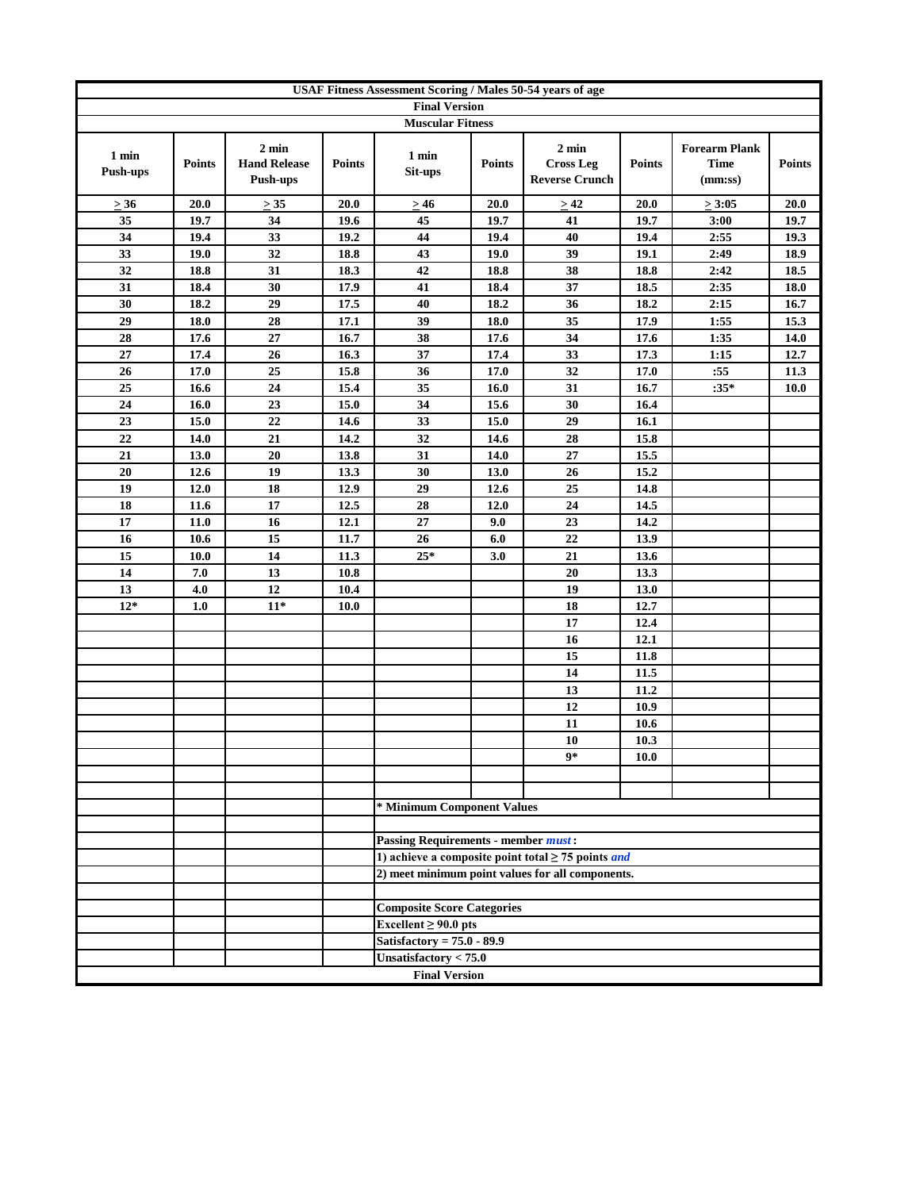|                          | USAF Fitness Assessment Scoring / Males 50-54 years of age |                                                    |               |                                            |               |                                                                |               |                                                |               |
|--------------------------|------------------------------------------------------------|----------------------------------------------------|---------------|--------------------------------------------|---------------|----------------------------------------------------------------|---------------|------------------------------------------------|---------------|
|                          |                                                            |                                                    |               | <b>Final Version</b>                       |               |                                                                |               |                                                |               |
|                          |                                                            |                                                    |               | <b>Muscular Fitness</b>                    |               |                                                                |               |                                                |               |
| 1 min<br><b>Push-ups</b> | <b>Points</b>                                              | $2 \text{ min}$<br><b>Hand Release</b><br>Push-ups | <b>Points</b> | 1 min<br>Sit-ups                           | <b>Points</b> | $2 \text{ min}$<br><b>Cross Leg</b><br><b>Reverse Crunch</b>   | <b>Points</b> | <b>Forearm Plank</b><br><b>Time</b><br>(mm:ss) | <b>Points</b> |
| $\geq 36$                | 20.0                                                       | $\geq 35$                                          | 20.0          | $\geq 46$                                  | 20.0          | $\geq 42$                                                      | 20.0          | $\geq 3:05$                                    | 20.0          |
| 35                       | 19.7                                                       | 34                                                 | 19.6          | 45                                         | 19.7          | 41                                                             | 19.7          | 3:00                                           | 19.7          |
| 34                       | 19.4                                                       | 33                                                 | 19.2          | 44                                         | 19.4          | 40                                                             | 19.4          | 2:55                                           | 19.3          |
| 33                       | 19.0                                                       | 32                                                 | 18.8          | 43                                         | 19.0          | 39                                                             | 19.1          | 2:49                                           | 18.9          |
| 32                       | 18.8                                                       | 31                                                 | 18.3          | 42                                         | 18.8          | 38                                                             | 18.8          | 2:42                                           | 18.5          |
| 31                       | 18.4                                                       | 30                                                 | 17.9          | 41                                         | 18.4          | 37                                                             | 18.5          | 2:35                                           | $18.0\,$      |
| 30                       | 18.2                                                       | 29                                                 | 17.5          | 40                                         | 18.2          | 36                                                             | 18.2          | 2:15                                           | 16.7          |
| 29                       | 18.0                                                       | 28                                                 | 17.1          | 39                                         | 18.0          | 35                                                             | 17.9          | 1:55                                           | 15.3          |
| 28                       | 17.6                                                       | 27                                                 | 16.7          | 38                                         | 17.6          | 34                                                             | 17.6          | 1:35                                           | 14.0          |
| 27                       | 17.4                                                       | 26                                                 | 16.3          | 37                                         | 17.4          | 33                                                             | 17.3          | 1:15                                           | 12.7          |
| 26                       | 17.0                                                       | 25                                                 | 15.8          | 36                                         | 17.0          | 32                                                             | 17.0          | :55                                            | 11.3          |
| 25                       | 16.6                                                       | 24                                                 | 15.4          | 35                                         | 16.0          | 31                                                             | 16.7          | $:35*$                                         | <b>10.0</b>   |
| 24                       | 16.0                                                       | 23                                                 | 15.0          | 34                                         | 15.6          | 30                                                             | 16.4          |                                                |               |
| 23                       | 15.0                                                       | 22                                                 | 14.6          | 33                                         | 15.0          | 29                                                             | 16.1          |                                                |               |
| 22                       | 14.0                                                       | 21                                                 | 14.2          | 32                                         | 14.6          | 28                                                             | 15.8          |                                                |               |
| 21                       | 13.0                                                       | 20                                                 | 13.8          | 31                                         | 14.0          | 27                                                             | 15.5          |                                                |               |
| 20                       | 12.6                                                       | 19                                                 | 13.3          | 30                                         | 13.0          | 26                                                             | 15.2          |                                                |               |
| 19                       | 12.0                                                       | 18                                                 | 12.9          | 29                                         | 12.6          | 25                                                             | 14.8          |                                                |               |
| 18                       | 11.6                                                       | 17                                                 | 12.5          | 28                                         | 12.0          | 24                                                             | 14.5          |                                                |               |
| 17                       | 11.0                                                       | 16                                                 | 12.1          | 27                                         | 9.0           | 23                                                             | 14.2          |                                                |               |
| 16                       | 10.6                                                       | 15                                                 | 11.7          | 26                                         | 6.0           | 22                                                             | 13.9          |                                                |               |
| 15                       | 10.0                                                       | 14                                                 | 11.3          | $25*$                                      | 3.0           | 21                                                             | 13.6          |                                                |               |
| 14                       | 7.0                                                        | 13                                                 | 10.8          |                                            |               | 20                                                             | 13.3          |                                                |               |
| 13                       | 4.0                                                        | 12<br>$11*$                                        | 10.4          |                                            |               | 19<br>18                                                       | 13.0          |                                                |               |
| $12*$                    | 1.0                                                        |                                                    | 10.0          |                                            |               | 17                                                             | 12.7          |                                                |               |
|                          |                                                            |                                                    |               |                                            |               | 16                                                             | 12.4<br>12.1  |                                                |               |
|                          |                                                            |                                                    |               |                                            |               | 15                                                             | 11.8          |                                                |               |
|                          |                                                            |                                                    |               |                                            |               | 14                                                             | 11.5          |                                                |               |
|                          |                                                            |                                                    |               |                                            |               | 13                                                             | 11.2          |                                                |               |
|                          |                                                            |                                                    |               |                                            |               | 12                                                             | 10.9          |                                                |               |
|                          |                                                            |                                                    |               |                                            |               | 11                                                             | 10.6          |                                                |               |
|                          |                                                            |                                                    |               |                                            |               | 10                                                             | 10.3          |                                                |               |
|                          |                                                            |                                                    |               |                                            |               | 9*                                                             | <b>10.0</b>   |                                                |               |
|                          |                                                            |                                                    |               |                                            |               |                                                                |               |                                                |               |
|                          |                                                            |                                                    |               |                                            |               |                                                                |               |                                                |               |
|                          |                                                            |                                                    |               | * Minimum Component Values                 |               |                                                                |               |                                                |               |
|                          |                                                            |                                                    |               |                                            |               |                                                                |               |                                                |               |
|                          |                                                            |                                                    |               | <b>Passing Requirements - member must:</b> |               |                                                                |               |                                                |               |
|                          |                                                            |                                                    |               |                                            |               | 1) achieve a composite point total $\geq$ 75 points <i>and</i> |               |                                                |               |
|                          |                                                            |                                                    |               |                                            |               | 2) meet minimum point values for all components.               |               |                                                |               |
|                          |                                                            |                                                    |               |                                            |               |                                                                |               |                                                |               |
|                          |                                                            |                                                    |               | <b>Composite Score Categories</b>          |               |                                                                |               |                                                |               |
|                          |                                                            |                                                    |               | Excellent $\geq 90.0$ pts                  |               |                                                                |               |                                                |               |
|                          |                                                            |                                                    |               | Satisfactory = $75.0 - 89.9$               |               |                                                                |               |                                                |               |
|                          |                                                            |                                                    |               | Unsatisfactory $< 75.0$                    |               |                                                                |               |                                                |               |
|                          |                                                            |                                                    |               | <b>Final Version</b>                       |               |                                                                |               |                                                |               |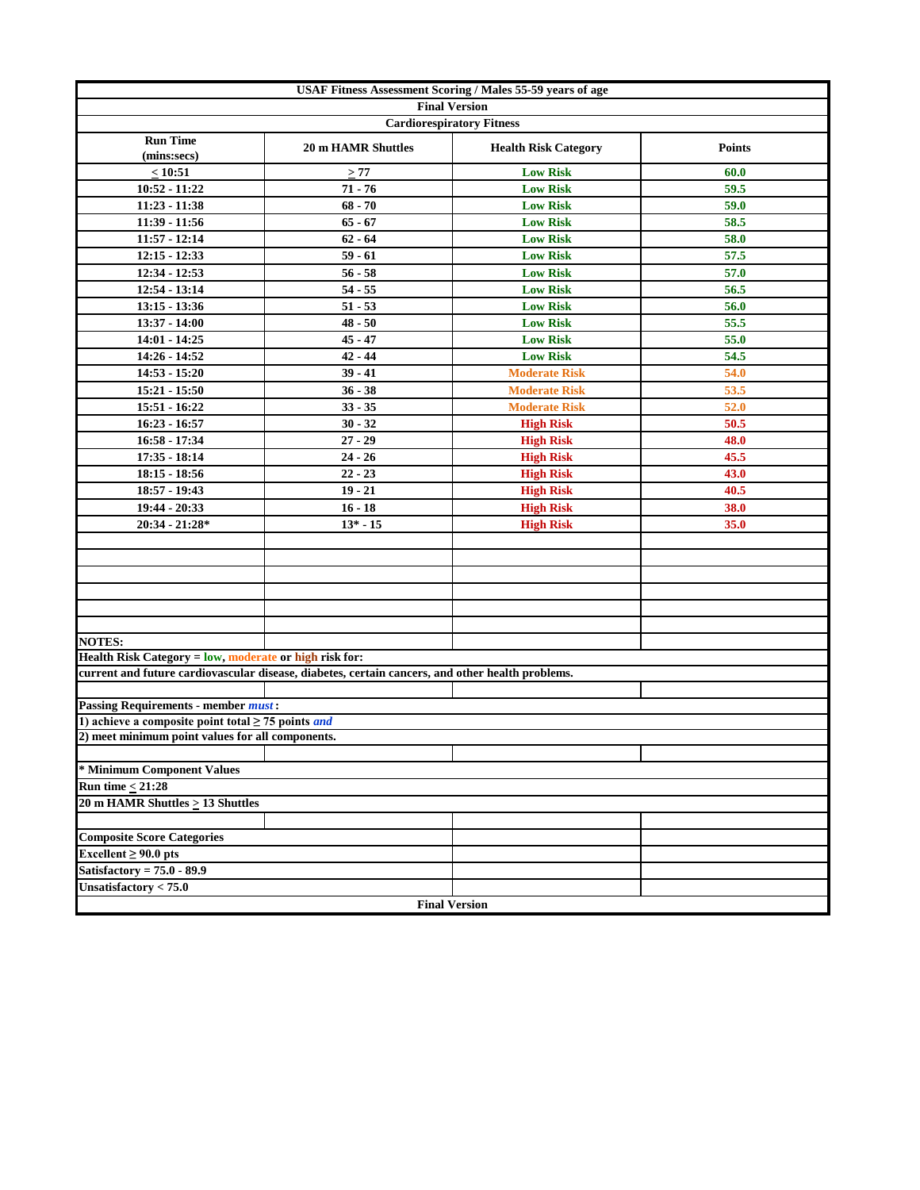|                                                                | <b>USAF Fitness Assessment Scoring / Males 55-59 years of age</b>                                |                             |               |
|----------------------------------------------------------------|--------------------------------------------------------------------------------------------------|-----------------------------|---------------|
|                                                                | <b>Final Version</b>                                                                             |                             |               |
|                                                                | <b>Cardiorespiratory Fitness</b>                                                                 |                             |               |
| <b>Run Time</b><br>(mins:secs)                                 | <b>20 m HAMR Shuttles</b>                                                                        | <b>Health Risk Category</b> | <b>Points</b> |
| $\leq 10:51$                                                   | $\geq 77$                                                                                        | <b>Low Risk</b>             | 60.0          |
| $10:52 - 11:22$                                                | $71 - 76$                                                                                        | <b>Low Risk</b>             | 59.5          |
| $11:23 - 11:38$                                                | $68 - 70$                                                                                        | <b>Low Risk</b>             | 59.0          |
| $11:39 - 11:56$                                                | $65 - 67$                                                                                        | <b>Low Risk</b>             | 58.5          |
| $11:57 - 12:14$                                                | $62 - 64$                                                                                        | <b>Low Risk</b>             | 58.0          |
| $12:15 - 12:33$                                                | $59 - 61$                                                                                        | <b>Low Risk</b>             | 57.5          |
| 12:34 - 12:53                                                  | $56 - 58$                                                                                        | <b>Low Risk</b>             | 57.0          |
| $12:54 - 13:14$                                                | $54 - 55$                                                                                        | <b>Low Risk</b>             | 56.5          |
| $13:15 - 13:36$                                                | $51 - 53$                                                                                        | <b>Low Risk</b>             | 56.0          |
| 13:37 - 14:00                                                  | $48 - 50$                                                                                        | <b>Low Risk</b>             | 55.5          |
| 14:01 - 14:25                                                  | $45 - 47$                                                                                        | <b>Low Risk</b>             | 55.0          |
| 14:26 - 14:52                                                  | $42 - 44$                                                                                        | <b>Low Risk</b>             | 54.5          |
| $14:53 - 15:20$                                                | $39 - 41$                                                                                        | <b>Moderate Risk</b>        | 54.0          |
| $15:21 - 15:50$                                                | $36 - 38$                                                                                        | <b>Moderate Risk</b>        | 53.5          |
| 15:51 - 16:22                                                  | $33 - 35$                                                                                        | <b>Moderate Risk</b>        | 52.0          |
| $16:23 - 16:57$                                                | $30 - 32$                                                                                        | <b>High Risk</b>            | 50.5          |
| 16:58 - 17:34                                                  | $27 - 29$                                                                                        | <b>High Risk</b>            | 48.0          |
| 17:35 - 18:14                                                  | $24 - 26$                                                                                        | <b>High Risk</b>            | 45.5          |
| $18:15 - 18:56$                                                | $22 - 23$                                                                                        | <b>High Risk</b>            | 43.0          |
| 18:57 - 19:43                                                  | $19 - 21$                                                                                        | <b>High Risk</b>            | 40.5          |
| 19:44 - 20:33                                                  | $16 - 18$                                                                                        | <b>High Risk</b>            | 38.0          |
| $20:34 - 21:28*$                                               | $13* - 15$                                                                                       | <b>High Risk</b>            | 35.0          |
|                                                                |                                                                                                  |                             |               |
|                                                                |                                                                                                  |                             |               |
|                                                                |                                                                                                  |                             |               |
|                                                                |                                                                                                  |                             |               |
|                                                                |                                                                                                  |                             |               |
|                                                                |                                                                                                  |                             |               |
| <b>NOTES:</b>                                                  |                                                                                                  |                             |               |
| Health Risk Category = low, moderate or high risk for:         |                                                                                                  |                             |               |
|                                                                | current and future cardiovascular disease, diabetes, certain cancers, and other health problems. |                             |               |
|                                                                |                                                                                                  |                             |               |
| <b>Passing Requirements - member must:</b>                     |                                                                                                  |                             |               |
| 1) achieve a composite point total $\geq$ 75 points <i>and</i> |                                                                                                  |                             |               |
| 2) meet minimum point values for all components.               |                                                                                                  |                             |               |
|                                                                |                                                                                                  |                             |               |
| * Minimum Component Values                                     |                                                                                                  |                             |               |
| Run time $<$ 21:28                                             |                                                                                                  |                             |               |
| 20 m HAMR Shuttles $\geq$ 13 Shuttles                          |                                                                                                  |                             |               |
|                                                                |                                                                                                  |                             |               |
| <b>Composite Score Categories</b>                              |                                                                                                  |                             |               |
| Excellent $\geq 90.0$ pts                                      |                                                                                                  |                             |               |
| Satisfactory = $75.0 - 89.9$                                   |                                                                                                  |                             |               |
| Unsatisfactory $< 75.0$                                        |                                                                                                  |                             |               |
|                                                                |                                                                                                  | <b>Final Version</b>        |               |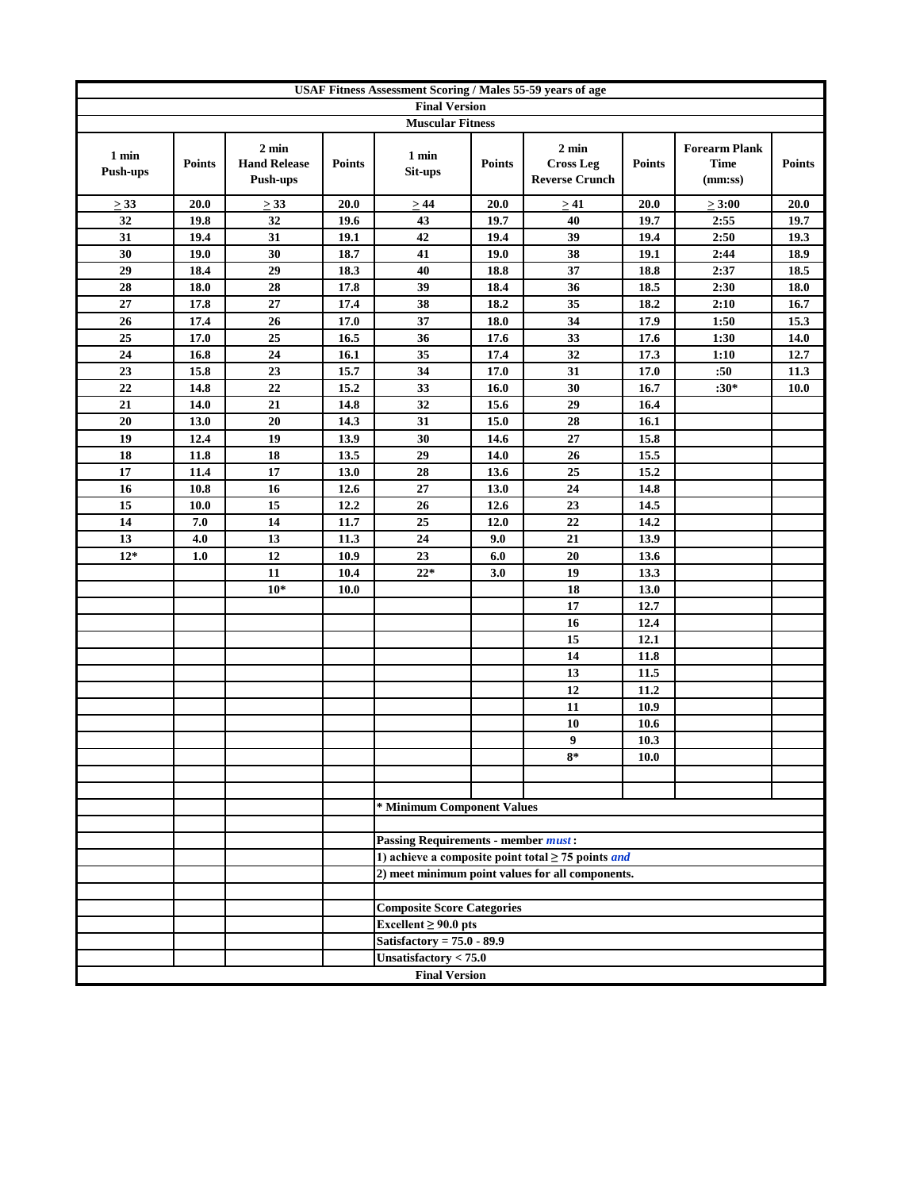|                          | <b>USAF Fitness Assessment Scoring / Males 55-59 years of age</b> |                                                    |               |                                            |               |                                                                                                                    |               |                                                |               |
|--------------------------|-------------------------------------------------------------------|----------------------------------------------------|---------------|--------------------------------------------|---------------|--------------------------------------------------------------------------------------------------------------------|---------------|------------------------------------------------|---------------|
|                          |                                                                   |                                                    |               | <b>Final Version</b>                       |               |                                                                                                                    |               |                                                |               |
|                          |                                                                   |                                                    |               | <b>Muscular Fitness</b>                    |               |                                                                                                                    |               |                                                |               |
| 1 min<br><b>Push-ups</b> | <b>Points</b>                                                     | $2 \text{ min}$<br><b>Hand Release</b><br>Push-ups | <b>Points</b> | 1 min<br>Sit-ups                           | <b>Points</b> | $2 \text{ min}$<br><b>Cross Leg</b><br><b>Reverse Crunch</b>                                                       | <b>Points</b> | <b>Forearm Plank</b><br><b>Time</b><br>(mm:ss) | <b>Points</b> |
| $\geq$ 33                | 20.0                                                              | $\geq$ 33                                          | 20.0          | >44                                        | 20.0          | >41                                                                                                                | 20.0          | $\geq 3:00$                                    | 20.0          |
| 32                       | 19.8                                                              | $\overline{32}$                                    | 19.6          | 43                                         | 19.7          | 40                                                                                                                 | 19.7          | 2:55                                           | 19.7          |
| 31                       | 19.4                                                              | 31                                                 | 19.1          | 42                                         | 19.4          | 39                                                                                                                 | 19.4          | 2:50                                           | 19.3          |
| 30                       | 19.0                                                              | 30                                                 | 18.7          | 41                                         | 19.0          | 38                                                                                                                 | 19.1          | 2:44                                           | 18.9          |
| 29                       | 18.4                                                              | 29                                                 | 18.3          | 40                                         | 18.8          | 37                                                                                                                 | 18.8          | 2:37                                           | 18.5          |
| 28                       | 18.0                                                              | 28                                                 | 17.8          | 39                                         | 18.4          | 36                                                                                                                 | 18.5          | 2:30                                           | 18.0          |
| 27                       | 17.8                                                              | 27                                                 | 17.4          | 38                                         | 18.2          | 35                                                                                                                 | 18.2          | 2:10                                           | 16.7          |
| 26                       | 17.4                                                              | 26                                                 | 17.0          | 37                                         | 18.0          | 34                                                                                                                 | 17.9          | 1:50                                           | 15.3          |
| 25                       | 17.0                                                              | 25                                                 | 16.5          | 36                                         | 17.6          | 33                                                                                                                 | 17.6          | 1:30                                           | 14.0          |
| 24                       | 16.8                                                              | 24                                                 | 16.1          | 35                                         | 17.4          | 32                                                                                                                 | 17.3          | 1:10                                           | 12.7          |
| 23                       | 15.8                                                              | 23                                                 | 15.7          | 34                                         | 17.0          | 31                                                                                                                 | 17.0          | :50                                            | 11.3          |
| 22                       | 14.8                                                              | 22                                                 | 15.2          | 33                                         | 16.0          | 30                                                                                                                 | 16.7          | $:30*$                                         | <b>10.0</b>   |
| 21                       | 14.0                                                              | 21                                                 | 14.8          | 32                                         | 15.6          | 29                                                                                                                 | 16.4          |                                                |               |
| 20                       | 13.0                                                              | 20                                                 | 14.3          | 31                                         | 15.0          | 28                                                                                                                 | 16.1          |                                                |               |
| 19                       | 12.4                                                              | 19                                                 | 13.9          | 30                                         | 14.6          | $\bf 27$                                                                                                           | 15.8          |                                                |               |
| 18                       | 11.8                                                              | 18                                                 | 13.5          | 29                                         | 14.0          | 26                                                                                                                 | 15.5          |                                                |               |
| 17                       | 11.4                                                              | 17                                                 | 13.0          | 28                                         | 13.6          | 25                                                                                                                 | 15.2          |                                                |               |
| 16                       | 10.8                                                              | 16                                                 | 12.6          | $\bf 27$                                   | 13.0          | 24                                                                                                                 | 14.8          |                                                |               |
| 15                       | 10.0                                                              | 15                                                 | 12.2          | 26                                         | 12.6          | 23                                                                                                                 | 14.5          |                                                |               |
| 14                       | 7.0                                                               | 14                                                 | 11.7          | 25                                         | 12.0          | 22                                                                                                                 | 14.2          |                                                |               |
| 13                       | 4.0                                                               | 13                                                 | 11.3          | 24                                         | 9.0           | 21                                                                                                                 | 13.9          |                                                |               |
| $12*$                    | 1.0                                                               | 12                                                 | 10.9          | 23                                         | 6.0           | 20                                                                                                                 | 13.6          |                                                |               |
|                          |                                                                   | 11                                                 | 10.4          | $22*$                                      | 3.0           | 19                                                                                                                 | 13.3          |                                                |               |
|                          |                                                                   | $10*$                                              | 10.0          |                                            |               | 18                                                                                                                 | 13.0          |                                                |               |
|                          |                                                                   |                                                    |               |                                            |               | 17                                                                                                                 | 12.7          |                                                |               |
|                          |                                                                   |                                                    |               |                                            |               | 16                                                                                                                 | 12.4          |                                                |               |
|                          |                                                                   |                                                    |               |                                            |               | 15                                                                                                                 | 12.1          |                                                |               |
|                          |                                                                   |                                                    |               |                                            |               | 14                                                                                                                 | 11.8          |                                                |               |
|                          |                                                                   |                                                    |               |                                            |               | 13                                                                                                                 | 11.5          |                                                |               |
|                          |                                                                   |                                                    |               |                                            |               | 12                                                                                                                 | 11.2          |                                                |               |
|                          |                                                                   |                                                    |               |                                            |               | 11                                                                                                                 | 10.9          |                                                |               |
|                          |                                                                   |                                                    |               |                                            |               | 10                                                                                                                 | 10.6          |                                                |               |
|                          |                                                                   |                                                    |               |                                            |               | 9                                                                                                                  | 10.3          |                                                |               |
|                          |                                                                   |                                                    |               |                                            |               | $8*$                                                                                                               | <b>10.0</b>   |                                                |               |
|                          |                                                                   |                                                    |               |                                            |               |                                                                                                                    |               |                                                |               |
|                          |                                                                   |                                                    |               |                                            |               |                                                                                                                    |               |                                                |               |
|                          |                                                                   |                                                    |               | * Minimum Component Values                 |               |                                                                                                                    |               |                                                |               |
|                          |                                                                   |                                                    |               |                                            |               |                                                                                                                    |               |                                                |               |
|                          |                                                                   |                                                    |               | <b>Passing Requirements - member must:</b> |               |                                                                                                                    |               |                                                |               |
|                          |                                                                   |                                                    |               |                                            |               | 1) achieve a composite point total $\geq$ 75 points <i>and</i><br>2) meet minimum point values for all components. |               |                                                |               |
|                          |                                                                   |                                                    |               |                                            |               |                                                                                                                    |               |                                                |               |
|                          |                                                                   |                                                    |               | <b>Composite Score Categories</b>          |               |                                                                                                                    |               |                                                |               |
|                          |                                                                   |                                                    |               | Excellent $\geq 90.0$ pts                  |               |                                                                                                                    |               |                                                |               |
|                          |                                                                   |                                                    |               | Satisfactory = $75.0 - 89.9$               |               |                                                                                                                    |               |                                                |               |
|                          |                                                                   |                                                    |               | Unsatisfactory $< 75.0$                    |               |                                                                                                                    |               |                                                |               |
|                          |                                                                   |                                                    |               | <b>Final Version</b>                       |               |                                                                                                                    |               |                                                |               |
|                          |                                                                   |                                                    |               |                                            |               |                                                                                                                    |               |                                                |               |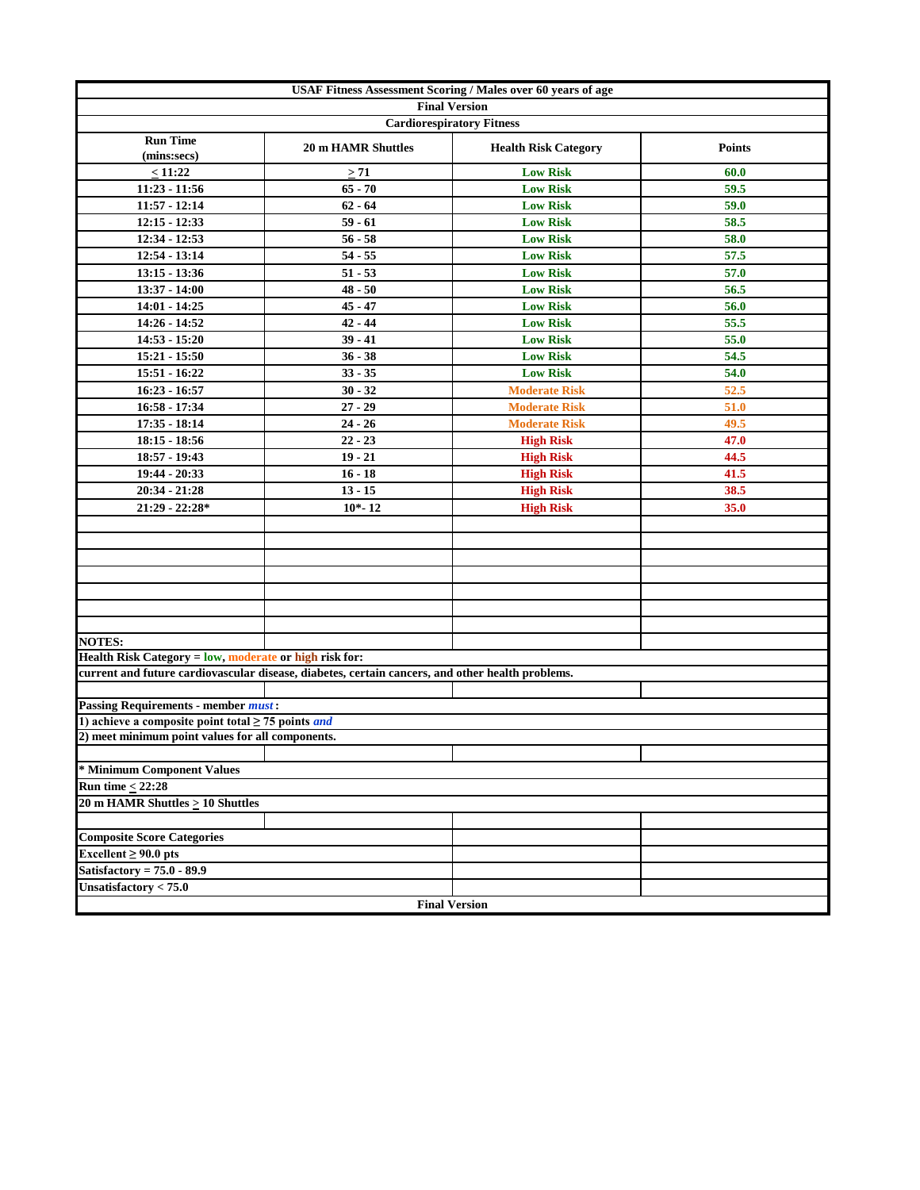| <b>USAF Fitness Assessment Scoring / Males over 60 years of age</b> |                                                                                                  |                             |               |  |  |  |  |  |
|---------------------------------------------------------------------|--------------------------------------------------------------------------------------------------|-----------------------------|---------------|--|--|--|--|--|
| <b>Final Version</b><br><b>Cardiorespiratory Fitness</b>            |                                                                                                  |                             |               |  |  |  |  |  |
|                                                                     |                                                                                                  |                             |               |  |  |  |  |  |
| <b>Run Time</b><br>(mins:secs)                                      | <b>20 m HAMR Shuttles</b>                                                                        | <b>Health Risk Category</b> | <b>Points</b> |  |  |  |  |  |
| $\leq 11:22$                                                        | $\geq 71$                                                                                        | <b>Low Risk</b>             | 60.0          |  |  |  |  |  |
| $11:23 - 11:56$                                                     | $65 - 70$                                                                                        | <b>Low Risk</b>             | 59.5          |  |  |  |  |  |
| $11:57 - 12:14$                                                     | $62 - 64$                                                                                        | <b>Low Risk</b>             | 59.0          |  |  |  |  |  |
| $12:15 - 12:33$                                                     | $59 - 61$                                                                                        | <b>Low Risk</b>             | 58.5          |  |  |  |  |  |
| 12:34 - 12:53                                                       | $56 - 58$                                                                                        | <b>Low Risk</b>             | 58.0          |  |  |  |  |  |
| $12:54 - 13:14$                                                     | $54 - 55$                                                                                        | <b>Low Risk</b>             | 57.5          |  |  |  |  |  |
| $13:15 - 13:36$                                                     | $51 - 53$                                                                                        | <b>Low Risk</b>             | 57.0          |  |  |  |  |  |
| $13:37 - 14:00$                                                     | $48 - 50$                                                                                        | <b>Low Risk</b>             | 56.5          |  |  |  |  |  |
| $14:01 - 14:25$                                                     | $45 - 47$                                                                                        | <b>Low Risk</b>             | 56.0          |  |  |  |  |  |
| 14:26 - 14:52                                                       | $42 - 44$                                                                                        | <b>Low Risk</b>             | 55.5          |  |  |  |  |  |
| 14:53 - 15:20                                                       | $39 - 41$                                                                                        | <b>Low Risk</b>             | 55.0          |  |  |  |  |  |
| $15:21 - 15:50$                                                     | $36 - 38$                                                                                        | <b>Low Risk</b>             | 54.5          |  |  |  |  |  |
| 15:51 - 16:22                                                       | $33 - 35$                                                                                        | <b>Low Risk</b>             | 54.0          |  |  |  |  |  |
| $16:23 - 16:57$                                                     | $30 - 32$                                                                                        | <b>Moderate Risk</b>        | 52.5          |  |  |  |  |  |
| $16:58 - 17:34$                                                     | $27 - 29$                                                                                        | <b>Moderate Risk</b>        | 51.0          |  |  |  |  |  |
| $17:35 - 18:14$                                                     | $24 - 26$                                                                                        | <b>Moderate Risk</b>        | 49.5          |  |  |  |  |  |
| $18:15 - 18:56$                                                     | $22 - 23$                                                                                        | <b>High Risk</b>            | 47.0          |  |  |  |  |  |
| 18:57 - 19:43                                                       | $19 - 21$                                                                                        | <b>High Risk</b>            | 44.5          |  |  |  |  |  |
| 19:44 - 20:33                                                       |                                                                                                  |                             | 41.5          |  |  |  |  |  |
|                                                                     | $16 - 18$                                                                                        | <b>High Risk</b>            |               |  |  |  |  |  |
| $20:34 - 21:28$                                                     | $13 - 15$                                                                                        | <b>High Risk</b>            | 38.5          |  |  |  |  |  |
| 21:29 - 22:28*                                                      | $10 - 12$                                                                                        | <b>High Risk</b>            | 35.0          |  |  |  |  |  |
|                                                                     |                                                                                                  |                             |               |  |  |  |  |  |
|                                                                     |                                                                                                  |                             |               |  |  |  |  |  |
|                                                                     |                                                                                                  |                             |               |  |  |  |  |  |
|                                                                     |                                                                                                  |                             |               |  |  |  |  |  |
|                                                                     |                                                                                                  |                             |               |  |  |  |  |  |
|                                                                     |                                                                                                  |                             |               |  |  |  |  |  |
| <b>NOTES:</b>                                                       |                                                                                                  |                             |               |  |  |  |  |  |
| Health Risk Category = low, moderate or high risk for:              |                                                                                                  |                             |               |  |  |  |  |  |
|                                                                     | current and future cardiovascular disease, diabetes, certain cancers, and other health problems. |                             |               |  |  |  |  |  |
|                                                                     |                                                                                                  |                             |               |  |  |  |  |  |
| <b>Passing Requirements - member must:</b>                          |                                                                                                  |                             |               |  |  |  |  |  |
| 1) achieve a composite point total $\geq$ 75 points <i>and</i>      |                                                                                                  |                             |               |  |  |  |  |  |
| 2) meet minimum point values for all components.                    |                                                                                                  |                             |               |  |  |  |  |  |
|                                                                     |                                                                                                  |                             |               |  |  |  |  |  |
| * Minimum Component Values                                          |                                                                                                  |                             |               |  |  |  |  |  |
| <b>Run time <math>&lt;</math> 22:28</b>                             |                                                                                                  |                             |               |  |  |  |  |  |
| 20 m HAMR Shuttles $\geq$ 10 Shuttles                               |                                                                                                  |                             |               |  |  |  |  |  |
|                                                                     |                                                                                                  |                             |               |  |  |  |  |  |
| <b>Composite Score Categories</b>                                   |                                                                                                  |                             |               |  |  |  |  |  |
| Excellent $\geq 90.0$ pts                                           |                                                                                                  |                             |               |  |  |  |  |  |
| Satisfactory = $75.0 - 89.9$                                        |                                                                                                  |                             |               |  |  |  |  |  |
| Unsatisfactory $< 75.0$                                             |                                                                                                  |                             |               |  |  |  |  |  |
|                                                                     |                                                                                                  | <b>Final Version</b>        |               |  |  |  |  |  |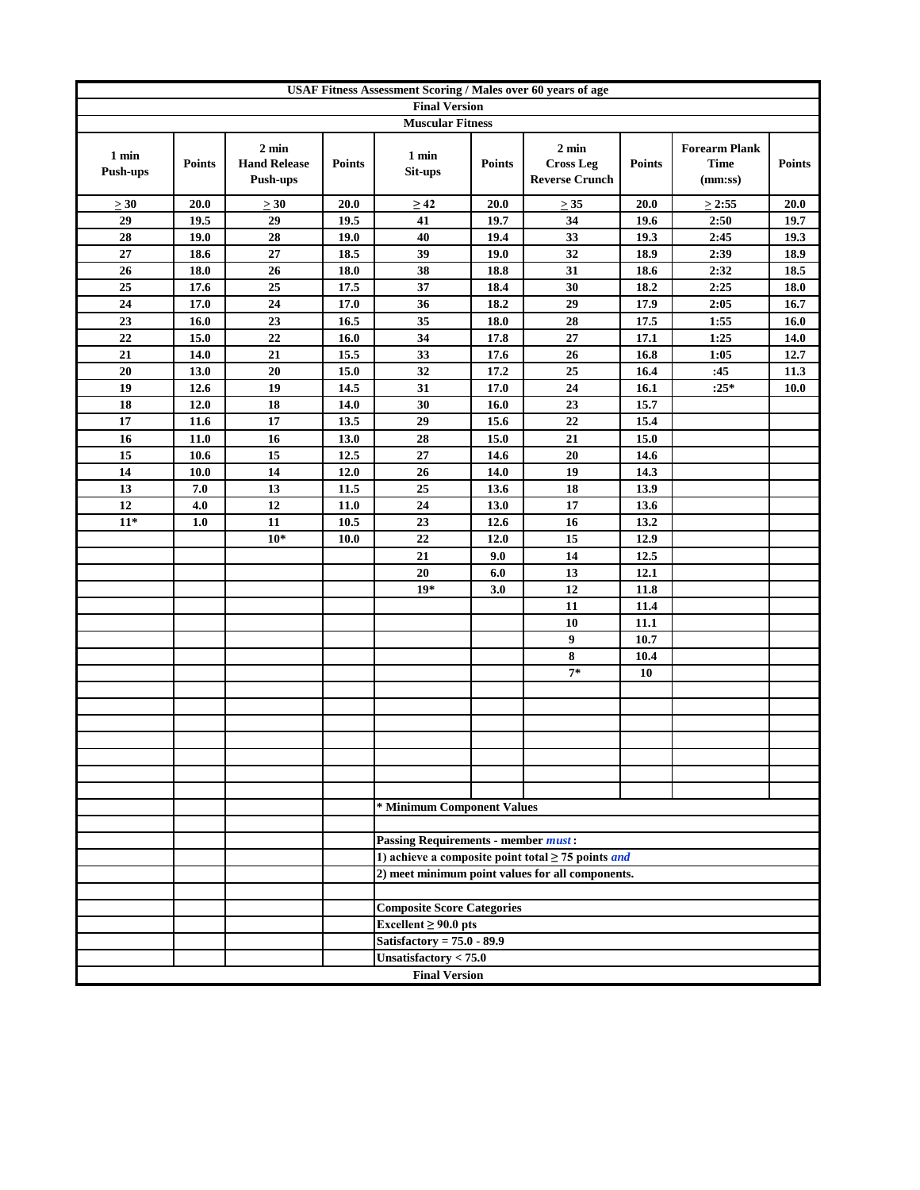|                          | USAF Fitness Assessment Scoring / Males over 60 years of age |                                                    |               |                                            |               |                                                                |               |                                                |               |
|--------------------------|--------------------------------------------------------------|----------------------------------------------------|---------------|--------------------------------------------|---------------|----------------------------------------------------------------|---------------|------------------------------------------------|---------------|
|                          |                                                              |                                                    |               | <b>Final Version</b>                       |               |                                                                |               |                                                |               |
|                          |                                                              |                                                    |               | <b>Muscular Fitness</b>                    |               |                                                                |               |                                                |               |
| 1 min<br><b>Push-ups</b> | <b>Points</b>                                                | $2 \text{ min}$<br><b>Hand Release</b><br>Push-ups | <b>Points</b> | 1 min<br>Sit-ups                           | <b>Points</b> | $2 \text{ min}$<br><b>Cross Leg</b><br><b>Reverse Crunch</b>   | <b>Points</b> | <b>Forearm Plank</b><br><b>Time</b><br>(mm:ss) | <b>Points</b> |
| $\geq 30$                | 20.0                                                         | $\geq 30$                                          | 20.0          | $\geq 42$                                  | 20.0          | $\geq 35$                                                      | <b>20.0</b>   | $\geq$ 2:55                                    | 20.0          |
| 29                       | 19.5                                                         | 29                                                 | 19.5          | 41                                         | 19.7          | 34                                                             | 19.6          | 2:50                                           | 19.7          |
| 28                       | 19.0                                                         | 28                                                 | 19.0          | 40                                         | 19.4          | 33                                                             | 19.3          | 2:45                                           | 19.3          |
| 27                       | 18.6                                                         | $27\,$                                             | 18.5          | 39                                         | 19.0          | 32                                                             | 18.9          | 2:39                                           | 18.9          |
| 26                       | 18.0                                                         | 26                                                 | 18.0          | 38                                         | 18.8          | 31                                                             | 18.6          | 2:32                                           | 18.5          |
| 25                       | 17.6                                                         | 25                                                 | 17.5          | 37                                         | 18.4          | 30                                                             | 18.2          | 2:25                                           | 18.0          |
| 24                       | 17.0                                                         | 24                                                 | 17.0          | 36                                         | 18.2          | 29                                                             | 17.9          | 2:05                                           | 16.7          |
| 23                       | 16.0                                                         | 23                                                 | 16.5          | 35                                         | 18.0          | 28                                                             | 17.5          | 1:55                                           | 16.0          |
| 22                       | 15.0                                                         | 22                                                 | 16.0          | 34                                         | 17.8          | 27                                                             | 17.1          | 1:25                                           | 14.0          |
| 21                       | 14.0                                                         | 21                                                 | 15.5          | 33                                         | 17.6          | 26                                                             | 16.8          | 1:05                                           | 12.7          |
| 20                       | 13.0                                                         | 20                                                 | 15.0          | 32                                         | 17.2          | 25                                                             | 16.4          | :45                                            | 11.3          |
| 19                       | 12.6                                                         | 19                                                 | 14.5          | 31                                         | 17.0          | 24                                                             | 16.1          | $:25*$                                         | <b>10.0</b>   |
| 18                       | 12.0                                                         | 18                                                 | 14.0          | 30                                         | 16.0          | 23                                                             | 15.7          |                                                |               |
| 17                       | 11.6                                                         | 17                                                 | 13.5          | 29                                         | 15.6          | 22                                                             | 15.4          |                                                |               |
| 16                       | $11.0$                                                       | 16                                                 | 13.0          | 28                                         | 15.0          | 21                                                             | 15.0          |                                                |               |
| 15                       | 10.6                                                         | 15                                                 | 12.5          | $27\,$                                     | 14.6          | 20                                                             | 14.6          |                                                |               |
| 14                       | 10.0                                                         | 14                                                 | 12.0          | 26                                         | 14.0          | 19                                                             | 14.3          |                                                |               |
| 13                       | 7.0                                                          | 13                                                 | 11.5          | 25                                         | 13.6          | 18                                                             | 13.9          |                                                |               |
| 12                       | 4.0                                                          | 12                                                 | 11.0          | 24                                         | 13.0          | 17                                                             | 13.6          |                                                |               |
| $11*$                    | 1.0                                                          | 11                                                 | 10.5          | 23                                         | 12.6          | 16                                                             | 13.2          |                                                |               |
|                          |                                                              | $10*$                                              | 10.0          | 22                                         | 12.0          | 15                                                             | 12.9          |                                                |               |
|                          |                                                              |                                                    |               | 21                                         | 9.0           | 14                                                             | 12.5          |                                                |               |
|                          |                                                              |                                                    |               | 20                                         | 6.0           | 13                                                             | 12.1          |                                                |               |
|                          |                                                              |                                                    |               | $19*$                                      | 3.0           | 12                                                             | 11.8          |                                                |               |
|                          |                                                              |                                                    |               |                                            |               | 11                                                             | 11.4          |                                                |               |
|                          |                                                              |                                                    |               |                                            |               | 10                                                             | 11.1          |                                                |               |
|                          |                                                              |                                                    |               |                                            |               | 9                                                              | 10.7          |                                                |               |
|                          |                                                              |                                                    |               |                                            |               | 8<br>$7*$                                                      | 10.4<br>10    |                                                |               |
|                          |                                                              |                                                    |               |                                            |               |                                                                |               |                                                |               |
|                          |                                                              |                                                    |               |                                            |               |                                                                |               |                                                |               |
|                          |                                                              |                                                    |               |                                            |               |                                                                |               |                                                |               |
|                          |                                                              |                                                    |               |                                            |               |                                                                |               |                                                |               |
|                          |                                                              |                                                    |               |                                            |               |                                                                |               |                                                |               |
|                          |                                                              |                                                    |               |                                            |               |                                                                |               |                                                |               |
|                          |                                                              |                                                    |               |                                            |               |                                                                |               |                                                |               |
|                          |                                                              |                                                    |               | * Minimum Component Values                 |               |                                                                |               |                                                |               |
|                          |                                                              |                                                    |               |                                            |               |                                                                |               |                                                |               |
|                          |                                                              |                                                    |               | <b>Passing Requirements - member must:</b> |               |                                                                |               |                                                |               |
|                          |                                                              |                                                    |               |                                            |               | 1) achieve a composite point total $\geq$ 75 points <i>and</i> |               |                                                |               |
|                          |                                                              |                                                    |               |                                            |               | 2) meet minimum point values for all components.               |               |                                                |               |
|                          |                                                              |                                                    |               |                                            |               |                                                                |               |                                                |               |
|                          |                                                              |                                                    |               | <b>Composite Score Categories</b>          |               |                                                                |               |                                                |               |
|                          |                                                              |                                                    |               | Excellent $\geq 90.0$ pts                  |               |                                                                |               |                                                |               |
|                          |                                                              |                                                    |               | Satisfactory = $75.0 - 89.9$               |               |                                                                |               |                                                |               |
|                          |                                                              |                                                    |               | Unsatisfactory < 75.0                      |               |                                                                |               |                                                |               |
|                          |                                                              |                                                    |               | <b>Final Version</b>                       |               |                                                                |               |                                                |               |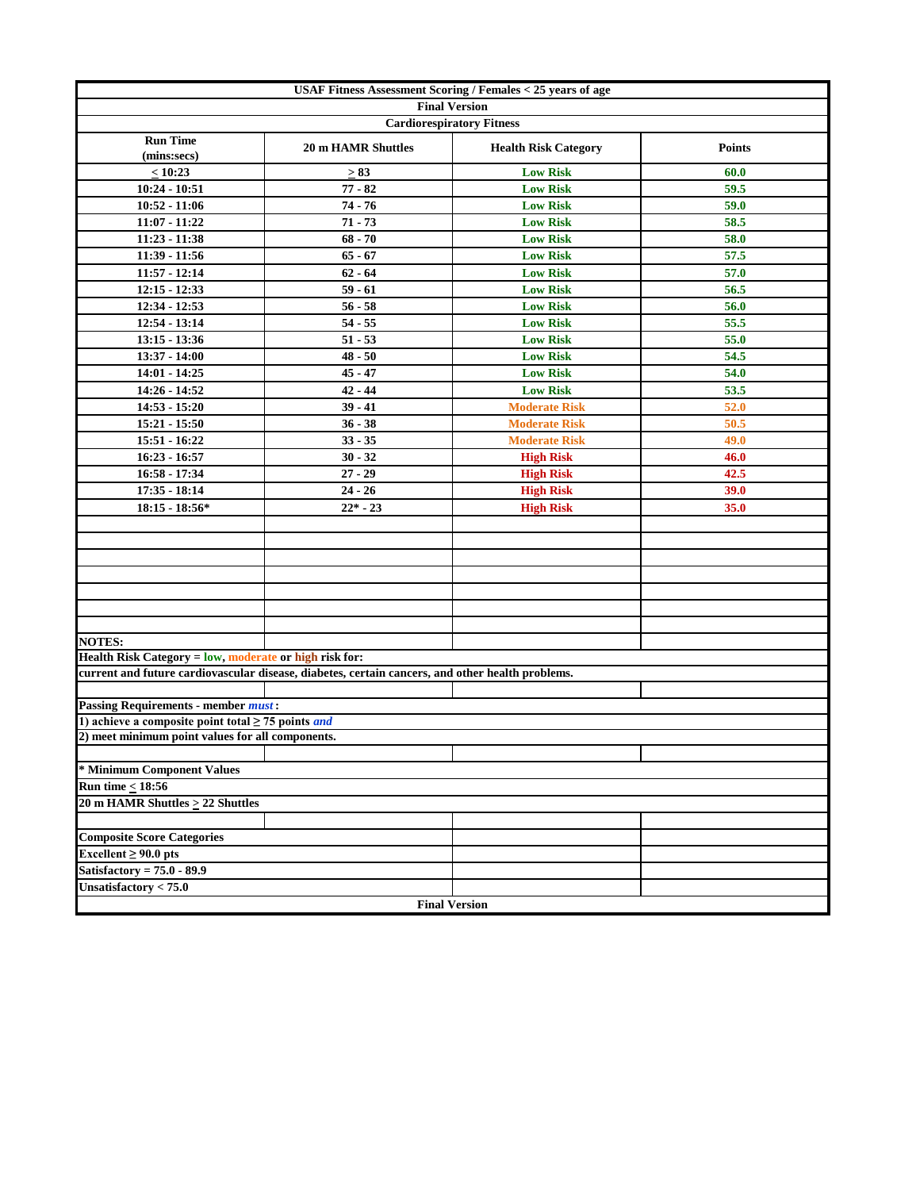| <b>USAF Fitness Assessment Scoring / Females &lt; 25 years of age</b> |                                                                                                  |                                  |               |  |  |  |  |  |
|-----------------------------------------------------------------------|--------------------------------------------------------------------------------------------------|----------------------------------|---------------|--|--|--|--|--|
|                                                                       |                                                                                                  | <b>Final Version</b>             |               |  |  |  |  |  |
|                                                                       |                                                                                                  | <b>Cardiorespiratory Fitness</b> |               |  |  |  |  |  |
| <b>Run Time</b><br>(mins:secs)                                        | <b>20 m HAMR Shuttles</b>                                                                        | <b>Health Risk Category</b>      | <b>Points</b> |  |  |  |  |  |
| < 10:23                                                               | $\geq 83$                                                                                        | <b>Low Risk</b>                  | 60.0          |  |  |  |  |  |
| $10:24 - 10:51$                                                       | $77 - 82$                                                                                        | <b>Low Risk</b>                  | 59.5          |  |  |  |  |  |
| $10:52 - 11:06$                                                       | $74 - 76$                                                                                        | <b>Low Risk</b>                  | 59.0          |  |  |  |  |  |
| 11:07 - 11:22                                                         | $71 - 73$                                                                                        | <b>Low Risk</b>                  | 58.5          |  |  |  |  |  |
| 11:23 - 11:38                                                         | $68 - 70$                                                                                        | <b>Low Risk</b>                  | 58.0          |  |  |  |  |  |
| 11:39 - 11:56                                                         | $65 - 67$                                                                                        | <b>Low Risk</b>                  | 57.5          |  |  |  |  |  |
| $11:57 - 12:14$                                                       | $62 - 64$                                                                                        | <b>Low Risk</b>                  | 57.0          |  |  |  |  |  |
| $12:15 - 12:33$                                                       | $59 - 61$                                                                                        | <b>Low Risk</b>                  | 56.5          |  |  |  |  |  |
| 12:34 - 12:53                                                         | $56 - 58$                                                                                        | <b>Low Risk</b>                  | 56.0          |  |  |  |  |  |
| 12:54 - 13:14                                                         | $54 - 55$                                                                                        | <b>Low Risk</b>                  | 55.5          |  |  |  |  |  |
| $13:15 - 13:36$                                                       | $51 - 53$                                                                                        | <b>Low Risk</b>                  | 55.0          |  |  |  |  |  |
| 13:37 - 14:00                                                         | $48 - 50$                                                                                        | <b>Low Risk</b>                  | 54.5          |  |  |  |  |  |
| 14:01 - 14:25                                                         | $45 - 47$                                                                                        | <b>Low Risk</b>                  | 54.0          |  |  |  |  |  |
| 14:26 - 14:52                                                         | $42 - 44$                                                                                        | <b>Low Risk</b>                  | 53.5          |  |  |  |  |  |
| $14:53 - 15:20$                                                       | $39 - 41$                                                                                        | <b>Moderate Risk</b>             | 52.0          |  |  |  |  |  |
| $15:21 - 15:50$                                                       | $36 - 38$                                                                                        | <b>Moderate Risk</b>             | 50.5          |  |  |  |  |  |
| 15:51 - 16:22                                                         | $33 - 35$                                                                                        | <b>Moderate Risk</b>             | 49.0          |  |  |  |  |  |
| 16:23 - 16:57                                                         | $30 - 32$                                                                                        | <b>High Risk</b>                 | 46.0          |  |  |  |  |  |
| 16:58 - 17:34                                                         | $27 - 29$                                                                                        | <b>High Risk</b>                 | 42.5          |  |  |  |  |  |
| $17:35 - 18:14$                                                       | $24 - 26$                                                                                        | <b>High Risk</b>                 | 39.0          |  |  |  |  |  |
| $18:15 - 18:56*$                                                      | $22* - 23$                                                                                       | <b>High Risk</b>                 | 35.0          |  |  |  |  |  |
|                                                                       |                                                                                                  |                                  |               |  |  |  |  |  |
|                                                                       |                                                                                                  |                                  |               |  |  |  |  |  |
|                                                                       |                                                                                                  |                                  |               |  |  |  |  |  |
|                                                                       |                                                                                                  |                                  |               |  |  |  |  |  |
|                                                                       |                                                                                                  |                                  |               |  |  |  |  |  |
|                                                                       |                                                                                                  |                                  |               |  |  |  |  |  |
|                                                                       |                                                                                                  |                                  |               |  |  |  |  |  |
| <b>NOTES:</b>                                                         |                                                                                                  |                                  |               |  |  |  |  |  |
| Health Risk Category = low, moderate or high risk for:                |                                                                                                  |                                  |               |  |  |  |  |  |
|                                                                       | current and future cardiovascular disease, diabetes, certain cancers, and other health problems. |                                  |               |  |  |  |  |  |
| <b>Passing Requirements - member must:</b>                            |                                                                                                  |                                  |               |  |  |  |  |  |
| 1) achieve a composite point total $\geq$ 75 points <i>and</i>        |                                                                                                  |                                  |               |  |  |  |  |  |
| 2) meet minimum point values for all components.                      |                                                                                                  |                                  |               |  |  |  |  |  |
|                                                                       |                                                                                                  |                                  |               |  |  |  |  |  |
| * Minimum Component Values                                            |                                                                                                  |                                  |               |  |  |  |  |  |
| <b>Run time &lt; 18:56</b>                                            |                                                                                                  |                                  |               |  |  |  |  |  |
| 20 m HAMR Shuttles $\geq$ 22 Shuttles                                 |                                                                                                  |                                  |               |  |  |  |  |  |
|                                                                       |                                                                                                  |                                  |               |  |  |  |  |  |
| <b>Composite Score Categories</b>                                     |                                                                                                  |                                  |               |  |  |  |  |  |
| Excellent $\geq 90.0$ pts                                             |                                                                                                  |                                  |               |  |  |  |  |  |
| Satisfactory = $75.0 - 89.9$                                          |                                                                                                  |                                  |               |  |  |  |  |  |
| Unsatisfactory $< 75.0$                                               |                                                                                                  |                                  |               |  |  |  |  |  |
|                                                                       | <b>Final Version</b>                                                                             |                                  |               |  |  |  |  |  |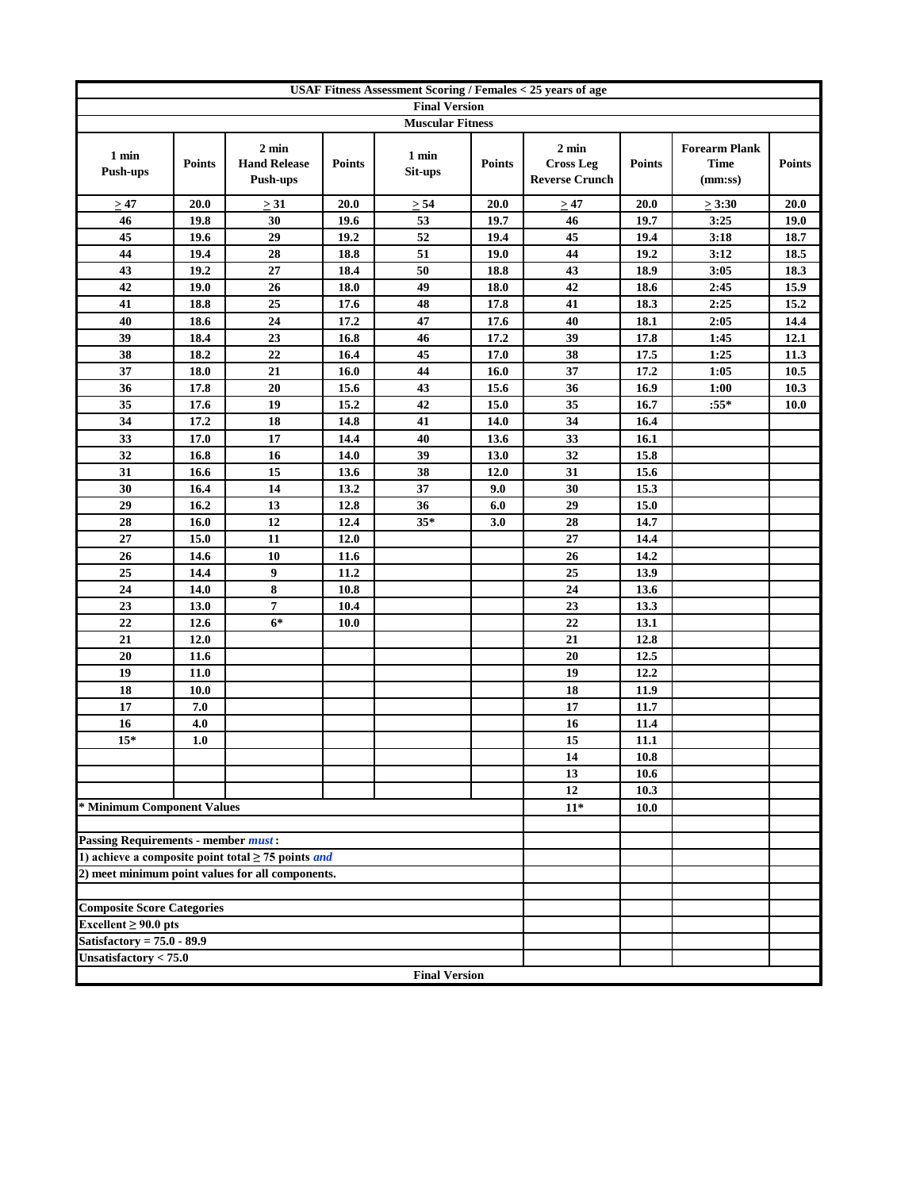|                                            | <b>USAF Fitness Assessment Scoring / Females &lt; 25 years of age</b> |                                                                |               |                         |               |                                                              |               |                                                |               |
|--------------------------------------------|-----------------------------------------------------------------------|----------------------------------------------------------------|---------------|-------------------------|---------------|--------------------------------------------------------------|---------------|------------------------------------------------|---------------|
|                                            |                                                                       |                                                                |               | <b>Final Version</b>    |               |                                                              |               |                                                |               |
|                                            |                                                                       |                                                                |               | <b>Muscular Fitness</b> |               |                                                              |               |                                                |               |
| 1 min<br><b>Push-ups</b>                   | <b>Points</b>                                                         | $2 \text{ min}$<br><b>Hand Release</b><br><b>Push-ups</b>      | <b>Points</b> | 1 min<br>Sit-ups        | <b>Points</b> | $2 \text{ min}$<br><b>Cross Leg</b><br><b>Reverse Crunch</b> | <b>Points</b> | <b>Forearm Plank</b><br><b>Time</b><br>(mm:ss) | <b>Points</b> |
| $\geq 47$                                  | 20.0                                                                  | >31                                                            | 20.0          | $\geq 54$               | 20.0          | $\geq 47$                                                    | 20.0          | $\geq 3:30$                                    | 20.0          |
| 46                                         | 19.8                                                                  | 30                                                             | 19.6          | 53                      | 19.7          | 46                                                           | 19.7          | 3:25                                           | 19.0          |
| 45                                         | 19.6                                                                  | 29                                                             | 19.2          | 52                      | 19.4          | 45                                                           | 19.4          | 3:18                                           | 18.7          |
| 44                                         | 19.4                                                                  | 28                                                             | 18.8          | 51                      | 19.0          | 44                                                           | 19.2          | 3:12                                           | 18.5          |
| 43                                         | 19.2                                                                  | 27                                                             | 18.4          | 50                      | 18.8          | 43                                                           | 18.9          | 3:05                                           | 18.3          |
| 42                                         | 19.0                                                                  | 26                                                             | 18.0          | 49                      | 18.0          | 42                                                           | 18.6          | 2:45                                           | 15.9          |
| 41                                         | 18.8                                                                  | 25                                                             | 17.6          | 48                      | 17.8          | 41                                                           | 18.3          | 2:25                                           | 15.2          |
| 40                                         | 18.6                                                                  | 24                                                             | 17.2          | $\overline{47}$         | 17.6          | 40                                                           | 18.1          | 2:05                                           | 14.4          |
| 39                                         | 18.4                                                                  | 23                                                             | 16.8          | 46                      | 17.2          | 39                                                           | 17.8          | 1:45                                           | 12.1          |
| 38                                         | 18.2                                                                  | 22                                                             | 16.4          | 45                      | 17.0          | 38                                                           | 17.5          | 1:25                                           | 11.3          |
| 37                                         | 18.0                                                                  | 21                                                             | 16.0          | 44                      | 16.0          | 37                                                           | 17.2          | 1:05                                           | 10.5          |
| 36                                         | 17.8                                                                  | 20                                                             | 15.6          | 43                      | 15.6          | 36                                                           | 16.9          | 1:00                                           | 10.3          |
| 35                                         | 17.6                                                                  | 19                                                             | 15.2          | 42                      | 15.0          | 35                                                           | 16.7          | $:55*$                                         | <b>10.0</b>   |
| 34                                         | 17.2                                                                  | 18                                                             | 14.8          | 41                      | 14.0          | 34                                                           | 16.4          |                                                |               |
| 33                                         | 17.0                                                                  | 17                                                             | 14.4          | 40                      | 13.6          | 33                                                           | 16.1          |                                                |               |
| 32                                         | 16.8                                                                  | 16                                                             | 14.0          | 39                      | 13.0          | 32                                                           | 15.8          |                                                |               |
| 31                                         | 16.6                                                                  | 15                                                             | 13.6          | 38                      | 12.0          | 31                                                           | 15.6          |                                                |               |
| 30                                         | 16.4                                                                  | 14                                                             | 13.2          | 37                      | 9.0           | 30                                                           | 15.3          |                                                |               |
| 29                                         | 16.2                                                                  | 13                                                             | 12.8          | 36                      | 6.0           | 29                                                           | 15.0          |                                                |               |
| 28                                         | 16.0                                                                  | 12                                                             | 12.4          | $35*$                   | 3.0           | 28                                                           | 14.7          |                                                |               |
| 27                                         | 15.0                                                                  | 11                                                             | 12.0          |                         |               | 27                                                           | 14.4          |                                                |               |
| 26                                         | 14.6                                                                  | 10                                                             | 11.6          |                         |               | 26                                                           | 14.2          |                                                |               |
| 25                                         | 14.4                                                                  | 9                                                              | 11.2          |                         |               | 25                                                           | 13.9          |                                                |               |
| 24                                         | 14.0                                                                  | 8                                                              | 10.8          |                         |               | 24                                                           | 13.6          |                                                |               |
| 23                                         | 13.0                                                                  | $\overline{7}$                                                 | 10.4          |                         |               | 23                                                           | 13.3          |                                                |               |
| 22                                         | 12.6                                                                  | $6*$                                                           | 10.0          |                         |               | 22<br>21                                                     | 13.1          |                                                |               |
| 21                                         | 12.0                                                                  |                                                                |               |                         |               |                                                              | 12.8          |                                                |               |
| 20<br>19                                   | 11.6<br>11.0                                                          |                                                                |               |                         |               | 20<br>19                                                     | 12.5<br>12.2  |                                                |               |
| 18                                         | 10.0                                                                  |                                                                |               |                         |               | 18                                                           | 11.9          |                                                |               |
| 17                                         | 7.0                                                                   |                                                                |               |                         |               | 17                                                           | 11.7          |                                                |               |
| 16                                         | 4.0                                                                   |                                                                |               |                         |               | 16                                                           | 11.4          |                                                |               |
| $15*$                                      | 1.0                                                                   |                                                                |               |                         |               | 15                                                           | 11.1          |                                                |               |
|                                            |                                                                       |                                                                |               |                         |               | 14                                                           | 10.8          |                                                |               |
|                                            |                                                                       |                                                                |               |                         |               | 13                                                           | 10.6          |                                                |               |
|                                            |                                                                       |                                                                |               |                         |               | 12                                                           | 10.3          |                                                |               |
| * Minimum Component Values                 |                                                                       |                                                                |               |                         |               | $11*$                                                        | 10.0          |                                                |               |
|                                            |                                                                       |                                                                |               |                         |               |                                                              |               |                                                |               |
| <b>Passing Requirements - member must:</b> |                                                                       |                                                                |               |                         |               |                                                              |               |                                                |               |
|                                            |                                                                       | 1) achieve a composite point total $\geq$ 75 points <i>and</i> |               |                         |               |                                                              |               |                                                |               |
|                                            |                                                                       | 2) meet minimum point values for all components.               |               |                         |               |                                                              |               |                                                |               |
|                                            |                                                                       |                                                                |               |                         |               |                                                              |               |                                                |               |
| <b>Composite Score Categories</b>          |                                                                       |                                                                |               |                         |               |                                                              |               |                                                |               |
| Excellent $\geq 90.0$ pts                  |                                                                       |                                                                |               |                         |               |                                                              |               |                                                |               |
| Satisfactory = $75.0 - 89.9$               |                                                                       |                                                                |               |                         |               |                                                              |               |                                                |               |
| Unsatisfactory $< 75.0$                    |                                                                       |                                                                |               |                         |               |                                                              |               |                                                |               |
|                                            |                                                                       |                                                                |               | <b>Final Version</b>    |               |                                                              |               |                                                |               |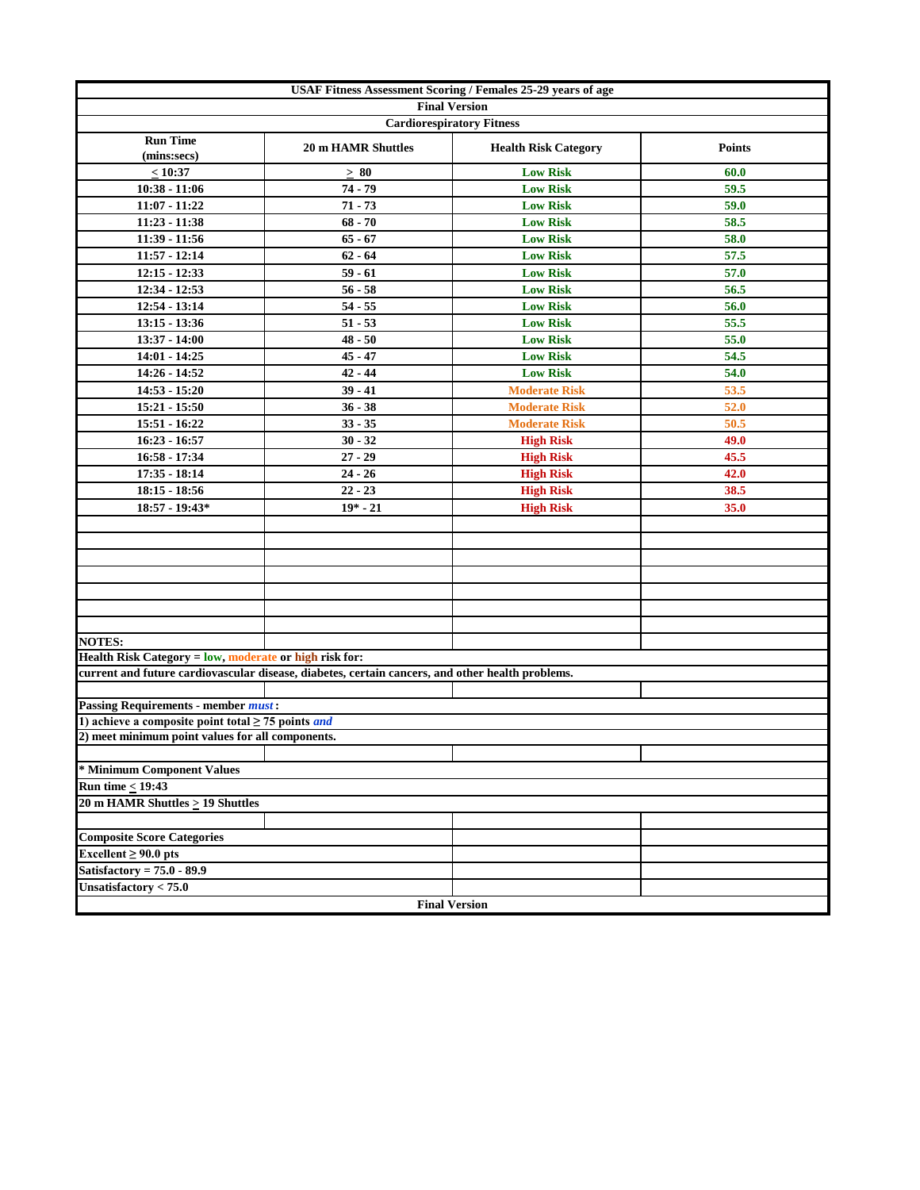| USAF Fitness Assessment Scoring / Females 25-29 years of age                                                 |                                                                                                  |                                  |               |  |  |  |  |  |
|--------------------------------------------------------------------------------------------------------------|--------------------------------------------------------------------------------------------------|----------------------------------|---------------|--|--|--|--|--|
|                                                                                                              |                                                                                                  | <b>Final Version</b>             |               |  |  |  |  |  |
|                                                                                                              |                                                                                                  | <b>Cardiorespiratory Fitness</b> |               |  |  |  |  |  |
| <b>Run Time</b><br>(mins:secs)                                                                               | <b>20 m HAMR Shuttles</b>                                                                        | <b>Health Risk Category</b>      | <b>Points</b> |  |  |  |  |  |
| < 10:37                                                                                                      | $\geq 80$                                                                                        | <b>Low Risk</b>                  | 60.0          |  |  |  |  |  |
| $10:38 - 11:06$                                                                                              | 74 - 79                                                                                          | <b>Low Risk</b>                  | 59.5          |  |  |  |  |  |
| 11:07 - 11:22                                                                                                | $71 - 73$                                                                                        | <b>Low Risk</b>                  | 59.0          |  |  |  |  |  |
| 11:23 - 11:38                                                                                                | $68 - 70$                                                                                        | <b>Low Risk</b>                  | 58.5          |  |  |  |  |  |
| 11:39 - 11:56                                                                                                | $65 - 67$                                                                                        | <b>Low Risk</b>                  | 58.0          |  |  |  |  |  |
| $11:57 - 12:14$                                                                                              | $62 - 64$                                                                                        | <b>Low Risk</b>                  | 57.5          |  |  |  |  |  |
| $12:15 - 12:33$                                                                                              | $59 - 61$                                                                                        | <b>Low Risk</b>                  | 57.0          |  |  |  |  |  |
| $12:34 - 12:53$                                                                                              | $56 - 58$                                                                                        | <b>Low Risk</b>                  | 56.5          |  |  |  |  |  |
| $12:54 - 13:14$                                                                                              | $54 - 55$                                                                                        | <b>Low Risk</b>                  | 56.0          |  |  |  |  |  |
| $13:15 - 13:36$                                                                                              | $51 - 53$                                                                                        | <b>Low Risk</b>                  | 55.5          |  |  |  |  |  |
| 13:37 - 14:00                                                                                                | $48 - 50$                                                                                        | <b>Low Risk</b>                  | 55.0          |  |  |  |  |  |
| 14:01 - 14:25                                                                                                | $45 - 47$                                                                                        | <b>Low Risk</b>                  | 54.5          |  |  |  |  |  |
| 14:26 - 14:52                                                                                                | $42 - 44$                                                                                        | <b>Low Risk</b>                  | 54.0          |  |  |  |  |  |
| 14:53 - 15:20                                                                                                | $39 - 41$                                                                                        | <b>Moderate Risk</b>             | 53.5          |  |  |  |  |  |
| $15:21 - 15:50$                                                                                              | $36 - 38$                                                                                        | <b>Moderate Risk</b>             | 52.0          |  |  |  |  |  |
| 15:51 - 16:22                                                                                                | $33 - 35$                                                                                        | <b>Moderate Risk</b>             | 50.5          |  |  |  |  |  |
| $16:23 - 16:57$                                                                                              | $30 - 32$                                                                                        | <b>High Risk</b>                 | 49.0          |  |  |  |  |  |
| 16:58 - 17:34                                                                                                | $27 - 29$                                                                                        | <b>High Risk</b>                 | 45.5          |  |  |  |  |  |
| $17:35 - 18:14$                                                                                              | $24 - 26$                                                                                        | <b>High Risk</b>                 | 42.0          |  |  |  |  |  |
| $18:15 - 18:56$                                                                                              | $22 - 23$                                                                                        | <b>High Risk</b>                 | 38.5          |  |  |  |  |  |
| $18:57 - 19:43*$                                                                                             | $19* - 21$                                                                                       | <b>High Risk</b>                 | 35.0          |  |  |  |  |  |
|                                                                                                              |                                                                                                  |                                  |               |  |  |  |  |  |
|                                                                                                              |                                                                                                  |                                  |               |  |  |  |  |  |
|                                                                                                              |                                                                                                  |                                  |               |  |  |  |  |  |
|                                                                                                              |                                                                                                  |                                  |               |  |  |  |  |  |
|                                                                                                              |                                                                                                  |                                  |               |  |  |  |  |  |
|                                                                                                              |                                                                                                  |                                  |               |  |  |  |  |  |
|                                                                                                              |                                                                                                  |                                  |               |  |  |  |  |  |
| <b>NOTES:</b>                                                                                                |                                                                                                  |                                  |               |  |  |  |  |  |
| Health Risk Category = low, moderate or high risk for:                                                       |                                                                                                  |                                  |               |  |  |  |  |  |
|                                                                                                              | current and future cardiovascular disease, diabetes, certain cancers, and other health problems. |                                  |               |  |  |  |  |  |
|                                                                                                              |                                                                                                  |                                  |               |  |  |  |  |  |
| <b>Passing Requirements - member must:</b><br>1) achieve a composite point total $\geq$ 75 points <i>and</i> |                                                                                                  |                                  |               |  |  |  |  |  |
| 2) meet minimum point values for all components.                                                             |                                                                                                  |                                  |               |  |  |  |  |  |
|                                                                                                              |                                                                                                  |                                  |               |  |  |  |  |  |
| * Minimum Component Values                                                                                   |                                                                                                  |                                  |               |  |  |  |  |  |
| <b>Run time &lt; 19:43</b>                                                                                   |                                                                                                  |                                  |               |  |  |  |  |  |
| 20 m HAMR Shuttles $\geq$ 19 Shuttles                                                                        |                                                                                                  |                                  |               |  |  |  |  |  |
|                                                                                                              |                                                                                                  |                                  |               |  |  |  |  |  |
| <b>Composite Score Categories</b>                                                                            |                                                                                                  |                                  |               |  |  |  |  |  |
| Excellent $\geq 90.0$ pts                                                                                    |                                                                                                  |                                  |               |  |  |  |  |  |
| Satisfactory = $75.0 - 89.9$                                                                                 |                                                                                                  |                                  |               |  |  |  |  |  |
| Unsatisfactory $< 75.0$                                                                                      |                                                                                                  |                                  |               |  |  |  |  |  |
|                                                                                                              | <b>Final Version</b>                                                                             |                                  |               |  |  |  |  |  |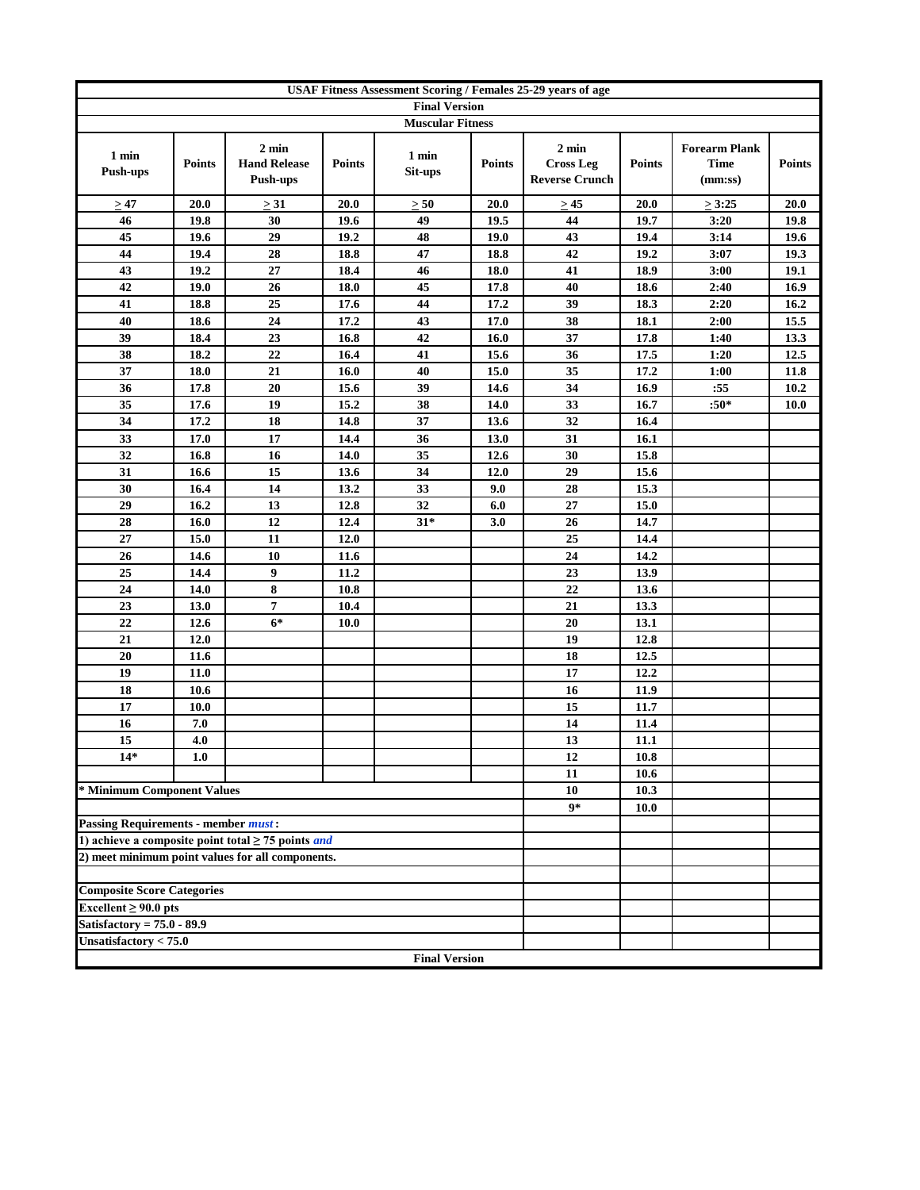| <b>USAF Fitness Assessment Scoring / Females 25-29 years of age</b> |               |                                                         |               |                         |               |                                                              |               |                                                |               |
|---------------------------------------------------------------------|---------------|---------------------------------------------------------|---------------|-------------------------|---------------|--------------------------------------------------------------|---------------|------------------------------------------------|---------------|
|                                                                     |               |                                                         |               | <b>Final Version</b>    |               |                                                              |               |                                                |               |
|                                                                     |               |                                                         |               | <b>Muscular Fitness</b> |               |                                                              |               |                                                |               |
| 1 min<br><b>Push-ups</b>                                            | <b>Points</b> | $2 \text{ min}$<br><b>Hand Release</b><br>Push-ups      | <b>Points</b> | 1 min<br>Sit-ups        | <b>Points</b> | $2 \text{ min}$<br><b>Cross Leg</b><br><b>Reverse Crunch</b> | <b>Points</b> | <b>Forearm Plank</b><br><b>Time</b><br>(mm:ss) | <b>Points</b> |
| >47                                                                 | 20.0          | $\geq 31$                                               | 20.0          | $\geq 50$               | 20.0          | $\geq 45$                                                    | 20.0          | $\geq 3:25$                                    | 20.0          |
| 46                                                                  | 19.8          | 30                                                      | 19.6          | 49                      | 19.5          | 44                                                           | 19.7          | 3:20                                           | 19.8          |
| 45                                                                  | 19.6          | 29                                                      | 19.2          | 48                      | 19.0          | 43                                                           | 19.4          | 3:14                                           | 19.6          |
| 44                                                                  | 19.4          | 28                                                      | 18.8          | 47                      | 18.8          | 42                                                           | 19.2          | 3:07                                           | 19.3          |
| 43                                                                  | 19.2          | 27                                                      | 18.4          | 46                      | 18.0          | 41                                                           | 18.9          | 3:00                                           | 19.1          |
| 42                                                                  | 19.0          | 26                                                      | 18.0          | 45                      | 17.8          | 40                                                           | 18.6          | 2:40                                           | 16.9          |
| 41                                                                  | 18.8          | 25                                                      | 17.6          | 44                      | 17.2          | 39                                                           | 18.3          | 2:20                                           | 16.2          |
| 40                                                                  | 18.6          | 24                                                      | 17.2          | 43                      | 17.0          | 38                                                           | 18.1          | 2:00                                           | 15.5          |
| 39                                                                  | 18.4          | 23                                                      | 16.8          | 42                      | 16.0          | 37                                                           | 17.8          | 1:40                                           | 13.3          |
| 38                                                                  | 18.2          | 22                                                      | 16.4          | 41                      | 15.6          | 36                                                           | 17.5          | 1:20                                           | 12.5          |
| 37                                                                  | 18.0          | 21                                                      | 16.0          | 40                      | 15.0          | 35                                                           | 17.2          | 1:00                                           | 11.8          |
| 36                                                                  | 17.8          | 20                                                      | 15.6          | 39                      | 14.6          | 34                                                           | 16.9          | :55                                            | 10.2          |
| 35                                                                  | 17.6          | 19                                                      | 15.2          | 38                      | 14.0          | 33                                                           | 16.7          | $:50*$                                         | <b>10.0</b>   |
| 34                                                                  | 17.2          | 18                                                      | 14.8          | 37                      | 13.6          | 32                                                           | 16.4          |                                                |               |
| 33                                                                  | 17.0          | 17                                                      | 14.4          | 36                      | 13.0          | 31                                                           | 16.1          |                                                |               |
| 32                                                                  | 16.8          | 16                                                      | 14.0          | 35                      | 12.6          | 30                                                           | 15.8          |                                                |               |
| 31                                                                  | 16.6          | 15                                                      | 13.6          | 34                      | 12.0          | 29                                                           | 15.6          |                                                |               |
| 30                                                                  | 16.4          | 14                                                      | 13.2          | 33                      | 9.0           | 28                                                           | 15.3          |                                                |               |
| 29                                                                  | 16.2          | 13                                                      | 12.8          | 32                      | 6.0           | $27\,$                                                       | 15.0          |                                                |               |
| 28                                                                  | 16.0          | 12                                                      | 12.4          | $31*$                   | 3.0           | 26                                                           | 14.7          |                                                |               |
| 27                                                                  | 15.0          | 11                                                      | 12.0          |                         |               | 25                                                           | 14.4          |                                                |               |
| 26                                                                  | 14.6          | 10                                                      | 11.6          |                         |               | 24                                                           | 14.2          |                                                |               |
| 25                                                                  | 14.4          | 9                                                       | 11.2          |                         |               | 23                                                           | 13.9          |                                                |               |
| 24                                                                  | 14.0          | 8                                                       | 10.8          |                         |               | 22                                                           | 13.6          |                                                |               |
| 23                                                                  | 13.0          | $\overline{7}$                                          | 10.4          |                         |               | 21                                                           | 13.3          |                                                |               |
| 22                                                                  | 12.6          | $6*$                                                    | 10.0          |                         |               | 20                                                           | 13.1          |                                                |               |
| 21                                                                  | 12.0          |                                                         |               |                         |               | 19                                                           | 12.8          |                                                |               |
| 20                                                                  | 11.6          |                                                         |               |                         |               | 18                                                           | 12.5          |                                                |               |
| 19                                                                  | 11.0          |                                                         |               |                         |               | 17                                                           | 12.2          |                                                |               |
| 18                                                                  | 10.6          |                                                         |               |                         |               | 16                                                           | 11.9          |                                                |               |
| 17                                                                  | 10.0          |                                                         |               |                         |               | 15                                                           | 11.7          |                                                |               |
| 16                                                                  | 7.0           |                                                         |               |                         |               | 14                                                           | 11.4          |                                                |               |
| 15                                                                  | 4.0           |                                                         |               |                         |               | 13                                                           | 11.1          |                                                |               |
| 14*                                                                 | 1.0           |                                                         |               |                         |               | 12                                                           | 10.8          |                                                |               |
|                                                                     |               |                                                         |               |                         |               | 11                                                           | 10.6          |                                                |               |
| * Minimum Component Values                                          |               |                                                         |               |                         |               | 10                                                           | 10.3          |                                                |               |
|                                                                     |               |                                                         |               |                         |               | $9*$                                                         | 10.0          |                                                |               |
| <b>Passing Requirements - member must:</b>                          |               |                                                         |               |                         |               |                                                              |               |                                                |               |
|                                                                     |               | 1) achieve a composite point total $\geq$ 75 points and |               |                         |               |                                                              |               |                                                |               |
|                                                                     |               | 2) meet minimum point values for all components.        |               |                         |               |                                                              |               |                                                |               |
|                                                                     |               |                                                         |               |                         |               |                                                              |               |                                                |               |
| <b>Composite Score Categories</b>                                   |               |                                                         |               |                         |               |                                                              |               |                                                |               |
| Excellent $\geq 90.0$ pts                                           |               |                                                         |               |                         |               |                                                              |               |                                                |               |
| Satisfactory = $75.0 - 89.9$                                        |               |                                                         |               |                         |               |                                                              |               |                                                |               |
| Unsatisfactory $< 75.0$                                             |               |                                                         |               |                         |               |                                                              |               |                                                |               |
|                                                                     |               |                                                         |               | <b>Final Version</b>    |               |                                                              |               |                                                |               |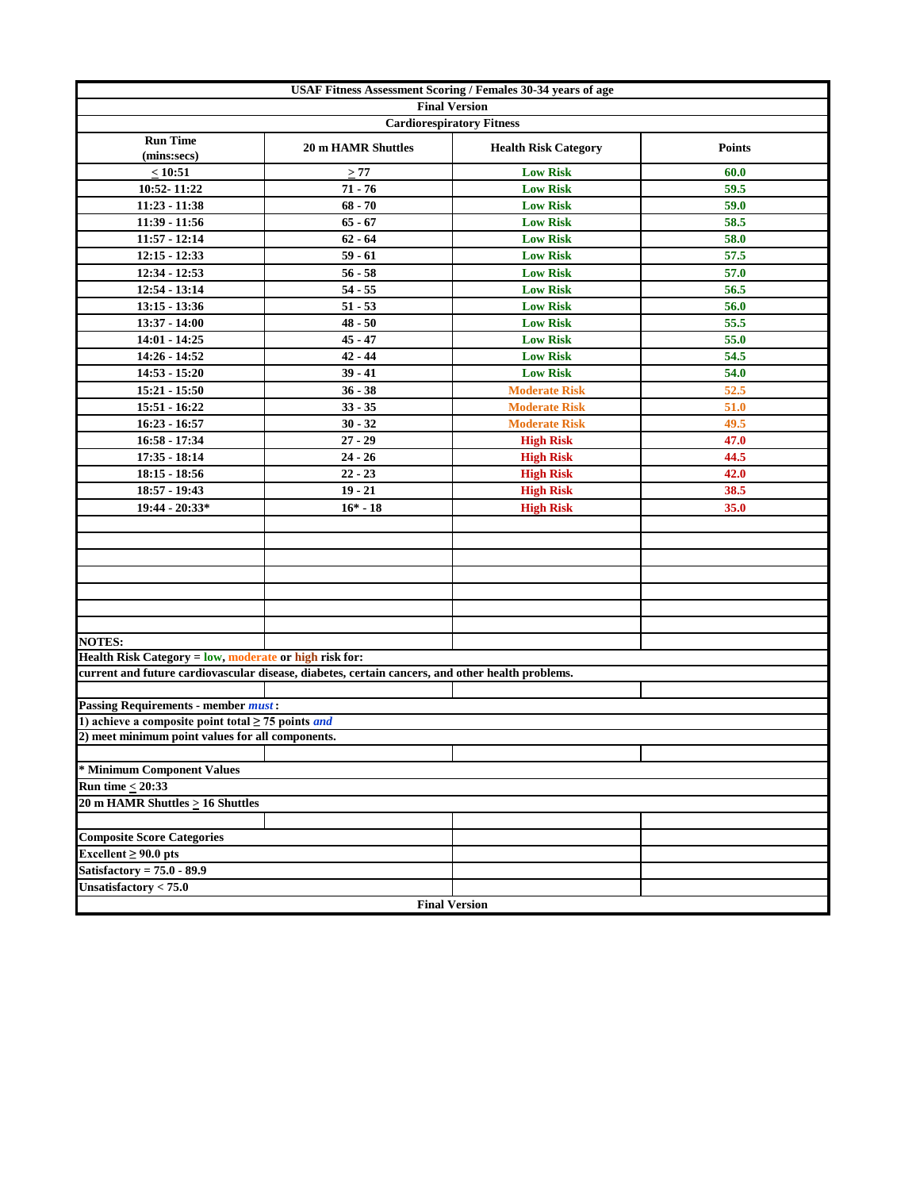| USAF Fitness Assessment Scoring / Females 30-34 years of age   |                                                                                                  |                             |               |  |  |  |  |  |
|----------------------------------------------------------------|--------------------------------------------------------------------------------------------------|-----------------------------|---------------|--|--|--|--|--|
|                                                                | <b>Final Version</b>                                                                             |                             |               |  |  |  |  |  |
|                                                                | <b>Cardiorespiratory Fitness</b>                                                                 |                             |               |  |  |  |  |  |
| <b>Run Time</b><br>(mins:secs)                                 | <b>20 m HAMR Shuttles</b>                                                                        | <b>Health Risk Category</b> | <b>Points</b> |  |  |  |  |  |
| < 10:51                                                        | $\geq 77$                                                                                        | <b>Low Risk</b>             | 60.0          |  |  |  |  |  |
| 10:52-11:22                                                    | $71 - 76$                                                                                        | <b>Low Risk</b>             | 59.5          |  |  |  |  |  |
| 11:23 - 11:38                                                  | $68 - 70$                                                                                        | <b>Low Risk</b>             | 59.0          |  |  |  |  |  |
| 11:39 - 11:56                                                  | $65 - 67$                                                                                        | <b>Low Risk</b>             | 58.5          |  |  |  |  |  |
| $11:57 - 12:14$                                                | $62 - 64$                                                                                        | <b>Low Risk</b>             | 58.0          |  |  |  |  |  |
| $12:15 - 12:33$                                                | $59 - 61$                                                                                        | <b>Low Risk</b>             | 57.5          |  |  |  |  |  |
| 12:34 - 12:53                                                  | $56 - 58$                                                                                        | <b>Low Risk</b>             | 57.0          |  |  |  |  |  |
| $12:54 - 13:14$                                                | $54 - 55$                                                                                        | <b>Low Risk</b>             | 56.5          |  |  |  |  |  |
| $13:15 - 13:36$                                                | $51 - 53$                                                                                        | <b>Low Risk</b>             | 56.0          |  |  |  |  |  |
| 13:37 - 14:00                                                  | $48 - 50$                                                                                        | <b>Low Risk</b>             | 55.5          |  |  |  |  |  |
| 14:01 - 14:25                                                  | $45 - 47$                                                                                        | <b>Low Risk</b>             | 55.0          |  |  |  |  |  |
| 14:26 - 14:52                                                  | $42 - 44$                                                                                        | <b>Low Risk</b>             | 54.5          |  |  |  |  |  |
| $14:53 - 15:20$                                                | $39 - 41$                                                                                        | <b>Low Risk</b>             | 54.0          |  |  |  |  |  |
| 15:21 - 15:50                                                  | $36 - 38$                                                                                        | <b>Moderate Risk</b>        | 52.5          |  |  |  |  |  |
| 15:51 - 16:22                                                  | $33 - 35$                                                                                        | <b>Moderate Risk</b>        | 51.0          |  |  |  |  |  |
| $16:23 - 16:57$                                                | $30 - 32$                                                                                        | <b>Moderate Risk</b>        | 49.5          |  |  |  |  |  |
| 16:58 - 17:34                                                  | $27 - 29$                                                                                        | <b>High Risk</b>            | 47.0          |  |  |  |  |  |
| 17:35 - 18:14                                                  | $24 - 26$                                                                                        | <b>High Risk</b>            | 44.5          |  |  |  |  |  |
| $18:15 - 18:56$                                                | $22 - 23$                                                                                        | <b>High Risk</b>            | 42.0          |  |  |  |  |  |
| 18:57 - 19:43                                                  | $19 - 21$                                                                                        | <b>High Risk</b>            | 38.5          |  |  |  |  |  |
| 19:44 - 20:33*                                                 | $16* - 18$                                                                                       | <b>High Risk</b>            | 35.0          |  |  |  |  |  |
|                                                                |                                                                                                  |                             |               |  |  |  |  |  |
|                                                                |                                                                                                  |                             |               |  |  |  |  |  |
|                                                                |                                                                                                  |                             |               |  |  |  |  |  |
|                                                                |                                                                                                  |                             |               |  |  |  |  |  |
|                                                                |                                                                                                  |                             |               |  |  |  |  |  |
|                                                                |                                                                                                  |                             |               |  |  |  |  |  |
|                                                                |                                                                                                  |                             |               |  |  |  |  |  |
| <b>NOTES:</b>                                                  |                                                                                                  |                             |               |  |  |  |  |  |
| Health Risk Category = low, moderate or high risk for:         |                                                                                                  |                             |               |  |  |  |  |  |
|                                                                | current and future cardiovascular disease, diabetes, certain cancers, and other health problems. |                             |               |  |  |  |  |  |
|                                                                |                                                                                                  |                             |               |  |  |  |  |  |
| <b>Passing Requirements - member must:</b>                     |                                                                                                  |                             |               |  |  |  |  |  |
| 1) achieve a composite point total $\geq$ 75 points <i>and</i> |                                                                                                  |                             |               |  |  |  |  |  |
| 2) meet minimum point values for all components.               |                                                                                                  |                             |               |  |  |  |  |  |
|                                                                |                                                                                                  |                             |               |  |  |  |  |  |
| * Minimum Component Values                                     |                                                                                                  |                             |               |  |  |  |  |  |
| Run time $<$ 20:33                                             |                                                                                                  |                             |               |  |  |  |  |  |
| 20 m HAMR Shuttles > 16 Shuttles                               |                                                                                                  |                             |               |  |  |  |  |  |
|                                                                |                                                                                                  |                             |               |  |  |  |  |  |
| <b>Composite Score Categories</b>                              |                                                                                                  |                             |               |  |  |  |  |  |
| Excellent $\geq 90.0$ pts                                      |                                                                                                  |                             |               |  |  |  |  |  |
| Satisfactory = $75.0 - 89.9$                                   |                                                                                                  |                             |               |  |  |  |  |  |
| Unsatisfactory $< 75.0$                                        |                                                                                                  |                             |               |  |  |  |  |  |
|                                                                | <b>Final Version</b>                                                                             |                             |               |  |  |  |  |  |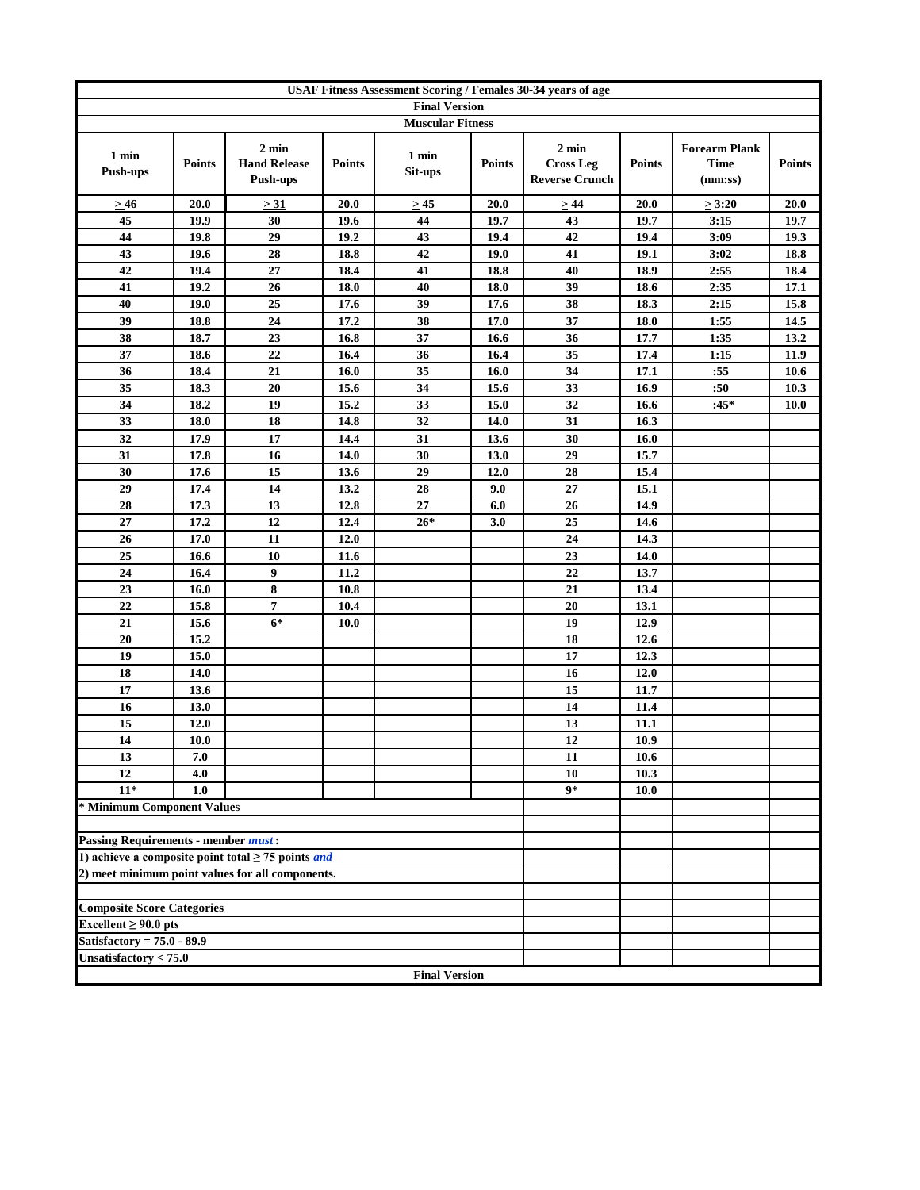|                                            | USAF Fitness Assessment Scoring / Females 30-34 years of age |                                                                |               |                         |               |                                                              |               |                                                |               |
|--------------------------------------------|--------------------------------------------------------------|----------------------------------------------------------------|---------------|-------------------------|---------------|--------------------------------------------------------------|---------------|------------------------------------------------|---------------|
|                                            |                                                              |                                                                |               | <b>Final Version</b>    |               |                                                              |               |                                                |               |
|                                            |                                                              |                                                                |               | <b>Muscular Fitness</b> |               |                                                              |               |                                                |               |
| 1 min<br><b>Push-ups</b>                   | <b>Points</b>                                                | $2 \text{ min}$<br><b>Hand Release</b><br>Push-ups             | <b>Points</b> | 1 min<br>Sit-ups        | <b>Points</b> | $2 \text{ min}$<br><b>Cross Leg</b><br><b>Reverse Crunch</b> | <b>Points</b> | <b>Forearm Plank</b><br><b>Time</b><br>(mm:ss) | <b>Points</b> |
| >46                                        | 20.0                                                         | > 31                                                           | 20.0          | $\geq$ 45               | 20.0          | $\geq 44$                                                    | 20.0          | $\geq 3:20$                                    | 20.0          |
| 45                                         | 19.9                                                         | 30                                                             | 19.6          | 44                      | 19.7          | 43                                                           | 19.7          | 3:15                                           | 19.7          |
| 44                                         | 19.8                                                         | 29                                                             | 19.2          | 43                      | 19.4          | 42                                                           | 19.4          | 3:09                                           | 19.3          |
| 43                                         | 19.6                                                         | 28                                                             | 18.8          | 42                      | 19.0          | 41                                                           | 19.1          | 3:02                                           | 18.8          |
| 42                                         | 19.4                                                         | 27                                                             | 18.4          | 41                      | 18.8          | 40                                                           | 18.9          | 2:55                                           | 18.4          |
| 41                                         | 19.2                                                         | 26                                                             | 18.0          | 40                      | 18.0          | 39                                                           | 18.6          | 2:35                                           | 17.1          |
| 40                                         | 19.0                                                         | 25                                                             | 17.6          | 39                      | 17.6          | 38                                                           | 18.3          | 2:15                                           | 15.8          |
| 39                                         | 18.8                                                         | 24                                                             | 17.2          | 38                      | 17.0          | 37                                                           | 18.0          | 1:55                                           | 14.5          |
| 38                                         | 18.7                                                         | 23                                                             | 16.8          | 37                      | 16.6          | 36                                                           | 17.7          | 1:35                                           | 13.2          |
| 37                                         | 18.6                                                         | 22                                                             | 16.4          | 36                      | 16.4          | 35                                                           | 17.4          | 1:15                                           | 11.9          |
| 36                                         | 18.4                                                         | 21                                                             | 16.0          | 35                      | 16.0          | 34                                                           | 17.1          | :55                                            | 10.6          |
| 35                                         | 18.3                                                         | 20                                                             | 15.6          | 34                      | 15.6          | 33                                                           | 16.9          | :50                                            | 10.3          |
| 34                                         | 18.2                                                         | 19                                                             | 15.2          | 33                      | 15.0          | 32                                                           | 16.6          | $:45*$                                         | <b>10.0</b>   |
| 33                                         | 18.0                                                         | 18                                                             | 14.8          | 32                      | 14.0          | 31                                                           | 16.3          |                                                |               |
| 32                                         | 17.9                                                         | 17                                                             | 14.4          | 31                      | 13.6          | 30                                                           | 16.0          |                                                |               |
| 31                                         | 17.8                                                         | 16                                                             | 14.0          | 30                      | 13.0          | 29                                                           | 15.7          |                                                |               |
| 30                                         | 17.6                                                         | 15                                                             | 13.6          | 29                      | 12.0          | 28                                                           | 15.4          |                                                |               |
| 29                                         | 17.4                                                         | 14                                                             | 13.2          | 28                      | 9.0           | 27                                                           | 15.1          |                                                |               |
| 28                                         | 17.3                                                         | 13                                                             | 12.8          | 27                      | 6.0           | 26                                                           | 14.9          |                                                |               |
| 27<br>26                                   | 17.2<br>17.0                                                 | 12<br>11                                                       | 12.4<br>12.0  | $26*$                   | 3.0           | 25<br>24                                                     | 14.6<br>14.3  |                                                |               |
| 25                                         | 16.6                                                         | 10                                                             | 11.6          |                         |               | 23                                                           | 14.0          |                                                |               |
| 24                                         | 16.4                                                         | 9                                                              | 11.2          |                         |               | 22                                                           | 13.7          |                                                |               |
| 23                                         | 16.0                                                         | 8                                                              | 10.8          |                         |               | 21                                                           | 13.4          |                                                |               |
| 22                                         | 15.8                                                         | 7                                                              | 10.4          |                         |               | 20                                                           | 13.1          |                                                |               |
| 21                                         | 15.6                                                         | $6*$                                                           | 10.0          |                         |               | 19                                                           | 12.9          |                                                |               |
| 20                                         | 15.2                                                         |                                                                |               |                         |               | 18                                                           | 12.6          |                                                |               |
| 19                                         | 15.0                                                         |                                                                |               |                         |               | 17                                                           | 12.3          |                                                |               |
| 18                                         | 14.0                                                         |                                                                |               |                         |               | 16                                                           | 12.0          |                                                |               |
| 17                                         | 13.6                                                         |                                                                |               |                         |               | 15                                                           | 11.7          |                                                |               |
| 16                                         | 13.0                                                         |                                                                |               |                         |               | 14                                                           | 11.4          |                                                |               |
| 15                                         | 12.0                                                         |                                                                |               |                         |               | 13                                                           | 11.1          |                                                |               |
| 14                                         | 10.0                                                         |                                                                |               |                         |               | 12                                                           | 10.9          |                                                |               |
| 13                                         | 7.0                                                          |                                                                |               |                         |               | 11                                                           | 10.6          |                                                |               |
| 12                                         | 4.0                                                          |                                                                |               |                         |               | 10                                                           | 10.3          |                                                |               |
| $11*$                                      | 1.0                                                          |                                                                |               |                         |               | $9*$                                                         | 10.0          |                                                |               |
| * Minimum Component Values                 |                                                              |                                                                |               |                         |               |                                                              |               |                                                |               |
|                                            |                                                              |                                                                |               |                         |               |                                                              |               |                                                |               |
| <b>Passing Requirements - member must:</b> |                                                              |                                                                |               |                         |               |                                                              |               |                                                |               |
|                                            |                                                              | 1) achieve a composite point total $\geq$ 75 points <i>and</i> |               |                         |               |                                                              |               |                                                |               |
|                                            |                                                              | 2) meet minimum point values for all components.               |               |                         |               |                                                              |               |                                                |               |
|                                            |                                                              |                                                                |               |                         |               |                                                              |               |                                                |               |
| <b>Composite Score Categories</b>          |                                                              |                                                                |               |                         |               |                                                              |               |                                                |               |
| Excellent $\geq 90.0$ pts                  |                                                              |                                                                |               |                         |               |                                                              |               |                                                |               |
| Satisfactory = $75.0 - 89.9$               |                                                              |                                                                |               |                         |               |                                                              |               |                                                |               |
| Unsatisfactory $< 75.0$                    |                                                              |                                                                |               |                         |               |                                                              |               |                                                |               |
|                                            |                                                              |                                                                |               | <b>Final Version</b>    |               |                                                              |               |                                                |               |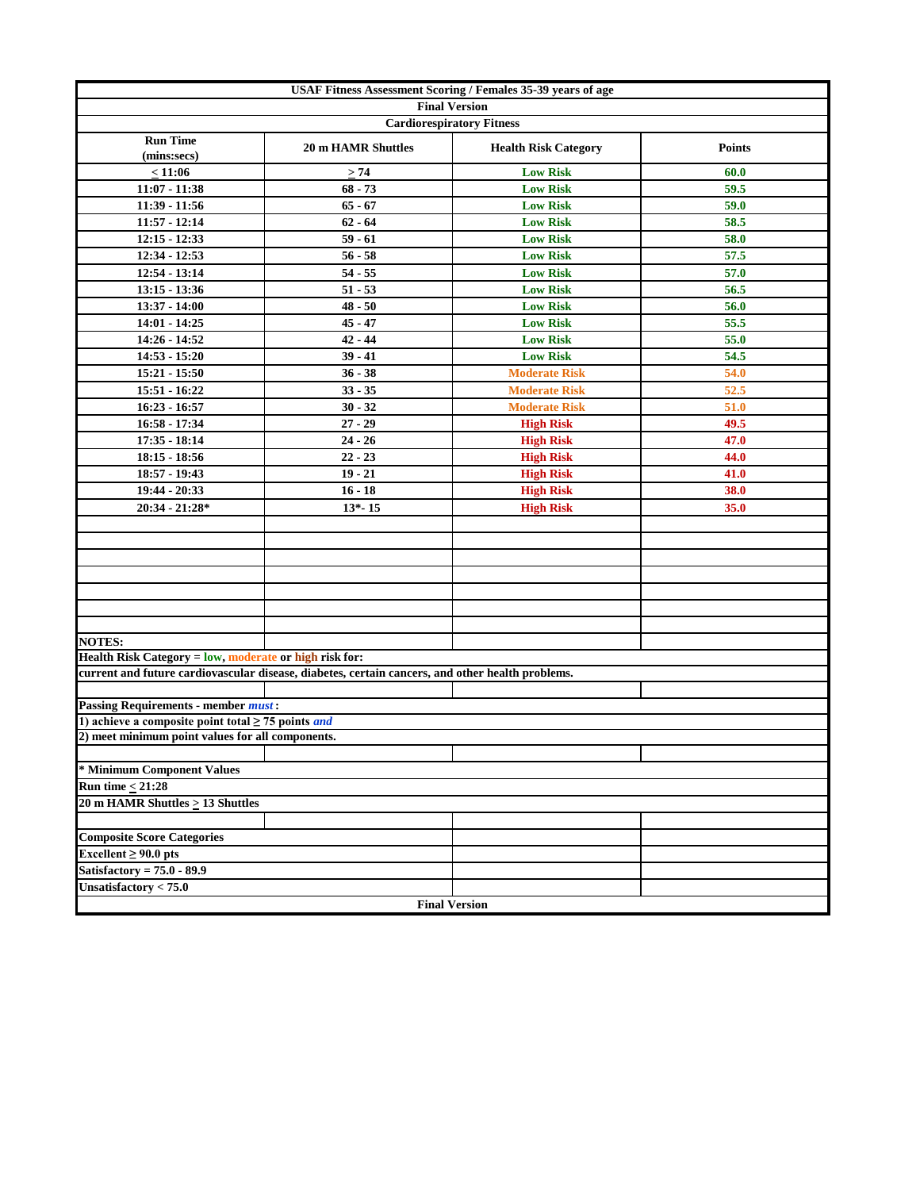| USAF Fitness Assessment Scoring / Females 35-39 years of age   |                                                                                                  |                             |               |  |  |  |  |  |
|----------------------------------------------------------------|--------------------------------------------------------------------------------------------------|-----------------------------|---------------|--|--|--|--|--|
| <b>Final Version</b><br><b>Cardiorespiratory Fitness</b>       |                                                                                                  |                             |               |  |  |  |  |  |
|                                                                |                                                                                                  |                             |               |  |  |  |  |  |
| <b>Run Time</b><br>(mins:secs)                                 | <b>20 m HAMR Shuttles</b>                                                                        | <b>Health Risk Category</b> | <b>Points</b> |  |  |  |  |  |
| < 11:06                                                        | $\geq 74$                                                                                        | <b>Low Risk</b>             | 60.0          |  |  |  |  |  |
| $11:07 - 11:38$                                                | $68 - 73$                                                                                        | <b>Low Risk</b>             | 59.5          |  |  |  |  |  |
| 11:39 - 11:56                                                  | $65 - 67$                                                                                        | <b>Low Risk</b>             | 59.0          |  |  |  |  |  |
| $11:57 - 12:14$                                                | $62 - 64$                                                                                        | <b>Low Risk</b>             | 58.5          |  |  |  |  |  |
| $12:15 - 12:33$                                                | $59 - 61$                                                                                        | <b>Low Risk</b>             | 58.0          |  |  |  |  |  |
| 12:34 - 12:53                                                  | $56 - 58$                                                                                        | <b>Low Risk</b>             | 57.5          |  |  |  |  |  |
| $12:54 - 13:14$                                                | $54 - 55$                                                                                        | <b>Low Risk</b>             | 57.0          |  |  |  |  |  |
| $13:15 - 13:36$                                                | $51 - 53$                                                                                        | <b>Low Risk</b>             | 56.5          |  |  |  |  |  |
| 13:37 - 14:00                                                  | $48 - 50$                                                                                        | <b>Low Risk</b>             | 56.0          |  |  |  |  |  |
| 14:01 - 14:25                                                  | $45 - 47$                                                                                        | <b>Low Risk</b>             | 55.5          |  |  |  |  |  |
| 14:26 - 14:52                                                  | $42 - 44$                                                                                        | <b>Low Risk</b>             | 55.0          |  |  |  |  |  |
| $14:53 - 15:20$                                                | $39 - 41$                                                                                        | <b>Low Risk</b>             | 54.5          |  |  |  |  |  |
| 15:21 - 15:50                                                  | $36 - 38$                                                                                        | <b>Moderate Risk</b>        | 54.0          |  |  |  |  |  |
| 15:51 - 16:22                                                  | $33 - 35$                                                                                        | <b>Moderate Risk</b>        | 52.5          |  |  |  |  |  |
| $16:23 - 16:57$                                                | $30 - 32$                                                                                        | <b>Moderate Risk</b>        | 51.0          |  |  |  |  |  |
| $16:58 - 17:34$                                                | $27 - 29$                                                                                        | <b>High Risk</b>            | 49.5          |  |  |  |  |  |
| $17:35 - 18:14$                                                | $24 - 26$                                                                                        | <b>High Risk</b>            | 47.0          |  |  |  |  |  |
| $18:15 - 18:56$                                                | $22 - 23$                                                                                        | <b>High Risk</b>            | 44.0          |  |  |  |  |  |
| 18:57 - 19:43                                                  | $19 - 21$                                                                                        | <b>High Risk</b>            | 41.0          |  |  |  |  |  |
| 19:44 - 20:33                                                  | $16 - 18$                                                                                        | <b>High Risk</b>            | 38.0          |  |  |  |  |  |
| $20:34 - 21:28*$                                               | $13 - 15$                                                                                        | <b>High Risk</b>            | 35.0          |  |  |  |  |  |
|                                                                |                                                                                                  |                             |               |  |  |  |  |  |
|                                                                |                                                                                                  |                             |               |  |  |  |  |  |
|                                                                |                                                                                                  |                             |               |  |  |  |  |  |
|                                                                |                                                                                                  |                             |               |  |  |  |  |  |
|                                                                |                                                                                                  |                             |               |  |  |  |  |  |
|                                                                |                                                                                                  |                             |               |  |  |  |  |  |
|                                                                |                                                                                                  |                             |               |  |  |  |  |  |
| <b>NOTES:</b>                                                  |                                                                                                  |                             |               |  |  |  |  |  |
| Health Risk Category = low, moderate or high risk for:         |                                                                                                  |                             |               |  |  |  |  |  |
|                                                                | current and future cardiovascular disease, diabetes, certain cancers, and other health problems. |                             |               |  |  |  |  |  |
|                                                                |                                                                                                  |                             |               |  |  |  |  |  |
| <b>Passing Requirements - member must:</b>                     |                                                                                                  |                             |               |  |  |  |  |  |
| 1) achieve a composite point total $\geq$ 75 points <i>and</i> |                                                                                                  |                             |               |  |  |  |  |  |
| 2) meet minimum point values for all components.               |                                                                                                  |                             |               |  |  |  |  |  |
|                                                                |                                                                                                  |                             |               |  |  |  |  |  |
| * Minimum Component Values                                     |                                                                                                  |                             |               |  |  |  |  |  |
| Run time $<$ 21:28                                             |                                                                                                  |                             |               |  |  |  |  |  |
| 20 m HAMR Shuttles > 13 Shuttles                               |                                                                                                  |                             |               |  |  |  |  |  |
|                                                                |                                                                                                  |                             |               |  |  |  |  |  |
| <b>Composite Score Categories</b>                              |                                                                                                  |                             |               |  |  |  |  |  |
| Excellent $\geq 90.0$ pts                                      |                                                                                                  |                             |               |  |  |  |  |  |
| Satisfactory = $75.0 - 89.9$                                   |                                                                                                  |                             |               |  |  |  |  |  |
| Unsatisfactory $< 75.0$                                        |                                                                                                  |                             |               |  |  |  |  |  |
|                                                                | <b>Final Version</b>                                                                             |                             |               |  |  |  |  |  |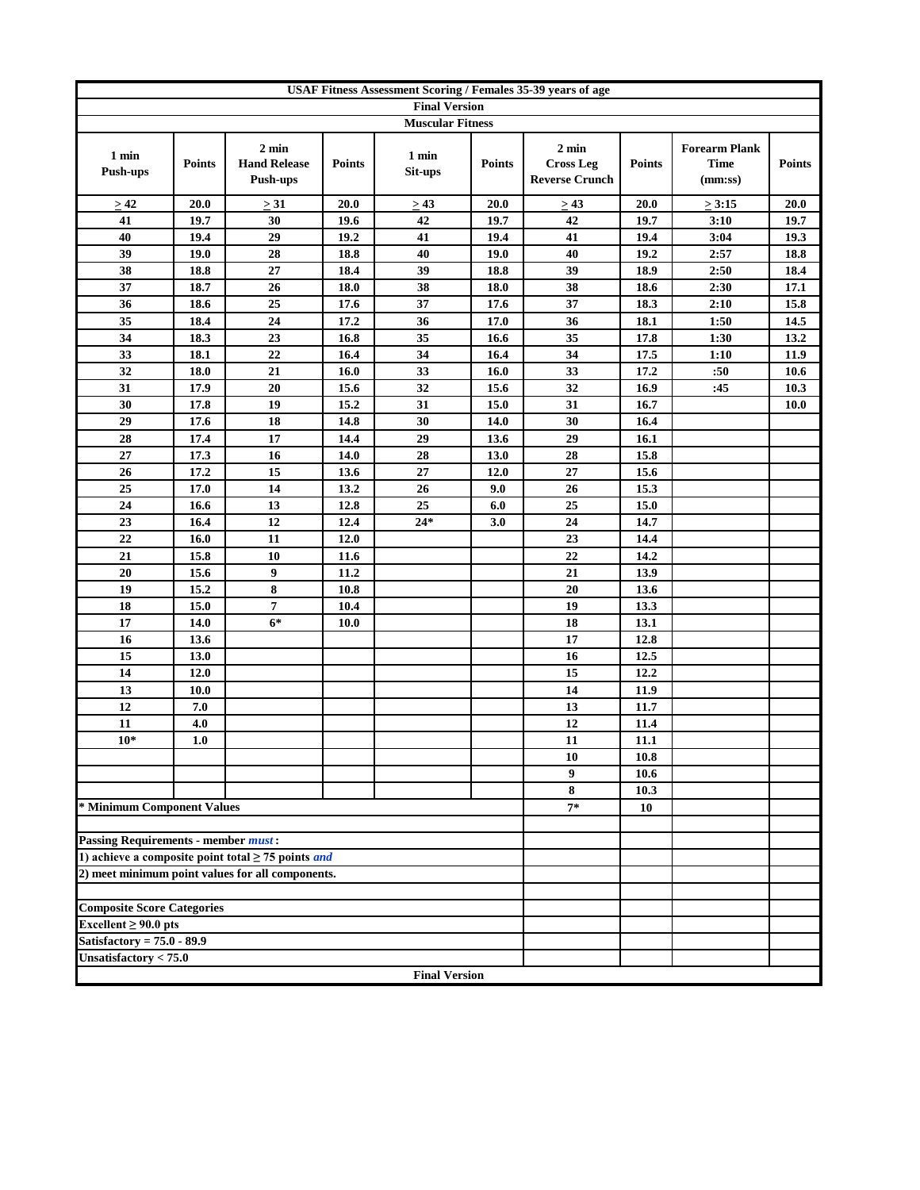|                                            | USAF Fitness Assessment Scoring / Females 35-39 years of age |                                                                |               |                         |               |                                                              |               |                                                |               |  |
|--------------------------------------------|--------------------------------------------------------------|----------------------------------------------------------------|---------------|-------------------------|---------------|--------------------------------------------------------------|---------------|------------------------------------------------|---------------|--|
|                                            |                                                              |                                                                |               | <b>Final Version</b>    |               |                                                              |               |                                                |               |  |
|                                            |                                                              |                                                                |               | <b>Muscular Fitness</b> |               |                                                              |               |                                                |               |  |
| 1 min<br><b>Push-ups</b>                   | <b>Points</b>                                                | $2 \text{ min}$<br><b>Hand Release</b><br>Push-ups             | <b>Points</b> | 1 min<br>Sit-ups        | <b>Points</b> | $2 \text{ min}$<br><b>Cross Leg</b><br><b>Reverse Crunch</b> | <b>Points</b> | <b>Forearm Plank</b><br><b>Time</b><br>(mm:ss) | <b>Points</b> |  |
| >42                                        | 20.0                                                         | $\geq 31$                                                      | 20.0          | $\geq$ 43               | 20.0          | $\geq$ 43                                                    | 20.0          | $\geq 3:15$                                    | 20.0          |  |
| 41                                         | 19.7                                                         | 30                                                             | 19.6          | 42                      | 19.7          | 42                                                           | 19.7          | 3:10                                           | 19.7          |  |
| 40                                         | 19.4                                                         | 29                                                             | 19.2          | 41                      | 19.4          | 41                                                           | 19.4          | 3:04                                           | 19.3          |  |
| 39                                         | 19.0                                                         | 28                                                             | 18.8          | 40                      | 19.0          | 40                                                           | 19.2          | 2:57                                           | 18.8          |  |
| 38                                         | 18.8                                                         | 27                                                             | 18.4          | 39                      | 18.8          | 39                                                           | 18.9          | 2:50                                           | 18.4          |  |
| 37                                         | 18.7                                                         | 26                                                             | 18.0          | 38                      | 18.0          | 38                                                           | 18.6          | 2:30                                           | 17.1          |  |
| 36                                         | 18.6                                                         | 25                                                             | 17.6          | 37                      | 17.6          | 37                                                           | 18.3          | 2:10                                           | 15.8          |  |
| 35                                         | 18.4                                                         | 24                                                             | 17.2          | 36                      | 17.0          | 36                                                           | 18.1          | 1:50                                           | 14.5          |  |
| 34                                         | 18.3                                                         | 23                                                             | 16.8          | 35                      | 16.6          | 35                                                           | 17.8          | 1:30                                           | 13.2          |  |
| 33                                         | 18.1                                                         | 22                                                             | 16.4          | 34                      | 16.4          | 34                                                           | 17.5          | 1:10                                           | 11.9          |  |
| 32                                         | 18.0                                                         | 21                                                             | 16.0          | 33                      | 16.0          | 33                                                           | 17.2          | :50                                            | 10.6          |  |
| 31                                         | 17.9                                                         | 20                                                             | 15.6          | 32                      | 15.6          | 32                                                           | 16.9          | :45                                            | 10.3          |  |
| 30                                         | 17.8                                                         | 19                                                             | 15.2          | 31                      | 15.0          | 31                                                           | 16.7          |                                                | <b>10.0</b>   |  |
| 29                                         | 17.6                                                         | 18                                                             | 14.8          | 30                      | 14.0          | 30                                                           | 16.4          |                                                |               |  |
| 28                                         | 17.4                                                         | 17                                                             | 14.4          | 29                      | 13.6          | 29                                                           | 16.1          |                                                |               |  |
| 27                                         | 17.3                                                         | 16                                                             | 14.0          | 28                      | 13.0          | 28                                                           | 15.8          |                                                |               |  |
| 26                                         | 17.2                                                         | 15                                                             | 13.6          | 27                      | 12.0          | 27                                                           | 15.6          |                                                |               |  |
| 25                                         | 17.0                                                         | 14                                                             | 13.2          | 26                      | 9.0           | 26                                                           | 15.3          |                                                |               |  |
| 24                                         | 16.6                                                         | 13                                                             | 12.8          | 25                      | 6.0           | 25                                                           | 15.0          |                                                |               |  |
| 23                                         | 16.4                                                         | 12                                                             | 12.4          | $24*$                   | 3.0           | 24                                                           | 14.7          |                                                |               |  |
| 22                                         | 16.0                                                         | 11                                                             | 12.0          |                         |               | 23                                                           | 14.4          |                                                |               |  |
| 21                                         | 15.8                                                         | 10                                                             | 11.6          |                         |               | $\overline{22}$                                              | 14.2          |                                                |               |  |
| 20                                         | 15.6                                                         | 9                                                              | 11.2          |                         |               | 21                                                           | 13.9          |                                                |               |  |
| 19                                         | 15.2                                                         | 8                                                              | 10.8          |                         |               | 20                                                           | 13.6          |                                                |               |  |
| 18                                         | 15.0                                                         | 7                                                              | 10.4          |                         |               | 19                                                           | 13.3          |                                                |               |  |
| 17                                         | 14.0                                                         | $6*$                                                           | 10.0          |                         |               | 18                                                           | 13.1          |                                                |               |  |
| 16                                         | 13.6                                                         |                                                                |               |                         |               | 17                                                           | 12.8          |                                                |               |  |
| 15<br>14                                   | 13.0                                                         |                                                                |               |                         |               | 16<br>15                                                     | 12.5<br>12.2  |                                                |               |  |
| 13                                         | 12.0                                                         |                                                                |               |                         |               | 14                                                           | 11.9          |                                                |               |  |
| 12                                         | <b>10.0</b><br>7.0                                           |                                                                |               |                         |               | 13                                                           | 11.7          |                                                |               |  |
| 11                                         | 4.0                                                          |                                                                |               |                         |               | 12                                                           | 11.4          |                                                |               |  |
| $10*$                                      | 1.0                                                          |                                                                |               |                         |               | 11                                                           | 11.1          |                                                |               |  |
|                                            |                                                              |                                                                |               |                         |               | 10                                                           | 10.8          |                                                |               |  |
|                                            |                                                              |                                                                |               |                         |               | 9                                                            | 10.6          |                                                |               |  |
|                                            |                                                              |                                                                |               |                         |               | 8                                                            | 10.3          |                                                |               |  |
| * Minimum Component Values                 |                                                              |                                                                |               |                         |               | $7*$                                                         | 10            |                                                |               |  |
|                                            |                                                              |                                                                |               |                         |               |                                                              |               |                                                |               |  |
| <b>Passing Requirements - member must:</b> |                                                              |                                                                |               |                         |               |                                                              |               |                                                |               |  |
|                                            |                                                              | 1) achieve a composite point total $\geq$ 75 points <i>and</i> |               |                         |               |                                                              |               |                                                |               |  |
|                                            |                                                              | 2) meet minimum point values for all components.               |               |                         |               |                                                              |               |                                                |               |  |
|                                            |                                                              |                                                                |               |                         |               |                                                              |               |                                                |               |  |
| <b>Composite Score Categories</b>          |                                                              |                                                                |               |                         |               |                                                              |               |                                                |               |  |
| Excellent $\geq 90.0$ pts                  |                                                              |                                                                |               |                         |               |                                                              |               |                                                |               |  |
| Satisfactory = $75.0 - 89.9$               |                                                              |                                                                |               |                         |               |                                                              |               |                                                |               |  |
| Unsatisfactory $< 75.0$                    |                                                              |                                                                |               |                         |               |                                                              |               |                                                |               |  |
|                                            |                                                              |                                                                |               | <b>Final Version</b>    |               |                                                              |               |                                                |               |  |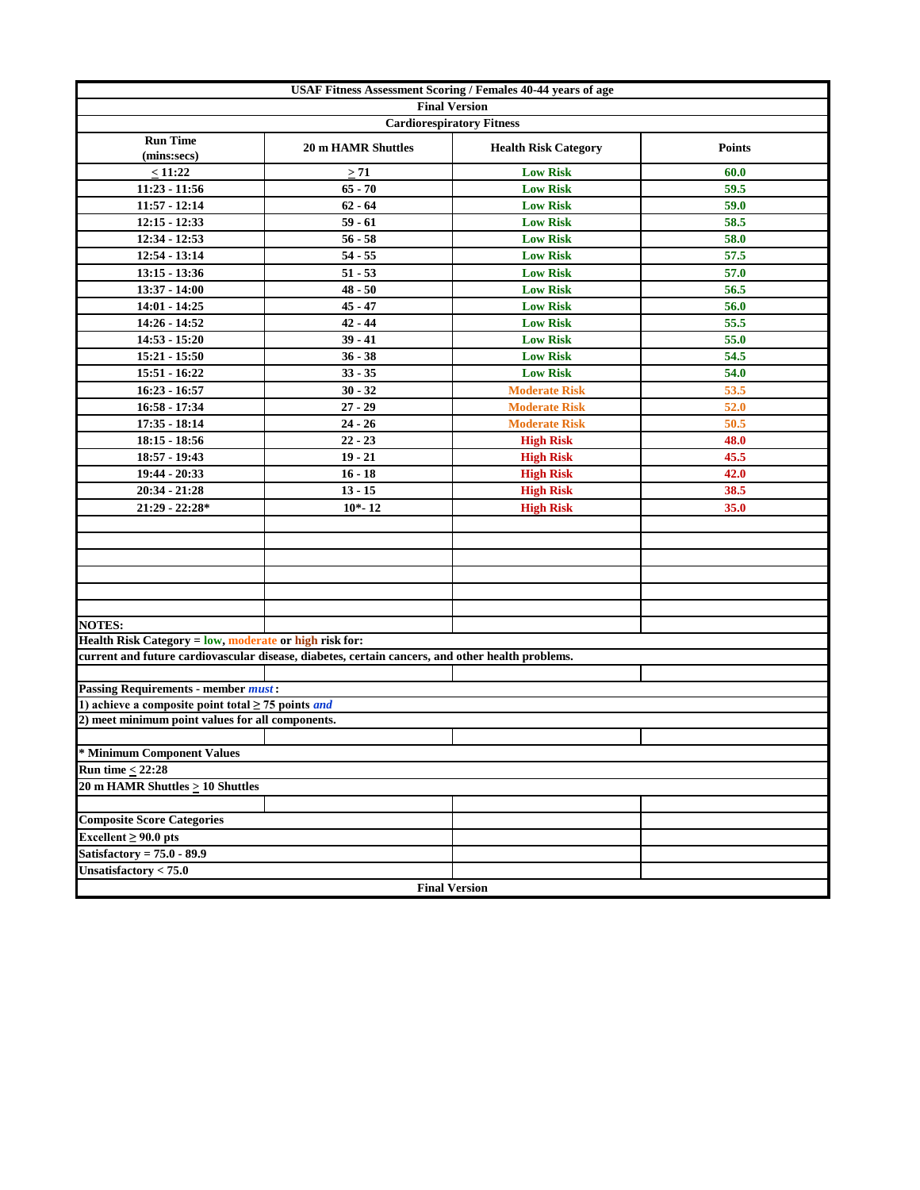| <b>USAF Fitness Assessment Scoring / Females 40-44 years of age</b> |                                                                                                  |                                  |               |  |  |  |  |  |
|---------------------------------------------------------------------|--------------------------------------------------------------------------------------------------|----------------------------------|---------------|--|--|--|--|--|
|                                                                     |                                                                                                  | <b>Final Version</b>             |               |  |  |  |  |  |
|                                                                     |                                                                                                  | <b>Cardiorespiratory Fitness</b> |               |  |  |  |  |  |
| <b>Run Time</b><br>(mins:secs)                                      | <b>20 m HAMR Shuttles</b>                                                                        | <b>Health Risk Category</b>      | <b>Points</b> |  |  |  |  |  |
| < 11:22                                                             | $\geq 71$                                                                                        | <b>Low Risk</b>                  | 60.0          |  |  |  |  |  |
| $11:23 - 11:56$                                                     | $65 - 70$                                                                                        | <b>Low Risk</b>                  | 59.5          |  |  |  |  |  |
| $11:57 - 12:14$                                                     | $62 - 64$                                                                                        | <b>Low Risk</b>                  | 59.0          |  |  |  |  |  |
| $12:15 - 12:33$                                                     | $59 - 61$                                                                                        | <b>Low Risk</b>                  | 58.5          |  |  |  |  |  |
| 12:34 - 12:53                                                       | $56 - 58$                                                                                        | <b>Low Risk</b>                  | 58.0          |  |  |  |  |  |
| $12:54 - 13:14$                                                     | $54 - 55$                                                                                        | <b>Low Risk</b>                  | 57.5          |  |  |  |  |  |
| $13:15 - 13:36$                                                     | $51 - 53$                                                                                        | <b>Low Risk</b>                  | 57.0          |  |  |  |  |  |
| 13:37 - 14:00                                                       | $48 - 50$                                                                                        | <b>Low Risk</b>                  | 56.5          |  |  |  |  |  |
| 14:01 - 14:25                                                       | $45 - 47$                                                                                        | <b>Low Risk</b>                  | 56.0          |  |  |  |  |  |
| 14:26 - 14:52                                                       | $42 - 44$                                                                                        | <b>Low Risk</b>                  | 55.5          |  |  |  |  |  |
| 14:53 - 15:20                                                       | $39 - 41$                                                                                        | <b>Low Risk</b>                  | 55.0          |  |  |  |  |  |
| $15:21 - 15:50$                                                     | $36 - 38$                                                                                        | <b>Low Risk</b>                  | 54.5          |  |  |  |  |  |
| 15:51 - 16:22                                                       | $33 - 35$                                                                                        | <b>Low Risk</b>                  | 54.0          |  |  |  |  |  |
| $16:23 - 16:57$                                                     | $30 - 32$                                                                                        | <b>Moderate Risk</b>             | 53.5          |  |  |  |  |  |
| 16:58 - 17:34                                                       | $27 - 29$                                                                                        | <b>Moderate Risk</b>             | 52.0          |  |  |  |  |  |
| $17:35 - 18:14$                                                     | $24 - 26$                                                                                        | <b>Moderate Risk</b>             | 50.5          |  |  |  |  |  |
| $18:15 - 18:56$                                                     | $22 - 23$                                                                                        | <b>High Risk</b>                 | 48.0          |  |  |  |  |  |
| 18:57 - 19:43                                                       | $19 - 21$                                                                                        | <b>High Risk</b>                 | 45.5          |  |  |  |  |  |
| 19:44 - 20:33                                                       | $16 - 18$                                                                                        | <b>High Risk</b>                 | 42.0          |  |  |  |  |  |
| 20:34 - 21:28                                                       | $13 - 15$                                                                                        | <b>High Risk</b>                 | 38.5          |  |  |  |  |  |
| $21:29 - 22:28*$                                                    | $10 - 12$                                                                                        | <b>High Risk</b>                 | 35.0          |  |  |  |  |  |
|                                                                     |                                                                                                  |                                  |               |  |  |  |  |  |
|                                                                     |                                                                                                  |                                  |               |  |  |  |  |  |
|                                                                     |                                                                                                  |                                  |               |  |  |  |  |  |
|                                                                     |                                                                                                  |                                  |               |  |  |  |  |  |
|                                                                     |                                                                                                  |                                  |               |  |  |  |  |  |
|                                                                     |                                                                                                  |                                  |               |  |  |  |  |  |
| <b>NOTES:</b>                                                       |                                                                                                  |                                  |               |  |  |  |  |  |
| Health Risk Category = low, moderate or high risk for:              |                                                                                                  |                                  |               |  |  |  |  |  |
|                                                                     | current and future cardiovascular disease, diabetes, certain cancers, and other health problems. |                                  |               |  |  |  |  |  |
|                                                                     |                                                                                                  |                                  |               |  |  |  |  |  |
| <b>Passing Requirements - member must:</b>                          |                                                                                                  |                                  |               |  |  |  |  |  |
| 1) achieve a composite point total $\geq$ 75 points and             |                                                                                                  |                                  |               |  |  |  |  |  |
| 2) meet minimum point values for all components.                    |                                                                                                  |                                  |               |  |  |  |  |  |
|                                                                     |                                                                                                  |                                  |               |  |  |  |  |  |
| * Minimum Component Values                                          |                                                                                                  |                                  |               |  |  |  |  |  |
| Run time $\leq$ 22:28                                               |                                                                                                  |                                  |               |  |  |  |  |  |
| 20 m HAMR Shuttles > 10 Shuttles                                    |                                                                                                  |                                  |               |  |  |  |  |  |
|                                                                     |                                                                                                  |                                  |               |  |  |  |  |  |
| <b>Composite Score Categories</b>                                   |                                                                                                  |                                  |               |  |  |  |  |  |
| Excellent $\geq 90.0$ pts                                           |                                                                                                  |                                  |               |  |  |  |  |  |
| Satisfactory = $75.0 - 89.9$                                        |                                                                                                  |                                  |               |  |  |  |  |  |
| Unsatisfactory < 75.0                                               |                                                                                                  |                                  |               |  |  |  |  |  |
|                                                                     |                                                                                                  | <b>Final Version</b>             |               |  |  |  |  |  |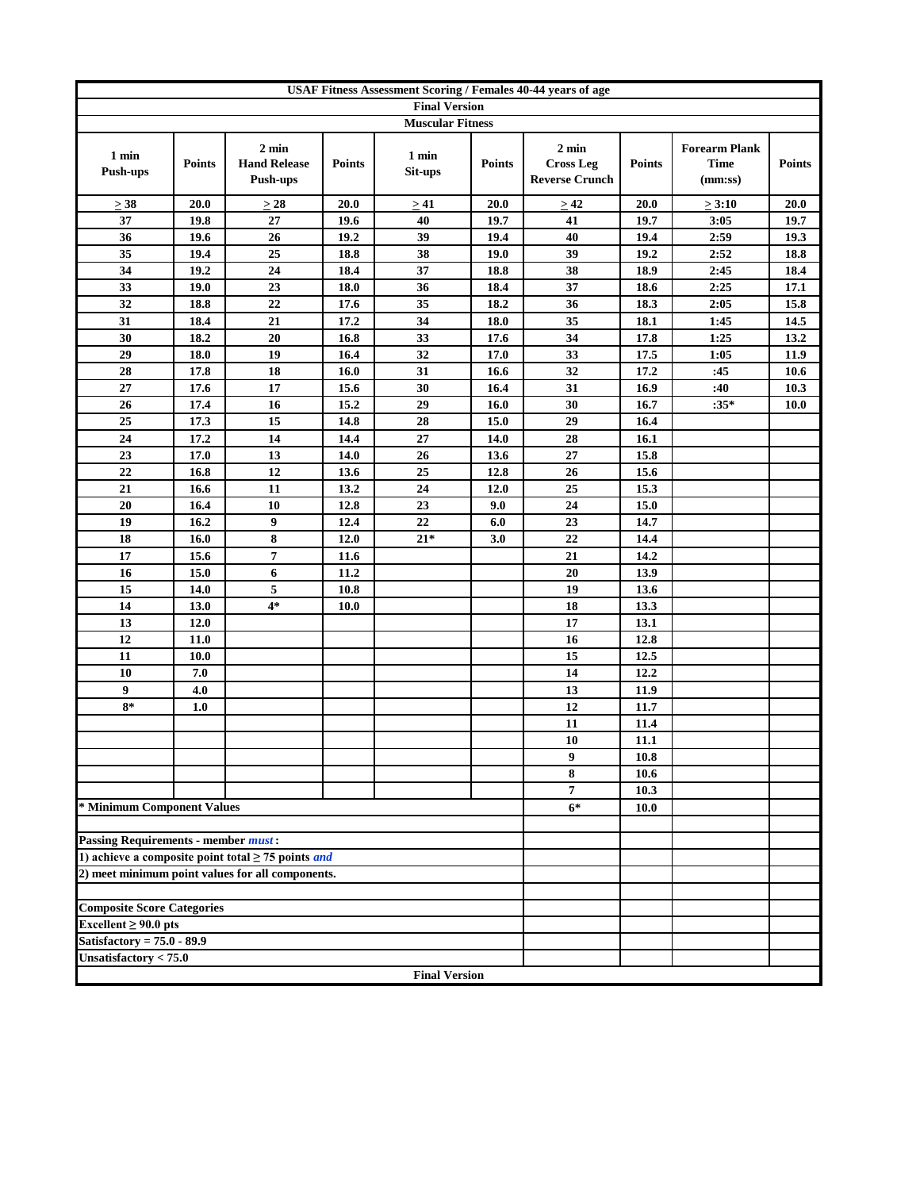| <b>USAF Fitness Assessment Scoring / Females 40-44 years of age</b> |               |                                                                |               |                      |               |                                                              |               |                                                |               |
|---------------------------------------------------------------------|---------------|----------------------------------------------------------------|---------------|----------------------|---------------|--------------------------------------------------------------|---------------|------------------------------------------------|---------------|
| <b>Final Version</b><br><b>Muscular Fitness</b>                     |               |                                                                |               |                      |               |                                                              |               |                                                |               |
|                                                                     |               |                                                                |               |                      |               |                                                              |               |                                                |               |
| 1 min<br><b>Push-ups</b>                                            | <b>Points</b> | $2 \text{ min}$<br><b>Hand Release</b><br>Push-ups             | <b>Points</b> | 1 min<br>Sit-ups     | <b>Points</b> | $2 \text{ min}$<br><b>Cross Leg</b><br><b>Reverse Crunch</b> | <b>Points</b> | <b>Forearm Plank</b><br><b>Time</b><br>(mm:ss) | <b>Points</b> |
| $\geq 38$                                                           | 20.0          | $\geq$ 28                                                      | 20.0          | > 41                 | 20.0          | $\geq 42$                                                    | 20.0          | $\geq 3:10$                                    | 20.0          |
| 37                                                                  | 19.8          | $27\,$                                                         | 19.6          | 40                   | 19.7          | 41                                                           | 19.7          | 3:05                                           | 19.7          |
| 36                                                                  | 19.6          | 26                                                             | 19.2          | 39                   | 19.4          | 40                                                           | 19.4          | 2:59                                           | 19.3          |
| 35                                                                  | 19.4          | 25                                                             | 18.8          | 38                   | 19.0          | 39                                                           | 19.2          | 2:52                                           | 18.8          |
| 34                                                                  | 19.2          | 24                                                             | 18.4          | 37                   | 18.8          | 38                                                           | 18.9          | 2:45                                           | 18.4          |
| 33                                                                  | 19.0          | 23                                                             | 18.0          | 36                   | 18.4          | 37                                                           | 18.6          | 2:25                                           | 17.1          |
| 32                                                                  | 18.8          | 22                                                             | 17.6          | 35                   | 18.2          | 36                                                           | 18.3          | 2:05                                           | 15.8          |
| 31                                                                  | 18.4          | 21                                                             | 17.2          | 34                   | 18.0          | 35                                                           | 18.1          | 1:45                                           | 14.5          |
| 30                                                                  | 18.2          | 20                                                             | 16.8          | 33                   | 17.6          | 34                                                           | 17.8          | 1:25                                           | 13.2          |
| 29                                                                  | 18.0          | 19                                                             | 16.4          | 32                   | 17.0          | 33                                                           | 17.5          | 1:05                                           | 11.9          |
| 28                                                                  | 17.8          | 18                                                             | 16.0          | 31                   | 16.6          | 32                                                           | 17.2          | :45                                            | 10.6          |
| 27                                                                  | 17.6          | 17                                                             | 15.6          | 30                   | 16.4          | 31                                                           | 16.9          | :40                                            | 10.3          |
| 26                                                                  | 17.4          | 16                                                             | 15.2          | 29                   | 16.0          | 30                                                           | 16.7          | $:35*$                                         | <b>10.0</b>   |
| 25<br>24                                                            | 17.3<br>17.2  | 15<br>14                                                       | 14.8<br>14.4  | 28<br>$27\,$         | 15.0<br>14.0  | 29<br>28                                                     | 16.4<br>16.1  |                                                |               |
| 23                                                                  | 17.0          | 13                                                             | 14.0          | 26                   | 13.6          | 27                                                           | 15.8          |                                                |               |
| 22                                                                  | 16.8          | 12                                                             | 13.6          | 25                   | 12.8          | 26                                                           | 15.6          |                                                |               |
| 21                                                                  | 16.6          | 11                                                             | 13.2          | 24                   | 12.0          | 25                                                           | 15.3          |                                                |               |
| 20                                                                  | 16.4          | 10                                                             | 12.8          | 23                   | 9.0           | 24                                                           | 15.0          |                                                |               |
| 19                                                                  | 16.2          | 9                                                              | 12.4          | 22                   | 6.0           | 23                                                           | 14.7          |                                                |               |
| 18                                                                  | 16.0          | 8                                                              | 12.0          | $21*$                | 3.0           | 22                                                           | 14.4          |                                                |               |
| 17                                                                  | 15.6          | $\overline{7}$                                                 | 11.6          |                      |               | 21                                                           | 14.2          |                                                |               |
| 16                                                                  | 15.0          | 6                                                              | 11.2          |                      |               | 20                                                           | 13.9          |                                                |               |
| 15                                                                  | 14.0          | 5                                                              | 10.8          |                      |               | 19                                                           | 13.6          |                                                |               |
| 14                                                                  | 13.0          | $4*$                                                           | 10.0          |                      |               | 18                                                           | 13.3          |                                                |               |
| 13                                                                  | 12.0          |                                                                |               |                      |               | 17                                                           | 13.1          |                                                |               |
| 12                                                                  | 11.0          |                                                                |               |                      |               | 16                                                           | 12.8          |                                                |               |
| 11                                                                  | 10.0          |                                                                |               |                      |               | 15                                                           | 12.5          |                                                |               |
| 10                                                                  | 7.0           |                                                                |               |                      |               | 14                                                           | 12.2          |                                                |               |
| 9                                                                   | 4.0           |                                                                |               |                      |               | 13                                                           | 11.9          |                                                |               |
| $8*$                                                                | 1.0           |                                                                |               |                      |               | 12                                                           | 11.7          |                                                |               |
|                                                                     |               |                                                                |               |                      |               | 11                                                           | 11.4          |                                                |               |
|                                                                     |               |                                                                |               |                      |               | 10                                                           | 11.1          |                                                |               |
|                                                                     |               |                                                                |               |                      |               | 9                                                            | 10.8          |                                                |               |
|                                                                     |               |                                                                |               |                      |               | 8                                                            | 10.6          |                                                |               |
|                                                                     |               |                                                                |               |                      |               | $\overline{7}$                                               | 10.3          |                                                |               |
| * Minimum Component Values                                          |               |                                                                |               |                      |               | $6*$                                                         | 10.0          |                                                |               |
|                                                                     |               |                                                                |               |                      |               |                                                              |               |                                                |               |
| <b>Passing Requirements - member must:</b>                          |               | 1) achieve a composite point total $\geq$ 75 points <i>and</i> |               |                      |               |                                                              |               |                                                |               |
|                                                                     |               | 2) meet minimum point values for all components.               |               |                      |               |                                                              |               |                                                |               |
|                                                                     |               |                                                                |               |                      |               |                                                              |               |                                                |               |
| <b>Composite Score Categories</b>                                   |               |                                                                |               |                      |               |                                                              |               |                                                |               |
| Excellent $\geq 90.0$ pts                                           |               |                                                                |               |                      |               |                                                              |               |                                                |               |
| Satisfactory = $75.0 - 89.9$                                        |               |                                                                |               |                      |               |                                                              |               |                                                |               |
| Unsatisfactory $< 75.0$                                             |               |                                                                |               |                      |               |                                                              |               |                                                |               |
|                                                                     |               |                                                                |               | <b>Final Version</b> |               |                                                              |               |                                                |               |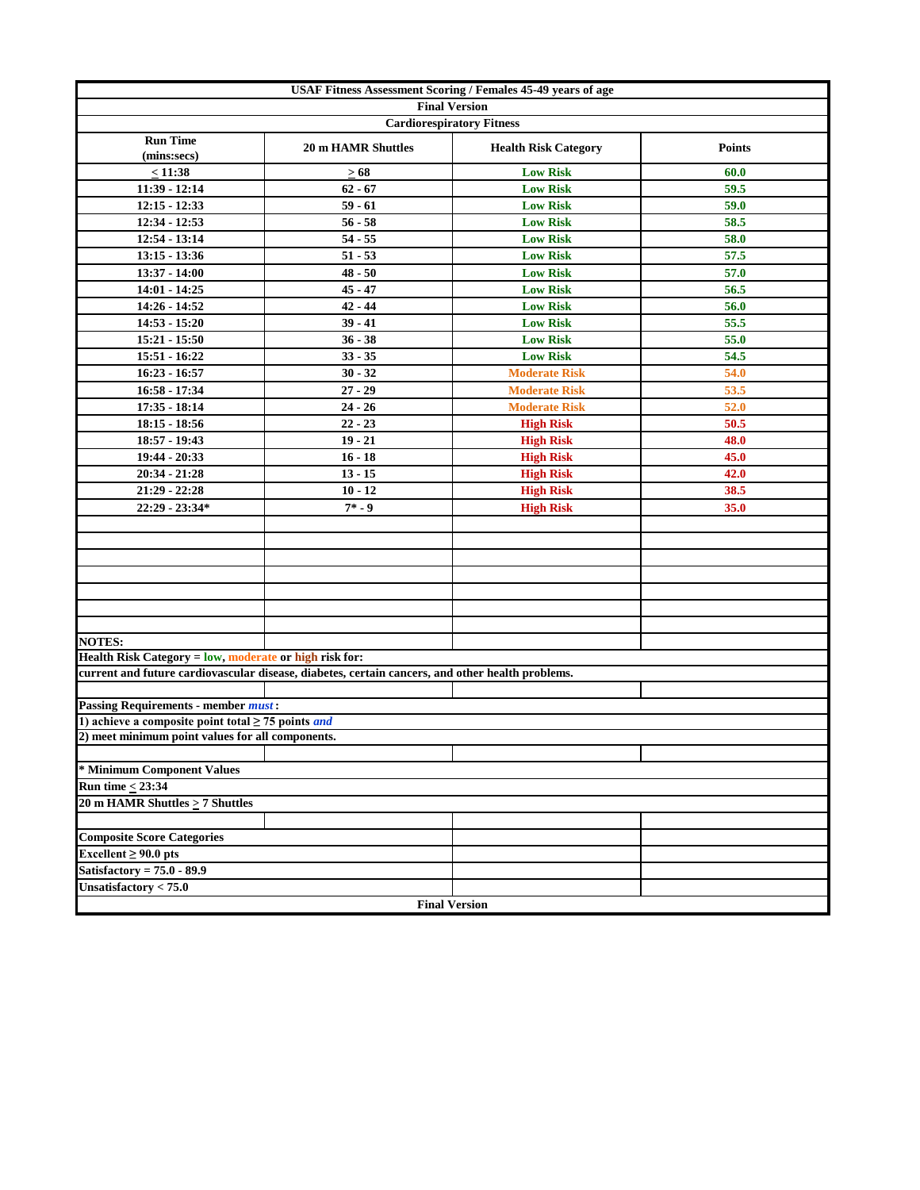| USAF Fitness Assessment Scoring / Females 45-49 years of age   |                                                                                                  |                             |               |  |  |  |  |  |
|----------------------------------------------------------------|--------------------------------------------------------------------------------------------------|-----------------------------|---------------|--|--|--|--|--|
| <b>Final Version</b><br><b>Cardiorespiratory Fitness</b>       |                                                                                                  |                             |               |  |  |  |  |  |
|                                                                |                                                                                                  |                             |               |  |  |  |  |  |
| <b>Run Time</b><br>(mins:secs)                                 | <b>20 m HAMR Shuttles</b>                                                                        | <b>Health Risk Category</b> | <b>Points</b> |  |  |  |  |  |
| < 11:38                                                        | $\geq 68$                                                                                        | <b>Low Risk</b>             | 60.0          |  |  |  |  |  |
| $11:39 - 12:14$                                                | $62 - 67$                                                                                        | <b>Low Risk</b>             | 59.5          |  |  |  |  |  |
| $12:15 - 12:33$                                                | $59 - 61$                                                                                        | <b>Low Risk</b>             | 59.0          |  |  |  |  |  |
| 12:34 - 12:53                                                  | $56 - 58$                                                                                        | <b>Low Risk</b>             | 58.5          |  |  |  |  |  |
| 12:54 - 13:14                                                  | $54 - 55$                                                                                        | <b>Low Risk</b>             | 58.0          |  |  |  |  |  |
| $13:15 - 13:36$                                                | $51 - 53$                                                                                        | <b>Low Risk</b>             | 57.5          |  |  |  |  |  |
| 13:37 - 14:00                                                  | $48 - 50$                                                                                        | <b>Low Risk</b>             | 57.0          |  |  |  |  |  |
| $14:01 - 14:25$                                                | $45 - 47$                                                                                        | <b>Low Risk</b>             | 56.5          |  |  |  |  |  |
| 14:26 - 14:52                                                  | $42 - 44$                                                                                        | <b>Low Risk</b>             | 56.0          |  |  |  |  |  |
| 14:53 - 15:20                                                  | $39 - 41$                                                                                        | <b>Low Risk</b>             | 55.5          |  |  |  |  |  |
| 15:21 - 15:50                                                  | $36 - 38$                                                                                        | <b>Low Risk</b>             | 55.0          |  |  |  |  |  |
| 15:51 - 16:22                                                  | $33 - 35$                                                                                        | <b>Low Risk</b>             | 54.5          |  |  |  |  |  |
| $16:23 - 16:57$                                                | $30 - 32$                                                                                        | <b>Moderate Risk</b>        | 54.0          |  |  |  |  |  |
| 16:58 - 17:34                                                  | $27 - 29$                                                                                        | <b>Moderate Risk</b>        | 53.5          |  |  |  |  |  |
| $17:35 - 18:14$                                                | $24 - 26$                                                                                        | <b>Moderate Risk</b>        | 52.0          |  |  |  |  |  |
| $18:15 - 18:56$                                                | $22 - 23$                                                                                        | <b>High Risk</b>            | 50.5          |  |  |  |  |  |
| 18:57 - 19:43                                                  | $19 - 21$                                                                                        | <b>High Risk</b>            | 48.0          |  |  |  |  |  |
| 19:44 - 20:33                                                  | $16 - 18$                                                                                        | <b>High Risk</b>            | 45.0          |  |  |  |  |  |
| 20:34 - 21:28                                                  | $13 - 15$                                                                                        | <b>High Risk</b>            | 42.0          |  |  |  |  |  |
| 21:29 - 22:28                                                  | $10 - 12$                                                                                        | <b>High Risk</b>            | 38.5          |  |  |  |  |  |
| 22:29 - 23:34*                                                 | $7* - 9$                                                                                         | <b>High Risk</b>            | 35.0          |  |  |  |  |  |
|                                                                |                                                                                                  |                             |               |  |  |  |  |  |
|                                                                |                                                                                                  |                             |               |  |  |  |  |  |
|                                                                |                                                                                                  |                             |               |  |  |  |  |  |
|                                                                |                                                                                                  |                             |               |  |  |  |  |  |
|                                                                |                                                                                                  |                             |               |  |  |  |  |  |
|                                                                |                                                                                                  |                             |               |  |  |  |  |  |
|                                                                |                                                                                                  |                             |               |  |  |  |  |  |
| <b>NOTES:</b>                                                  |                                                                                                  |                             |               |  |  |  |  |  |
| Health Risk Category = low, moderate or high risk for:         |                                                                                                  |                             |               |  |  |  |  |  |
|                                                                | current and future cardiovascular disease, diabetes, certain cancers, and other health problems. |                             |               |  |  |  |  |  |
|                                                                |                                                                                                  |                             |               |  |  |  |  |  |
| <b>Passing Requirements - member must:</b>                     |                                                                                                  |                             |               |  |  |  |  |  |
| 1) achieve a composite point total $\geq$ 75 points <i>and</i> |                                                                                                  |                             |               |  |  |  |  |  |
| 2) meet minimum point values for all components.               |                                                                                                  |                             |               |  |  |  |  |  |
|                                                                |                                                                                                  |                             |               |  |  |  |  |  |
| * Minimum Component Values                                     |                                                                                                  |                             |               |  |  |  |  |  |
| <b>Run time &lt; 23:34</b>                                     |                                                                                                  |                             |               |  |  |  |  |  |
| 20 m HAMR Shuttles $\geq$ 7 Shuttles                           |                                                                                                  |                             |               |  |  |  |  |  |
|                                                                |                                                                                                  |                             |               |  |  |  |  |  |
| <b>Composite Score Categories</b>                              |                                                                                                  |                             |               |  |  |  |  |  |
| Excellent $\geq 90.0$ pts                                      |                                                                                                  |                             |               |  |  |  |  |  |
| Satisfactory = $75.0 - 89.9$                                   |                                                                                                  |                             |               |  |  |  |  |  |
| Unsatisfactory $< 75.0$                                        |                                                                                                  |                             |               |  |  |  |  |  |
|                                                                | <b>Final Version</b>                                                                             |                             |               |  |  |  |  |  |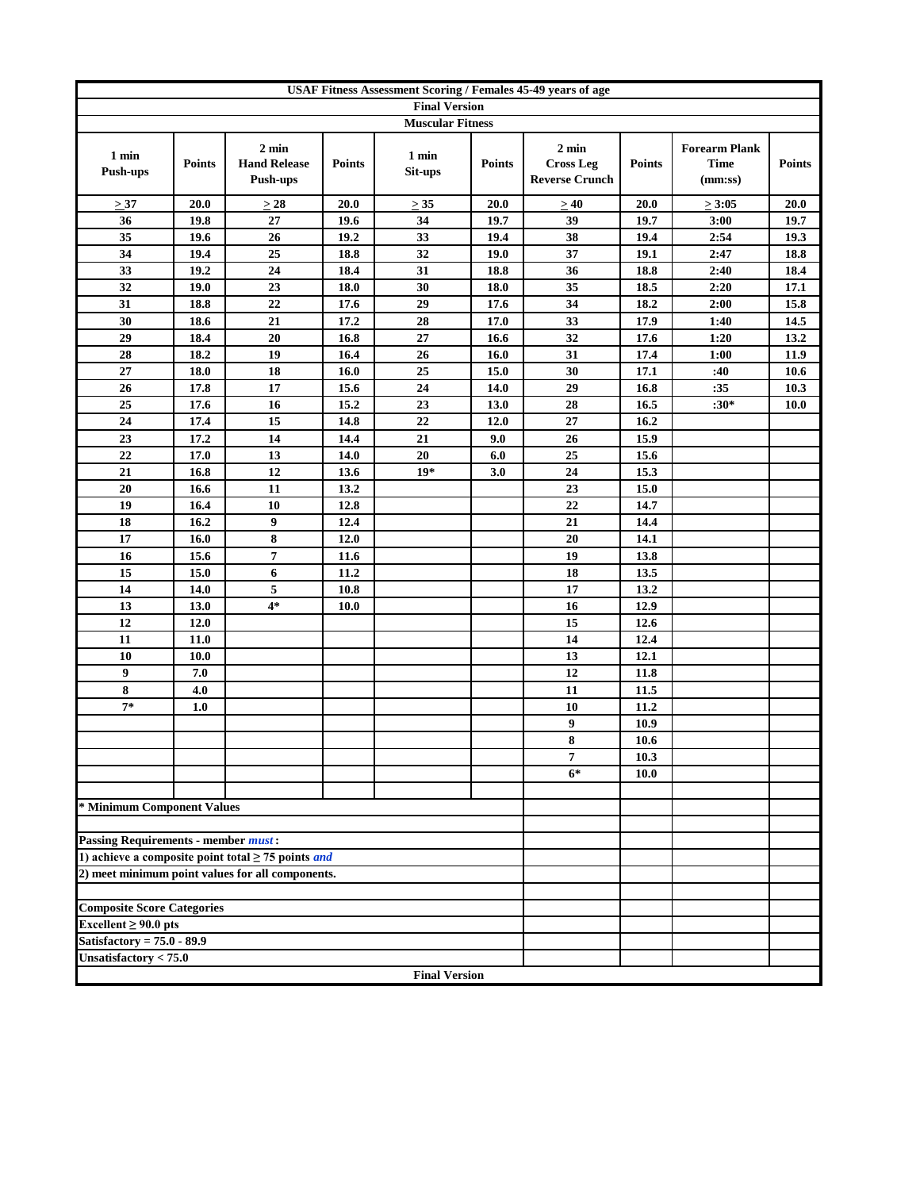| <b>USAF Fitness Assessment Scoring / Females 45-49 years of age</b> |               |                                                                |               |                         |               |                                                              |               |                                                |               |
|---------------------------------------------------------------------|---------------|----------------------------------------------------------------|---------------|-------------------------|---------------|--------------------------------------------------------------|---------------|------------------------------------------------|---------------|
| <b>Final Version</b>                                                |               |                                                                |               |                         |               |                                                              |               |                                                |               |
|                                                                     |               |                                                                |               | <b>Muscular Fitness</b> |               |                                                              |               |                                                |               |
| 1 min<br><b>Push-ups</b>                                            | <b>Points</b> | $2 \text{ min}$<br><b>Hand Release</b><br>Push-ups             | <b>Points</b> | 1 min<br>Sit-ups        | <b>Points</b> | $2 \text{ min}$<br><b>Cross Leg</b><br><b>Reverse Crunch</b> | <b>Points</b> | <b>Forearm Plank</b><br><b>Time</b><br>(mm:ss) | <b>Points</b> |
| $\geq 37$                                                           | 20.0          | $\geq$ 28                                                      | 20.0          | $\geq$ 35               | 20.0          | >40                                                          | 20.0          | $\geq 3:05$                                    | 20.0          |
| 36                                                                  | 19.8          | $27\,$                                                         | 19.6          | 34                      | 19.7          | 39                                                           | 19.7          | 3:00                                           | 19.7          |
| 35                                                                  | 19.6          | 26                                                             | 19.2          | 33                      | 19.4          | 38                                                           | 19.4          | 2:54                                           | 19.3          |
| 34                                                                  | 19.4          | 25                                                             | 18.8          | 32                      | 19.0          | 37                                                           | 19.1          | 2:47                                           | 18.8          |
| 33                                                                  | 19.2          | 24                                                             | 18.4          | 31                      | 18.8          | 36                                                           | 18.8          | 2:40                                           | 18.4          |
| 32                                                                  | 19.0          | 23                                                             | 18.0          | 30                      | 18.0          | 35                                                           | 18.5          | 2:20                                           | 17.1          |
| 31                                                                  | 18.8          | 22                                                             | 17.6          | 29                      | 17.6          | 34                                                           | 18.2          | 2:00                                           | 15.8          |
| 30                                                                  | 18.6          | 21                                                             | 17.2          | 28                      | 17.0          | 33                                                           | 17.9          | 1:40                                           | 14.5          |
| 29                                                                  | 18.4          | 20                                                             | 16.8          | 27                      | 16.6          | 32                                                           | 17.6          | 1:20                                           | 13.2          |
| 28                                                                  | 18.2          | 19                                                             | 16.4          | 26                      | 16.0          | 31                                                           | 17.4          | 1:00                                           | 11.9          |
| 27                                                                  | 18.0          | 18                                                             | 16.0          | 25                      | 15.0          | 30                                                           | 17.1          | :40                                            | 10.6          |
| 26                                                                  | 17.8          | 17                                                             | 15.6          | 24                      | 14.0          | 29                                                           | 16.8          | :35                                            | 10.3          |
| 25                                                                  | 17.6          | 16                                                             | 15.2          | 23                      | 13.0          | 28                                                           | 16.5          | $:30*$                                         | <b>10.0</b>   |
| 24                                                                  | 17.4          | 15                                                             | 14.8          | 22                      | 12.0          | 27                                                           | 16.2          |                                                |               |
| 23                                                                  | 17.2          | 14                                                             | 14.4          | 21                      | 9.0           | 26                                                           | 15.9          |                                                |               |
| 22                                                                  | 17.0          | 13                                                             | 14.0          | 20                      | 6.0           | 25                                                           | 15.6          |                                                |               |
| 21                                                                  | 16.8          | 12                                                             | 13.6          | $19*$                   | 3.0           | 24                                                           | 15.3          |                                                |               |
| 20                                                                  | 16.6          | 11                                                             | 13.2          |                         |               | 23                                                           | 15.0          |                                                |               |
| 19                                                                  | 16.4          | 10                                                             | 12.8          |                         |               | 22                                                           | 14.7          |                                                |               |
| 18<br>17                                                            | 16.2<br>16.0  | 9<br>8                                                         | 12.4<br>12.0  |                         |               | 21<br>20                                                     | 14.4<br>14.1  |                                                |               |
| 16                                                                  | 15.6          | $\overline{7}$                                                 | 11.6          |                         |               | $\overline{19}$                                              | 13.8          |                                                |               |
| 15                                                                  | 15.0          | 6                                                              | 11.2          |                         |               | 18                                                           | 13.5          |                                                |               |
| 14                                                                  | 14.0          | 5                                                              | 10.8          |                         |               | 17                                                           | 13.2          |                                                |               |
| 13                                                                  | 13.0          | $4*$                                                           | 10.0          |                         |               | 16                                                           | 12.9          |                                                |               |
| 12                                                                  | 12.0          |                                                                |               |                         |               | 15                                                           | 12.6          |                                                |               |
| 11                                                                  | 11.0          |                                                                |               |                         |               | 14                                                           | 12.4          |                                                |               |
| 10                                                                  | 10.0          |                                                                |               |                         |               | 13                                                           | 12.1          |                                                |               |
| 9                                                                   | 7.0           |                                                                |               |                         |               | 12                                                           | 11.8          |                                                |               |
| 8                                                                   | 4.0           |                                                                |               |                         |               | 11                                                           | 11.5          |                                                |               |
| $7*$                                                                | 1.0           |                                                                |               |                         |               | 10                                                           | 11.2          |                                                |               |
|                                                                     |               |                                                                |               |                         |               | 9                                                            | 10.9          |                                                |               |
|                                                                     |               |                                                                |               |                         |               | 8                                                            | 10.6          |                                                |               |
|                                                                     |               |                                                                |               |                         |               | 7                                                            | 10.3          |                                                |               |
|                                                                     |               |                                                                |               |                         |               | $6*$                                                         | 10.0          |                                                |               |
|                                                                     |               |                                                                |               |                         |               |                                                              |               |                                                |               |
| * Minimum Component Values                                          |               |                                                                |               |                         |               |                                                              |               |                                                |               |
|                                                                     |               |                                                                |               |                         |               |                                                              |               |                                                |               |
| <b>Passing Requirements - member must:</b>                          |               |                                                                |               |                         |               |                                                              |               |                                                |               |
|                                                                     |               | 1) achieve a composite point total $\geq$ 75 points <i>and</i> |               |                         |               |                                                              |               |                                                |               |
|                                                                     |               | 2) meet minimum point values for all components.               |               |                         |               |                                                              |               |                                                |               |
|                                                                     |               |                                                                |               |                         |               |                                                              |               |                                                |               |
| <b>Composite Score Categories</b>                                   |               |                                                                |               |                         |               |                                                              |               |                                                |               |
| Excellent $\geq 90.0$ pts                                           |               |                                                                |               |                         |               |                                                              |               |                                                |               |
| Satisfactory = $75.0 - 89.9$                                        |               |                                                                |               |                         |               |                                                              |               |                                                |               |
| Unsatisfactory $< 75.0$                                             |               |                                                                |               |                         |               |                                                              |               |                                                |               |
|                                                                     |               |                                                                |               | <b>Final Version</b>    |               |                                                              |               |                                                |               |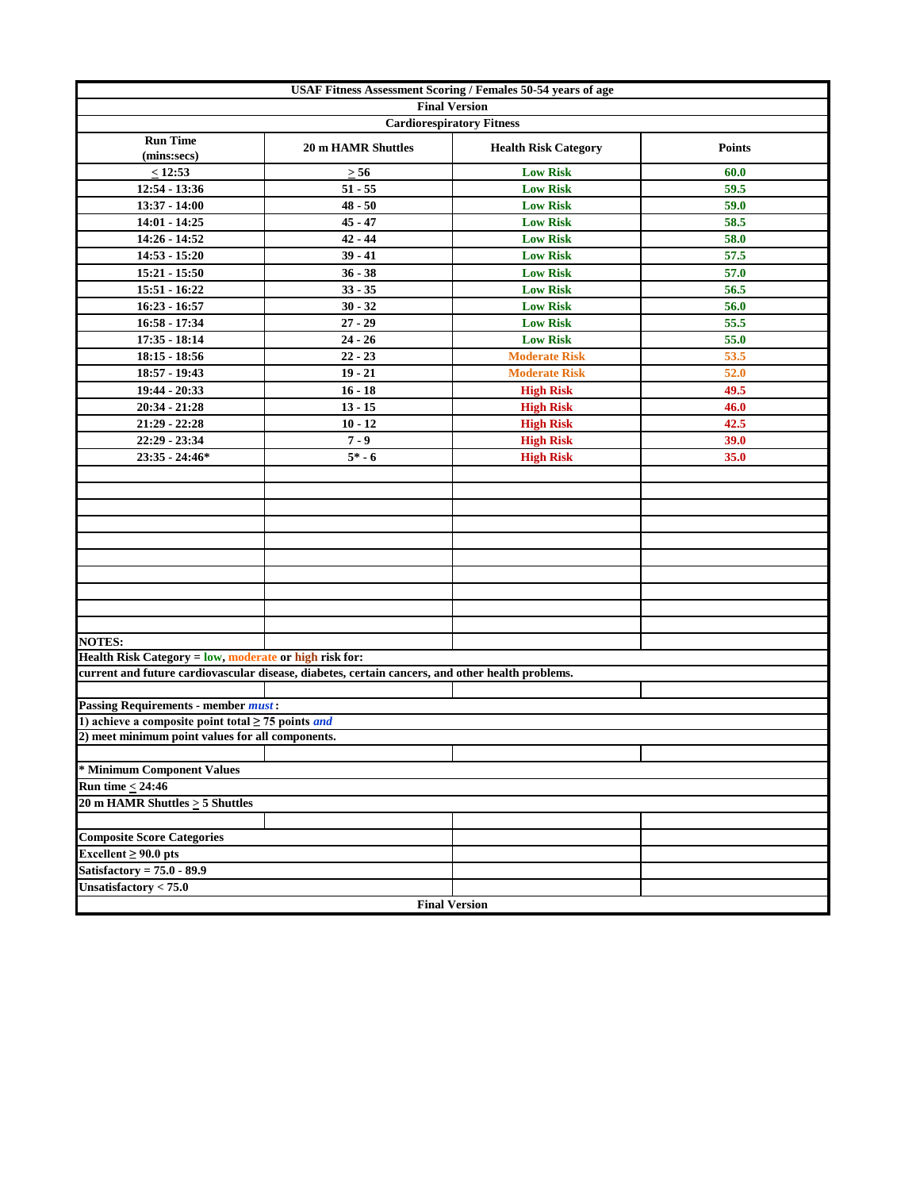| <b>USAF Fitness Assessment Scoring / Females 50-54 years of age</b>   |                                                                                                  |                             |               |  |  |  |  |  |  |
|-----------------------------------------------------------------------|--------------------------------------------------------------------------------------------------|-----------------------------|---------------|--|--|--|--|--|--|
| <b>Final Version</b><br><b>Cardiorespiratory Fitness</b>              |                                                                                                  |                             |               |  |  |  |  |  |  |
|                                                                       |                                                                                                  |                             |               |  |  |  |  |  |  |
| <b>Run Time</b><br>(mins:secs)                                        | <b>20 m HAMR Shuttles</b>                                                                        | <b>Health Risk Category</b> | <b>Points</b> |  |  |  |  |  |  |
| $\leq 12:53$                                                          | $\geq 56$                                                                                        | <b>Low Risk</b>             | 60.0          |  |  |  |  |  |  |
| 12:54 - 13:36                                                         | $51 - 55$                                                                                        | <b>Low Risk</b>             | 59.5          |  |  |  |  |  |  |
| 13:37 - 14:00                                                         | $48 - 50$                                                                                        | <b>Low Risk</b>             | 59.0          |  |  |  |  |  |  |
| $14:01 - 14:25$                                                       | $45 - 47$                                                                                        | <b>Low Risk</b>             | 58.5          |  |  |  |  |  |  |
| 14:26 - 14:52                                                         | $42 - 44$                                                                                        | <b>Low Risk</b>             | 58.0          |  |  |  |  |  |  |
| $14:53 - 15:20$                                                       | $39 - 41$                                                                                        | <b>Low Risk</b>             | 57.5          |  |  |  |  |  |  |
| $15:21 - 15:50$                                                       | $36 - 38$                                                                                        | <b>Low Risk</b>             | 57.0          |  |  |  |  |  |  |
| 15:51 - 16:22                                                         | $33 - 35$                                                                                        | <b>Low Risk</b>             | 56.5          |  |  |  |  |  |  |
| $16:23 - 16:57$                                                       | $30 - 32$                                                                                        | <b>Low Risk</b>             | 56.0          |  |  |  |  |  |  |
| 16:58 - 17:34                                                         | $27 - 29$                                                                                        | <b>Low Risk</b>             | 55.5          |  |  |  |  |  |  |
| $17:35 - 18:14$                                                       | $24 - 26$                                                                                        | <b>Low Risk</b>             | 55.0          |  |  |  |  |  |  |
| $18:15 - 18:56$                                                       | $22 - 23$                                                                                        | <b>Moderate Risk</b>        | 53.5          |  |  |  |  |  |  |
| 18:57 - 19:43                                                         | $19 - 21$                                                                                        | <b>Moderate Risk</b>        | 52.0          |  |  |  |  |  |  |
| 19:44 - 20:33                                                         | $16 - 18$                                                                                        | <b>High Risk</b>            | 49.5          |  |  |  |  |  |  |
| $20:34 - 21:28$                                                       | $13 - 15$                                                                                        | <b>High Risk</b>            | 46.0          |  |  |  |  |  |  |
| $21:29 - 22:28$                                                       | $10 - 12$                                                                                        | <b>High Risk</b>            | 42.5          |  |  |  |  |  |  |
| 22:29 - 23:34                                                         | $7 - 9$                                                                                          | <b>High Risk</b>            | 39.0          |  |  |  |  |  |  |
| $23:35 - 24:46*$                                                      | $5* - 6$                                                                                         | <b>High Risk</b>            | 35.0          |  |  |  |  |  |  |
|                                                                       |                                                                                                  |                             |               |  |  |  |  |  |  |
|                                                                       |                                                                                                  |                             |               |  |  |  |  |  |  |
|                                                                       |                                                                                                  |                             |               |  |  |  |  |  |  |
|                                                                       |                                                                                                  |                             |               |  |  |  |  |  |  |
|                                                                       |                                                                                                  |                             |               |  |  |  |  |  |  |
|                                                                       |                                                                                                  |                             |               |  |  |  |  |  |  |
|                                                                       |                                                                                                  |                             |               |  |  |  |  |  |  |
|                                                                       |                                                                                                  |                             |               |  |  |  |  |  |  |
|                                                                       |                                                                                                  |                             |               |  |  |  |  |  |  |
|                                                                       |                                                                                                  |                             |               |  |  |  |  |  |  |
| <b>NOTES:</b>                                                         |                                                                                                  |                             |               |  |  |  |  |  |  |
| Health Risk Category = low, moderate or high risk for:                |                                                                                                  |                             |               |  |  |  |  |  |  |
|                                                                       | current and future cardiovascular disease, diabetes, certain cancers, and other health problems. |                             |               |  |  |  |  |  |  |
|                                                                       |                                                                                                  |                             |               |  |  |  |  |  |  |
| <b>Passing Requirements - member must:</b>                            |                                                                                                  |                             |               |  |  |  |  |  |  |
| 1) achieve a composite point total $\geq$ 75 points <i>and</i>        |                                                                                                  |                             |               |  |  |  |  |  |  |
| 2) meet minimum point values for all components.                      |                                                                                                  |                             |               |  |  |  |  |  |  |
|                                                                       |                                                                                                  |                             |               |  |  |  |  |  |  |
| * Minimum Component Values<br><b>Run time <math>&lt; 24:46</math></b> |                                                                                                  |                             |               |  |  |  |  |  |  |
|                                                                       |                                                                                                  |                             |               |  |  |  |  |  |  |
| 20 m HAMR Shuttles $\geq$ 5 Shuttles                                  |                                                                                                  |                             |               |  |  |  |  |  |  |
|                                                                       |                                                                                                  |                             |               |  |  |  |  |  |  |
| <b>Composite Score Categories</b>                                     |                                                                                                  |                             |               |  |  |  |  |  |  |
| Excellent $\geq 90.0$ pts<br>Satisfactory = $75.0 - 89.9$             |                                                                                                  |                             |               |  |  |  |  |  |  |
|                                                                       |                                                                                                  |                             |               |  |  |  |  |  |  |
| Unsatisfactory $< 75.0$                                               |                                                                                                  | <b>Final Version</b>        |               |  |  |  |  |  |  |
|                                                                       |                                                                                                  |                             |               |  |  |  |  |  |  |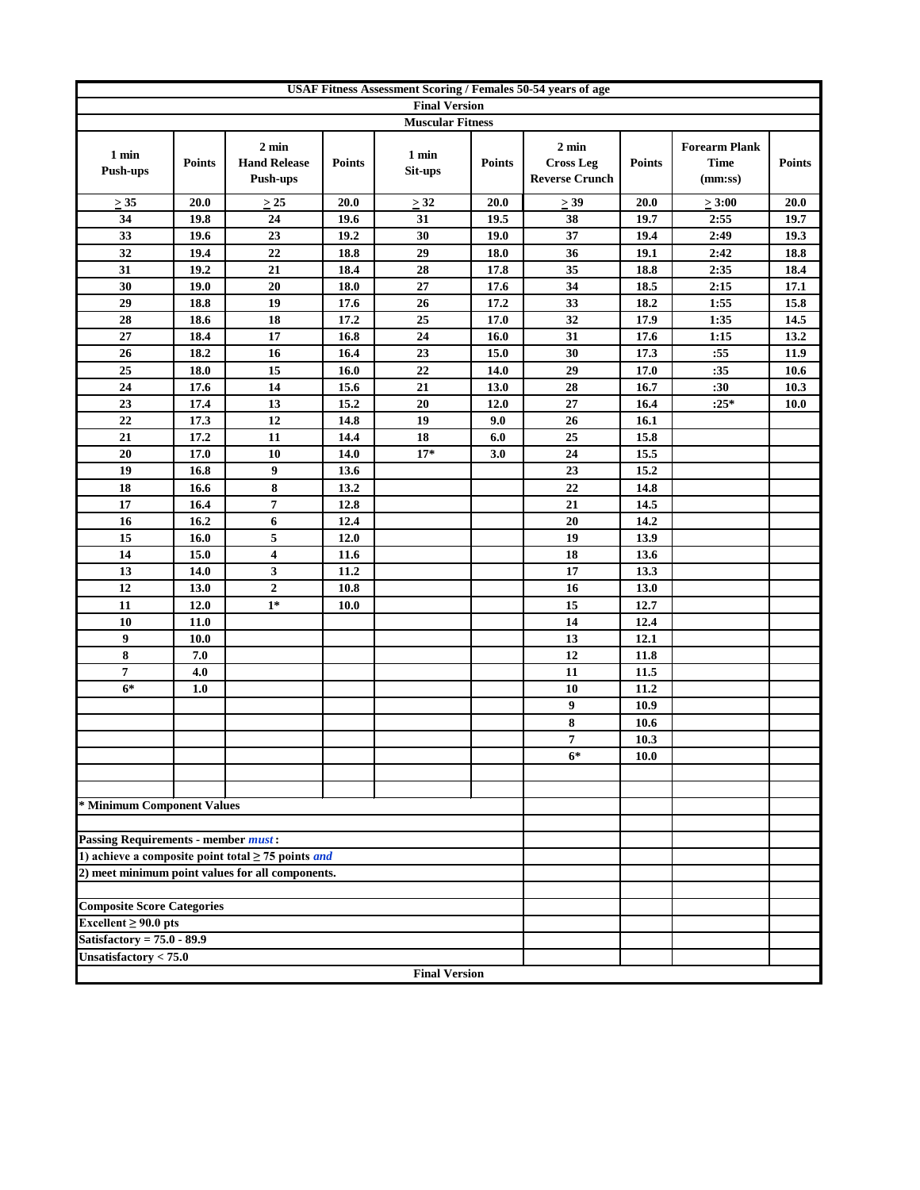| <b>Final Version</b><br><b>Muscular Fitness</b><br>$2 \text{ min}$<br>$2 \text{ min}$<br><b>Forearm Plank</b><br>1 min<br>1 min<br><b>Cross Leg</b><br><b>Hand Release</b><br><b>Time</b><br><b>Points</b><br><b>Points</b><br><b>Points</b><br><b>Points</b><br><b>Points</b><br><b>Push-ups</b><br>Sit-ups<br><b>Reverse Crunch</b><br>Push-ups<br>(mm:ss)<br>20.0<br>20.0<br>20.0<br>$\geq$ 39<br>20.0<br>$\geq 3:00$<br>20.0<br>$\geq 35$<br>$\geq$ 25<br>$\geq$ 32<br>34<br>24<br>38<br>19.6<br>31<br>19.5<br>2:55<br>19.7<br>19.8<br>19.7<br>23<br>19.2<br>37<br>19.4<br>2:49<br>19.3<br>33<br>19.6<br>30<br>19.0<br>32<br>19.4<br>22<br>18.8<br>29<br>18.0<br>36<br>19.1<br>2:42<br>18.8<br>21<br>35<br>31<br>19.2<br>18.4<br>28<br>17.8<br>18.8<br>2:35<br>18.4<br>20<br>$\bf 27$<br>34<br>30<br>19.0<br>18.0<br>17.6<br>18.5<br>2:15<br>17.1<br>19<br>26<br>17.2<br>33<br>18.2<br>29<br>18.8<br>17.6<br>1:55<br>15.8<br>18<br>25<br>32<br>17.2<br>17.0<br>17.9<br>1:35<br>28<br>18.6<br>14.5<br>17<br>31<br>27<br>16.8<br>24<br>17.6<br>13.2<br>18.4<br>16.0<br>1:15<br>18.2<br>16.4<br>23<br>15.0<br>30<br>17.3<br>:55<br>11.9<br>26<br>16<br>18.0<br>15<br>16.0<br>22<br>14.0<br>29<br>17.0<br>10.6<br>25<br>:35<br>14<br>13.0<br>28<br>:30<br>10.3<br>24<br>17.6<br>15.6<br>21<br>16.7<br>13<br>15.2<br>20<br>27<br>$:25*$<br>23<br>17.4<br>12.0<br>16.4<br>10.0<br>22<br>12<br>14.8<br>19<br>26<br>17.3<br>9.0<br>16.1<br>25<br>17.2<br>11<br>14.4<br>18<br>15.8<br>21<br>6.0<br>24<br>10<br>14.0<br>$17*$<br>15.5<br>20<br>17.0<br>3.0<br>9<br>13.6<br>23<br>15.2<br>19<br>16.8<br>$\bf 8$<br>13.2<br>22<br>18<br>14.8<br>16.6<br>$\overline{7}$<br>17<br>12.8<br>21<br>16.4<br>14.5<br>6<br>12.4<br>20<br>16<br>16.2<br>14.2<br>5<br>19<br>15<br>12.0<br>13.9<br>16.0<br>$\overline{\mathbf{4}}$<br>18<br>14<br>15.0<br>11.6<br>13.6<br>3<br>17<br>13<br>11.2<br>13.3<br>14.0<br>$\boldsymbol{2}$<br>10.8<br>16<br>12<br>13.0<br>13.0<br>15<br>12.0<br>$1*$<br>12.7<br>11<br>10.0<br>14<br>10<br>11.0<br>12.4<br>9<br>13<br>12.1<br><b>10.0</b><br>8<br>12<br>7.0<br>11.8<br>7<br>4.0<br>11<br>11.5<br>$6*$<br>1.0<br>10<br>11.2<br>9<br>10.9<br>8<br>10.6<br>$\overline{7}$<br>10.3<br>$6*$<br><b>10.0</b><br>* Minimum Component Values<br><b>Passing Requirements - member must:</b><br>1) achieve a composite point total $\geq$ 75 points <i>and</i><br>2) meet minimum point values for all components.<br><b>Composite Score Categories</b><br>Excellent $\geq 90.0$ pts<br>Satisfactory = $75.0 - 89.9$<br>Unsatisfactory $< 75.0$<br><b>Final Version</b> | <b>USAF Fitness Assessment Scoring / Females 50-54 years of age</b> |  |  |  |  |  |  |  |  |  |
|-----------------------------------------------------------------------------------------------------------------------------------------------------------------------------------------------------------------------------------------------------------------------------------------------------------------------------------------------------------------------------------------------------------------------------------------------------------------------------------------------------------------------------------------------------------------------------------------------------------------------------------------------------------------------------------------------------------------------------------------------------------------------------------------------------------------------------------------------------------------------------------------------------------------------------------------------------------------------------------------------------------------------------------------------------------------------------------------------------------------------------------------------------------------------------------------------------------------------------------------------------------------------------------------------------------------------------------------------------------------------------------------------------------------------------------------------------------------------------------------------------------------------------------------------------------------------------------------------------------------------------------------------------------------------------------------------------------------------------------------------------------------------------------------------------------------------------------------------------------------------------------------------------------------------------------------------------------------------------------------------------------------------------------------------------------------------------------------------------------------------------------------------------------------------------------------------------------------------------------------------------------------------------------------------------------------------------------------------------------------------------------------------------------------------------------------------------------------------------------------------------------------------------------------------------------------------------------|---------------------------------------------------------------------|--|--|--|--|--|--|--|--|--|
|                                                                                                                                                                                                                                                                                                                                                                                                                                                                                                                                                                                                                                                                                                                                                                                                                                                                                                                                                                                                                                                                                                                                                                                                                                                                                                                                                                                                                                                                                                                                                                                                                                                                                                                                                                                                                                                                                                                                                                                                                                                                                                                                                                                                                                                                                                                                                                                                                                                                                                                                                                                   |                                                                     |  |  |  |  |  |  |  |  |  |
|                                                                                                                                                                                                                                                                                                                                                                                                                                                                                                                                                                                                                                                                                                                                                                                                                                                                                                                                                                                                                                                                                                                                                                                                                                                                                                                                                                                                                                                                                                                                                                                                                                                                                                                                                                                                                                                                                                                                                                                                                                                                                                                                                                                                                                                                                                                                                                                                                                                                                                                                                                                   |                                                                     |  |  |  |  |  |  |  |  |  |
|                                                                                                                                                                                                                                                                                                                                                                                                                                                                                                                                                                                                                                                                                                                                                                                                                                                                                                                                                                                                                                                                                                                                                                                                                                                                                                                                                                                                                                                                                                                                                                                                                                                                                                                                                                                                                                                                                                                                                                                                                                                                                                                                                                                                                                                                                                                                                                                                                                                                                                                                                                                   |                                                                     |  |  |  |  |  |  |  |  |  |
|                                                                                                                                                                                                                                                                                                                                                                                                                                                                                                                                                                                                                                                                                                                                                                                                                                                                                                                                                                                                                                                                                                                                                                                                                                                                                                                                                                                                                                                                                                                                                                                                                                                                                                                                                                                                                                                                                                                                                                                                                                                                                                                                                                                                                                                                                                                                                                                                                                                                                                                                                                                   |                                                                     |  |  |  |  |  |  |  |  |  |
|                                                                                                                                                                                                                                                                                                                                                                                                                                                                                                                                                                                                                                                                                                                                                                                                                                                                                                                                                                                                                                                                                                                                                                                                                                                                                                                                                                                                                                                                                                                                                                                                                                                                                                                                                                                                                                                                                                                                                                                                                                                                                                                                                                                                                                                                                                                                                                                                                                                                                                                                                                                   |                                                                     |  |  |  |  |  |  |  |  |  |
|                                                                                                                                                                                                                                                                                                                                                                                                                                                                                                                                                                                                                                                                                                                                                                                                                                                                                                                                                                                                                                                                                                                                                                                                                                                                                                                                                                                                                                                                                                                                                                                                                                                                                                                                                                                                                                                                                                                                                                                                                                                                                                                                                                                                                                                                                                                                                                                                                                                                                                                                                                                   |                                                                     |  |  |  |  |  |  |  |  |  |
|                                                                                                                                                                                                                                                                                                                                                                                                                                                                                                                                                                                                                                                                                                                                                                                                                                                                                                                                                                                                                                                                                                                                                                                                                                                                                                                                                                                                                                                                                                                                                                                                                                                                                                                                                                                                                                                                                                                                                                                                                                                                                                                                                                                                                                                                                                                                                                                                                                                                                                                                                                                   |                                                                     |  |  |  |  |  |  |  |  |  |
|                                                                                                                                                                                                                                                                                                                                                                                                                                                                                                                                                                                                                                                                                                                                                                                                                                                                                                                                                                                                                                                                                                                                                                                                                                                                                                                                                                                                                                                                                                                                                                                                                                                                                                                                                                                                                                                                                                                                                                                                                                                                                                                                                                                                                                                                                                                                                                                                                                                                                                                                                                                   |                                                                     |  |  |  |  |  |  |  |  |  |
|                                                                                                                                                                                                                                                                                                                                                                                                                                                                                                                                                                                                                                                                                                                                                                                                                                                                                                                                                                                                                                                                                                                                                                                                                                                                                                                                                                                                                                                                                                                                                                                                                                                                                                                                                                                                                                                                                                                                                                                                                                                                                                                                                                                                                                                                                                                                                                                                                                                                                                                                                                                   |                                                                     |  |  |  |  |  |  |  |  |  |
|                                                                                                                                                                                                                                                                                                                                                                                                                                                                                                                                                                                                                                                                                                                                                                                                                                                                                                                                                                                                                                                                                                                                                                                                                                                                                                                                                                                                                                                                                                                                                                                                                                                                                                                                                                                                                                                                                                                                                                                                                                                                                                                                                                                                                                                                                                                                                                                                                                                                                                                                                                                   |                                                                     |  |  |  |  |  |  |  |  |  |
|                                                                                                                                                                                                                                                                                                                                                                                                                                                                                                                                                                                                                                                                                                                                                                                                                                                                                                                                                                                                                                                                                                                                                                                                                                                                                                                                                                                                                                                                                                                                                                                                                                                                                                                                                                                                                                                                                                                                                                                                                                                                                                                                                                                                                                                                                                                                                                                                                                                                                                                                                                                   |                                                                     |  |  |  |  |  |  |  |  |  |
|                                                                                                                                                                                                                                                                                                                                                                                                                                                                                                                                                                                                                                                                                                                                                                                                                                                                                                                                                                                                                                                                                                                                                                                                                                                                                                                                                                                                                                                                                                                                                                                                                                                                                                                                                                                                                                                                                                                                                                                                                                                                                                                                                                                                                                                                                                                                                                                                                                                                                                                                                                                   |                                                                     |  |  |  |  |  |  |  |  |  |
|                                                                                                                                                                                                                                                                                                                                                                                                                                                                                                                                                                                                                                                                                                                                                                                                                                                                                                                                                                                                                                                                                                                                                                                                                                                                                                                                                                                                                                                                                                                                                                                                                                                                                                                                                                                                                                                                                                                                                                                                                                                                                                                                                                                                                                                                                                                                                                                                                                                                                                                                                                                   |                                                                     |  |  |  |  |  |  |  |  |  |
|                                                                                                                                                                                                                                                                                                                                                                                                                                                                                                                                                                                                                                                                                                                                                                                                                                                                                                                                                                                                                                                                                                                                                                                                                                                                                                                                                                                                                                                                                                                                                                                                                                                                                                                                                                                                                                                                                                                                                                                                                                                                                                                                                                                                                                                                                                                                                                                                                                                                                                                                                                                   |                                                                     |  |  |  |  |  |  |  |  |  |
|                                                                                                                                                                                                                                                                                                                                                                                                                                                                                                                                                                                                                                                                                                                                                                                                                                                                                                                                                                                                                                                                                                                                                                                                                                                                                                                                                                                                                                                                                                                                                                                                                                                                                                                                                                                                                                                                                                                                                                                                                                                                                                                                                                                                                                                                                                                                                                                                                                                                                                                                                                                   |                                                                     |  |  |  |  |  |  |  |  |  |
|                                                                                                                                                                                                                                                                                                                                                                                                                                                                                                                                                                                                                                                                                                                                                                                                                                                                                                                                                                                                                                                                                                                                                                                                                                                                                                                                                                                                                                                                                                                                                                                                                                                                                                                                                                                                                                                                                                                                                                                                                                                                                                                                                                                                                                                                                                                                                                                                                                                                                                                                                                                   |                                                                     |  |  |  |  |  |  |  |  |  |
|                                                                                                                                                                                                                                                                                                                                                                                                                                                                                                                                                                                                                                                                                                                                                                                                                                                                                                                                                                                                                                                                                                                                                                                                                                                                                                                                                                                                                                                                                                                                                                                                                                                                                                                                                                                                                                                                                                                                                                                                                                                                                                                                                                                                                                                                                                                                                                                                                                                                                                                                                                                   |                                                                     |  |  |  |  |  |  |  |  |  |
|                                                                                                                                                                                                                                                                                                                                                                                                                                                                                                                                                                                                                                                                                                                                                                                                                                                                                                                                                                                                                                                                                                                                                                                                                                                                                                                                                                                                                                                                                                                                                                                                                                                                                                                                                                                                                                                                                                                                                                                                                                                                                                                                                                                                                                                                                                                                                                                                                                                                                                                                                                                   |                                                                     |  |  |  |  |  |  |  |  |  |
|                                                                                                                                                                                                                                                                                                                                                                                                                                                                                                                                                                                                                                                                                                                                                                                                                                                                                                                                                                                                                                                                                                                                                                                                                                                                                                                                                                                                                                                                                                                                                                                                                                                                                                                                                                                                                                                                                                                                                                                                                                                                                                                                                                                                                                                                                                                                                                                                                                                                                                                                                                                   |                                                                     |  |  |  |  |  |  |  |  |  |
|                                                                                                                                                                                                                                                                                                                                                                                                                                                                                                                                                                                                                                                                                                                                                                                                                                                                                                                                                                                                                                                                                                                                                                                                                                                                                                                                                                                                                                                                                                                                                                                                                                                                                                                                                                                                                                                                                                                                                                                                                                                                                                                                                                                                                                                                                                                                                                                                                                                                                                                                                                                   |                                                                     |  |  |  |  |  |  |  |  |  |
|                                                                                                                                                                                                                                                                                                                                                                                                                                                                                                                                                                                                                                                                                                                                                                                                                                                                                                                                                                                                                                                                                                                                                                                                                                                                                                                                                                                                                                                                                                                                                                                                                                                                                                                                                                                                                                                                                                                                                                                                                                                                                                                                                                                                                                                                                                                                                                                                                                                                                                                                                                                   |                                                                     |  |  |  |  |  |  |  |  |  |
|                                                                                                                                                                                                                                                                                                                                                                                                                                                                                                                                                                                                                                                                                                                                                                                                                                                                                                                                                                                                                                                                                                                                                                                                                                                                                                                                                                                                                                                                                                                                                                                                                                                                                                                                                                                                                                                                                                                                                                                                                                                                                                                                                                                                                                                                                                                                                                                                                                                                                                                                                                                   |                                                                     |  |  |  |  |  |  |  |  |  |
|                                                                                                                                                                                                                                                                                                                                                                                                                                                                                                                                                                                                                                                                                                                                                                                                                                                                                                                                                                                                                                                                                                                                                                                                                                                                                                                                                                                                                                                                                                                                                                                                                                                                                                                                                                                                                                                                                                                                                                                                                                                                                                                                                                                                                                                                                                                                                                                                                                                                                                                                                                                   |                                                                     |  |  |  |  |  |  |  |  |  |
|                                                                                                                                                                                                                                                                                                                                                                                                                                                                                                                                                                                                                                                                                                                                                                                                                                                                                                                                                                                                                                                                                                                                                                                                                                                                                                                                                                                                                                                                                                                                                                                                                                                                                                                                                                                                                                                                                                                                                                                                                                                                                                                                                                                                                                                                                                                                                                                                                                                                                                                                                                                   |                                                                     |  |  |  |  |  |  |  |  |  |
|                                                                                                                                                                                                                                                                                                                                                                                                                                                                                                                                                                                                                                                                                                                                                                                                                                                                                                                                                                                                                                                                                                                                                                                                                                                                                                                                                                                                                                                                                                                                                                                                                                                                                                                                                                                                                                                                                                                                                                                                                                                                                                                                                                                                                                                                                                                                                                                                                                                                                                                                                                                   |                                                                     |  |  |  |  |  |  |  |  |  |
|                                                                                                                                                                                                                                                                                                                                                                                                                                                                                                                                                                                                                                                                                                                                                                                                                                                                                                                                                                                                                                                                                                                                                                                                                                                                                                                                                                                                                                                                                                                                                                                                                                                                                                                                                                                                                                                                                                                                                                                                                                                                                                                                                                                                                                                                                                                                                                                                                                                                                                                                                                                   |                                                                     |  |  |  |  |  |  |  |  |  |
|                                                                                                                                                                                                                                                                                                                                                                                                                                                                                                                                                                                                                                                                                                                                                                                                                                                                                                                                                                                                                                                                                                                                                                                                                                                                                                                                                                                                                                                                                                                                                                                                                                                                                                                                                                                                                                                                                                                                                                                                                                                                                                                                                                                                                                                                                                                                                                                                                                                                                                                                                                                   |                                                                     |  |  |  |  |  |  |  |  |  |
|                                                                                                                                                                                                                                                                                                                                                                                                                                                                                                                                                                                                                                                                                                                                                                                                                                                                                                                                                                                                                                                                                                                                                                                                                                                                                                                                                                                                                                                                                                                                                                                                                                                                                                                                                                                                                                                                                                                                                                                                                                                                                                                                                                                                                                                                                                                                                                                                                                                                                                                                                                                   |                                                                     |  |  |  |  |  |  |  |  |  |
|                                                                                                                                                                                                                                                                                                                                                                                                                                                                                                                                                                                                                                                                                                                                                                                                                                                                                                                                                                                                                                                                                                                                                                                                                                                                                                                                                                                                                                                                                                                                                                                                                                                                                                                                                                                                                                                                                                                                                                                                                                                                                                                                                                                                                                                                                                                                                                                                                                                                                                                                                                                   |                                                                     |  |  |  |  |  |  |  |  |  |
|                                                                                                                                                                                                                                                                                                                                                                                                                                                                                                                                                                                                                                                                                                                                                                                                                                                                                                                                                                                                                                                                                                                                                                                                                                                                                                                                                                                                                                                                                                                                                                                                                                                                                                                                                                                                                                                                                                                                                                                                                                                                                                                                                                                                                                                                                                                                                                                                                                                                                                                                                                                   |                                                                     |  |  |  |  |  |  |  |  |  |
|                                                                                                                                                                                                                                                                                                                                                                                                                                                                                                                                                                                                                                                                                                                                                                                                                                                                                                                                                                                                                                                                                                                                                                                                                                                                                                                                                                                                                                                                                                                                                                                                                                                                                                                                                                                                                                                                                                                                                                                                                                                                                                                                                                                                                                                                                                                                                                                                                                                                                                                                                                                   |                                                                     |  |  |  |  |  |  |  |  |  |
|                                                                                                                                                                                                                                                                                                                                                                                                                                                                                                                                                                                                                                                                                                                                                                                                                                                                                                                                                                                                                                                                                                                                                                                                                                                                                                                                                                                                                                                                                                                                                                                                                                                                                                                                                                                                                                                                                                                                                                                                                                                                                                                                                                                                                                                                                                                                                                                                                                                                                                                                                                                   |                                                                     |  |  |  |  |  |  |  |  |  |
|                                                                                                                                                                                                                                                                                                                                                                                                                                                                                                                                                                                                                                                                                                                                                                                                                                                                                                                                                                                                                                                                                                                                                                                                                                                                                                                                                                                                                                                                                                                                                                                                                                                                                                                                                                                                                                                                                                                                                                                                                                                                                                                                                                                                                                                                                                                                                                                                                                                                                                                                                                                   |                                                                     |  |  |  |  |  |  |  |  |  |
|                                                                                                                                                                                                                                                                                                                                                                                                                                                                                                                                                                                                                                                                                                                                                                                                                                                                                                                                                                                                                                                                                                                                                                                                                                                                                                                                                                                                                                                                                                                                                                                                                                                                                                                                                                                                                                                                                                                                                                                                                                                                                                                                                                                                                                                                                                                                                                                                                                                                                                                                                                                   |                                                                     |  |  |  |  |  |  |  |  |  |
|                                                                                                                                                                                                                                                                                                                                                                                                                                                                                                                                                                                                                                                                                                                                                                                                                                                                                                                                                                                                                                                                                                                                                                                                                                                                                                                                                                                                                                                                                                                                                                                                                                                                                                                                                                                                                                                                                                                                                                                                                                                                                                                                                                                                                                                                                                                                                                                                                                                                                                                                                                                   |                                                                     |  |  |  |  |  |  |  |  |  |
|                                                                                                                                                                                                                                                                                                                                                                                                                                                                                                                                                                                                                                                                                                                                                                                                                                                                                                                                                                                                                                                                                                                                                                                                                                                                                                                                                                                                                                                                                                                                                                                                                                                                                                                                                                                                                                                                                                                                                                                                                                                                                                                                                                                                                                                                                                                                                                                                                                                                                                                                                                                   |                                                                     |  |  |  |  |  |  |  |  |  |
|                                                                                                                                                                                                                                                                                                                                                                                                                                                                                                                                                                                                                                                                                                                                                                                                                                                                                                                                                                                                                                                                                                                                                                                                                                                                                                                                                                                                                                                                                                                                                                                                                                                                                                                                                                                                                                                                                                                                                                                                                                                                                                                                                                                                                                                                                                                                                                                                                                                                                                                                                                                   |                                                                     |  |  |  |  |  |  |  |  |  |
|                                                                                                                                                                                                                                                                                                                                                                                                                                                                                                                                                                                                                                                                                                                                                                                                                                                                                                                                                                                                                                                                                                                                                                                                                                                                                                                                                                                                                                                                                                                                                                                                                                                                                                                                                                                                                                                                                                                                                                                                                                                                                                                                                                                                                                                                                                                                                                                                                                                                                                                                                                                   |                                                                     |  |  |  |  |  |  |  |  |  |
|                                                                                                                                                                                                                                                                                                                                                                                                                                                                                                                                                                                                                                                                                                                                                                                                                                                                                                                                                                                                                                                                                                                                                                                                                                                                                                                                                                                                                                                                                                                                                                                                                                                                                                                                                                                                                                                                                                                                                                                                                                                                                                                                                                                                                                                                                                                                                                                                                                                                                                                                                                                   |                                                                     |  |  |  |  |  |  |  |  |  |
|                                                                                                                                                                                                                                                                                                                                                                                                                                                                                                                                                                                                                                                                                                                                                                                                                                                                                                                                                                                                                                                                                                                                                                                                                                                                                                                                                                                                                                                                                                                                                                                                                                                                                                                                                                                                                                                                                                                                                                                                                                                                                                                                                                                                                                                                                                                                                                                                                                                                                                                                                                                   |                                                                     |  |  |  |  |  |  |  |  |  |
|                                                                                                                                                                                                                                                                                                                                                                                                                                                                                                                                                                                                                                                                                                                                                                                                                                                                                                                                                                                                                                                                                                                                                                                                                                                                                                                                                                                                                                                                                                                                                                                                                                                                                                                                                                                                                                                                                                                                                                                                                                                                                                                                                                                                                                                                                                                                                                                                                                                                                                                                                                                   |                                                                     |  |  |  |  |  |  |  |  |  |
|                                                                                                                                                                                                                                                                                                                                                                                                                                                                                                                                                                                                                                                                                                                                                                                                                                                                                                                                                                                                                                                                                                                                                                                                                                                                                                                                                                                                                                                                                                                                                                                                                                                                                                                                                                                                                                                                                                                                                                                                                                                                                                                                                                                                                                                                                                                                                                                                                                                                                                                                                                                   |                                                                     |  |  |  |  |  |  |  |  |  |
|                                                                                                                                                                                                                                                                                                                                                                                                                                                                                                                                                                                                                                                                                                                                                                                                                                                                                                                                                                                                                                                                                                                                                                                                                                                                                                                                                                                                                                                                                                                                                                                                                                                                                                                                                                                                                                                                                                                                                                                                                                                                                                                                                                                                                                                                                                                                                                                                                                                                                                                                                                                   |                                                                     |  |  |  |  |  |  |  |  |  |
|                                                                                                                                                                                                                                                                                                                                                                                                                                                                                                                                                                                                                                                                                                                                                                                                                                                                                                                                                                                                                                                                                                                                                                                                                                                                                                                                                                                                                                                                                                                                                                                                                                                                                                                                                                                                                                                                                                                                                                                                                                                                                                                                                                                                                                                                                                                                                                                                                                                                                                                                                                                   |                                                                     |  |  |  |  |  |  |  |  |  |
|                                                                                                                                                                                                                                                                                                                                                                                                                                                                                                                                                                                                                                                                                                                                                                                                                                                                                                                                                                                                                                                                                                                                                                                                                                                                                                                                                                                                                                                                                                                                                                                                                                                                                                                                                                                                                                                                                                                                                                                                                                                                                                                                                                                                                                                                                                                                                                                                                                                                                                                                                                                   |                                                                     |  |  |  |  |  |  |  |  |  |
|                                                                                                                                                                                                                                                                                                                                                                                                                                                                                                                                                                                                                                                                                                                                                                                                                                                                                                                                                                                                                                                                                                                                                                                                                                                                                                                                                                                                                                                                                                                                                                                                                                                                                                                                                                                                                                                                                                                                                                                                                                                                                                                                                                                                                                                                                                                                                                                                                                                                                                                                                                                   |                                                                     |  |  |  |  |  |  |  |  |  |
|                                                                                                                                                                                                                                                                                                                                                                                                                                                                                                                                                                                                                                                                                                                                                                                                                                                                                                                                                                                                                                                                                                                                                                                                                                                                                                                                                                                                                                                                                                                                                                                                                                                                                                                                                                                                                                                                                                                                                                                                                                                                                                                                                                                                                                                                                                                                                                                                                                                                                                                                                                                   |                                                                     |  |  |  |  |  |  |  |  |  |
|                                                                                                                                                                                                                                                                                                                                                                                                                                                                                                                                                                                                                                                                                                                                                                                                                                                                                                                                                                                                                                                                                                                                                                                                                                                                                                                                                                                                                                                                                                                                                                                                                                                                                                                                                                                                                                                                                                                                                                                                                                                                                                                                                                                                                                                                                                                                                                                                                                                                                                                                                                                   |                                                                     |  |  |  |  |  |  |  |  |  |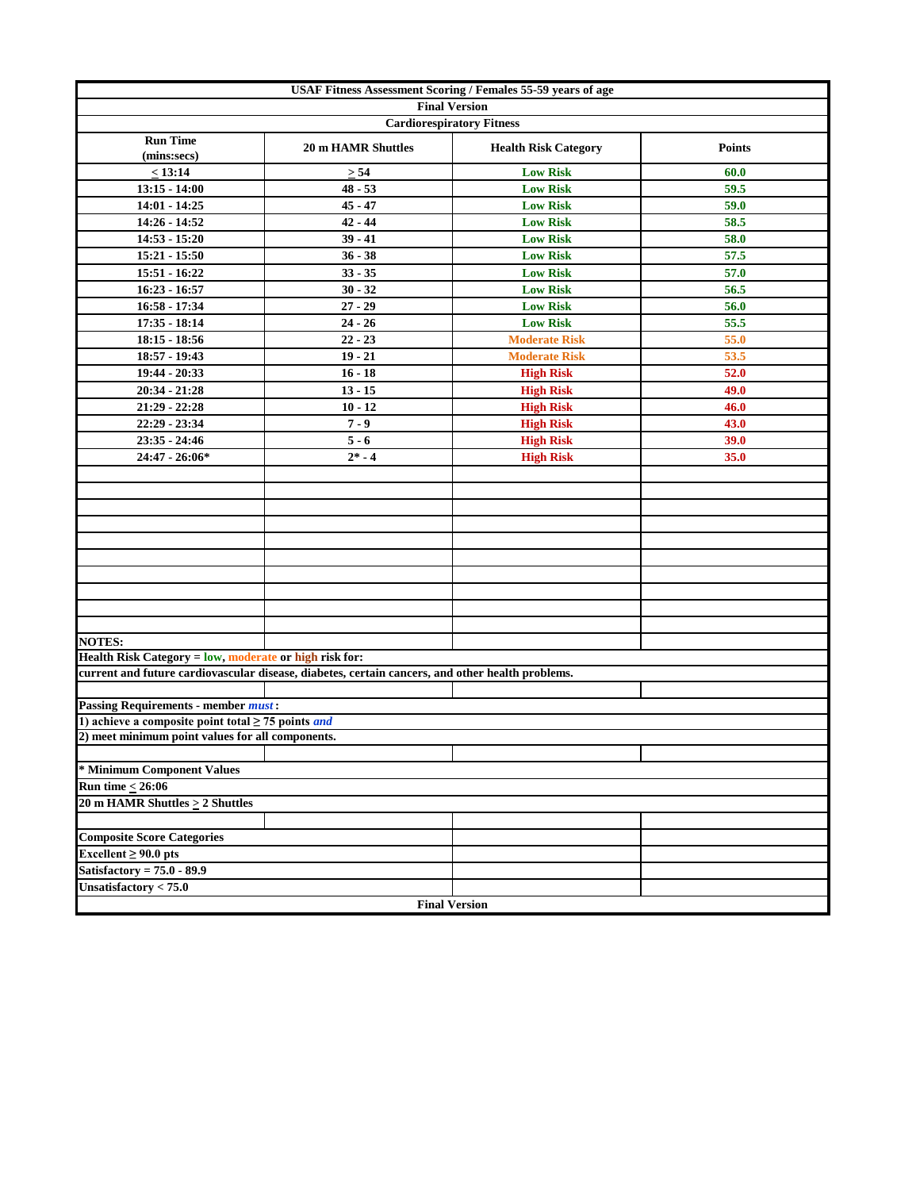| <b>USAF Fitness Assessment Scoring / Females 55-59 years of age</b> |                                                                                                  |                             |               |  |  |  |  |  |  |
|---------------------------------------------------------------------|--------------------------------------------------------------------------------------------------|-----------------------------|---------------|--|--|--|--|--|--|
| <b>Final Version</b><br><b>Cardiorespiratory Fitness</b>            |                                                                                                  |                             |               |  |  |  |  |  |  |
|                                                                     |                                                                                                  |                             |               |  |  |  |  |  |  |
| <b>Run Time</b><br>(mins:secs)                                      | <b>20 m HAMR Shuttles</b>                                                                        | <b>Health Risk Category</b> | <b>Points</b> |  |  |  |  |  |  |
| < 13:14                                                             | $\geq 54$                                                                                        | <b>Low Risk</b>             | 60.0          |  |  |  |  |  |  |
| $13:15 - 14:00$                                                     | $48 - 53$                                                                                        | <b>Low Risk</b>             | 59.5          |  |  |  |  |  |  |
| 14:01 - 14:25                                                       | $45 - 47$                                                                                        | <b>Low Risk</b>             | 59.0          |  |  |  |  |  |  |
| 14:26 - 14:52                                                       | $42 - 44$                                                                                        | <b>Low Risk</b>             | 58.5          |  |  |  |  |  |  |
| $14:53 - 15:20$                                                     | $39 - 41$                                                                                        | <b>Low Risk</b>             | 58.0          |  |  |  |  |  |  |
| 15:21 - 15:50                                                       | $36 - 38$                                                                                        | <b>Low Risk</b>             | 57.5          |  |  |  |  |  |  |
| 15:51 - 16:22                                                       | $33 - 35$                                                                                        | <b>Low Risk</b>             | 57.0          |  |  |  |  |  |  |
| $16:23 - 16:57$                                                     | $30 - 32$                                                                                        | <b>Low Risk</b>             | 56.5          |  |  |  |  |  |  |
| 16:58 - 17:34                                                       | $27 - 29$                                                                                        | <b>Low Risk</b>             | 56.0          |  |  |  |  |  |  |
| 17:35 - 18:14                                                       | $24 - 26$                                                                                        | <b>Low Risk</b>             | 55.5          |  |  |  |  |  |  |
| $18:15 - 18:56$                                                     | $22 - 23$                                                                                        | <b>Moderate Risk</b>        | 55.0          |  |  |  |  |  |  |
| 18:57 - 19:43                                                       | $19 - 21$                                                                                        | <b>Moderate Risk</b>        | 53.5          |  |  |  |  |  |  |
| 19:44 - 20:33                                                       | $16 - 18$                                                                                        | <b>High Risk</b>            | 52.0          |  |  |  |  |  |  |
| 20:34 - 21:28                                                       | $13 - 15$                                                                                        | <b>High Risk</b>            | 49.0          |  |  |  |  |  |  |
| $21:29 - 22:28$                                                     | $10 - 12$                                                                                        | <b>High Risk</b>            | 46.0          |  |  |  |  |  |  |
| 22:29 - 23:34                                                       | $7 - 9$                                                                                          | <b>High Risk</b>            | 43.0          |  |  |  |  |  |  |
| 23:35 - 24:46                                                       | $5 - 6$                                                                                          | <b>High Risk</b>            | 39.0          |  |  |  |  |  |  |
| 24:47 - 26:06*                                                      | $2* - 4$                                                                                         | <b>High Risk</b>            | 35.0          |  |  |  |  |  |  |
|                                                                     |                                                                                                  |                             |               |  |  |  |  |  |  |
|                                                                     |                                                                                                  |                             |               |  |  |  |  |  |  |
|                                                                     |                                                                                                  |                             |               |  |  |  |  |  |  |
|                                                                     |                                                                                                  |                             |               |  |  |  |  |  |  |
|                                                                     |                                                                                                  |                             |               |  |  |  |  |  |  |
|                                                                     |                                                                                                  |                             |               |  |  |  |  |  |  |
|                                                                     |                                                                                                  |                             |               |  |  |  |  |  |  |
|                                                                     |                                                                                                  |                             |               |  |  |  |  |  |  |
|                                                                     |                                                                                                  |                             |               |  |  |  |  |  |  |
|                                                                     |                                                                                                  |                             |               |  |  |  |  |  |  |
| <b>NOTES:</b>                                                       |                                                                                                  |                             |               |  |  |  |  |  |  |
| Health Risk Category = low, moderate or high risk for:              |                                                                                                  |                             |               |  |  |  |  |  |  |
|                                                                     | current and future cardiovascular disease, diabetes, certain cancers, and other health problems. |                             |               |  |  |  |  |  |  |
|                                                                     |                                                                                                  |                             |               |  |  |  |  |  |  |
| <b>Passing Requirements - member must:</b>                          |                                                                                                  |                             |               |  |  |  |  |  |  |
| 1) achieve a composite point total $\geq$ 75 points <i>and</i>      |                                                                                                  |                             |               |  |  |  |  |  |  |
| 2) meet minimum point values for all components.                    |                                                                                                  |                             |               |  |  |  |  |  |  |
|                                                                     |                                                                                                  |                             |               |  |  |  |  |  |  |
| * Minimum Component Values                                          |                                                                                                  |                             |               |  |  |  |  |  |  |
| Run time $< 26:06$                                                  |                                                                                                  |                             |               |  |  |  |  |  |  |
| 20 m HAMR Shuttles $\geq$ 2 Shuttles                                |                                                                                                  |                             |               |  |  |  |  |  |  |
|                                                                     |                                                                                                  |                             |               |  |  |  |  |  |  |
| <b>Composite Score Categories</b>                                   |                                                                                                  |                             |               |  |  |  |  |  |  |
| Excellent $\geq 90.0$ pts<br>Satisfactory = $75.0 - 89.9$           |                                                                                                  |                             |               |  |  |  |  |  |  |
| Unsatisfactory $< 75.0$                                             |                                                                                                  |                             |               |  |  |  |  |  |  |
|                                                                     |                                                                                                  |                             |               |  |  |  |  |  |  |
|                                                                     | <b>Final Version</b>                                                                             |                             |               |  |  |  |  |  |  |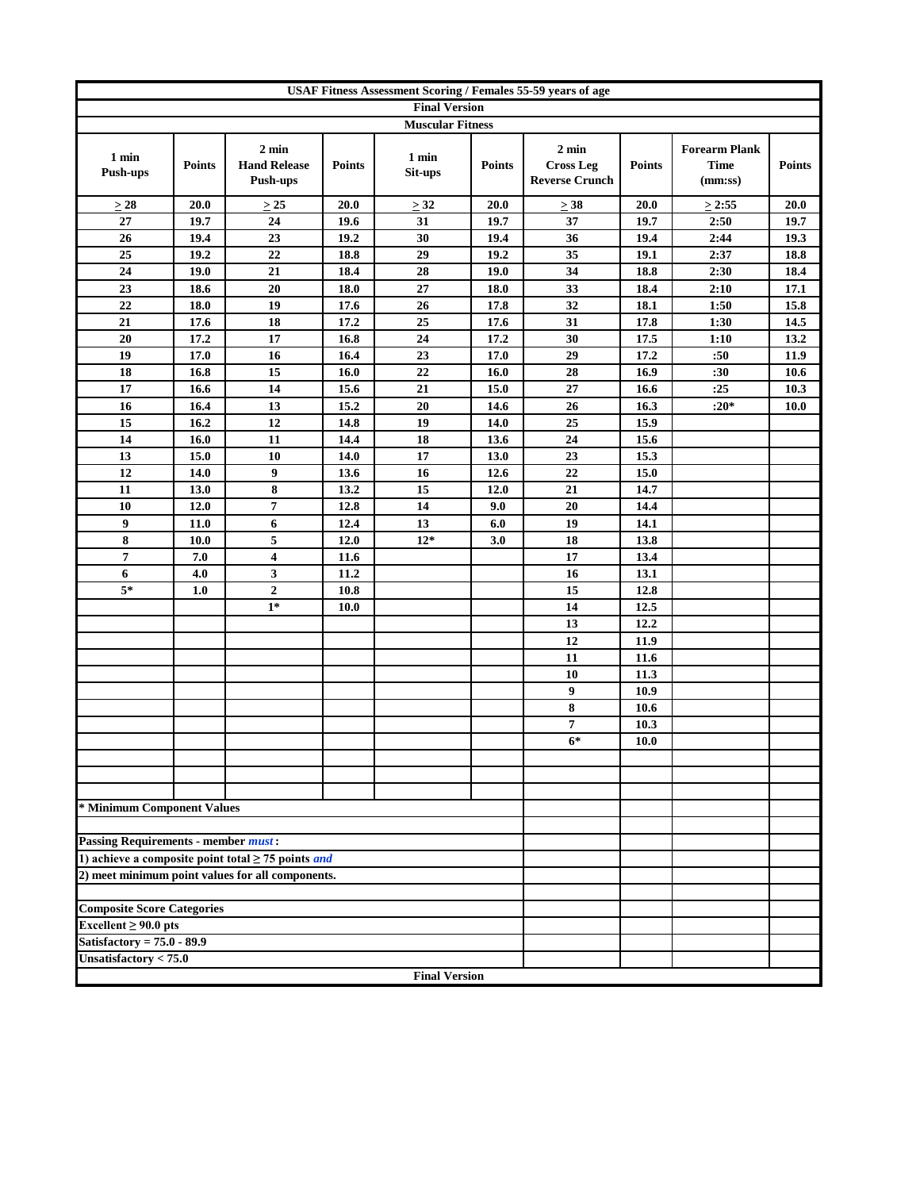| <b>USAF Fitness Assessment Scoring / Females 55-59 years of age</b> |               |                                                           |               |                      |               |                                                              |               |                                                |               |
|---------------------------------------------------------------------|---------------|-----------------------------------------------------------|---------------|----------------------|---------------|--------------------------------------------------------------|---------------|------------------------------------------------|---------------|
| <b>Final Version</b><br><b>Muscular Fitness</b>                     |               |                                                           |               |                      |               |                                                              |               |                                                |               |
|                                                                     |               |                                                           |               |                      |               |                                                              |               |                                                |               |
| 1 min<br><b>Push-ups</b>                                            | <b>Points</b> | $2 \text{ min}$<br><b>Hand Release</b><br><b>Push-ups</b> | <b>Points</b> | 1 min<br>Sit-ups     | <b>Points</b> | $2 \text{ min}$<br><b>Cross Leg</b><br><b>Reverse Crunch</b> | <b>Points</b> | <b>Forearm Plank</b><br><b>Time</b><br>(mm:ss) | <b>Points</b> |
| $\geq 28$                                                           | $20.0$        | >25                                                       | 20.0          | > 32                 | 20.0          | $\geq 38$                                                    | 20.0          | $\geq$ 2:55                                    | 20.0          |
| 27                                                                  | 19.7          | 24                                                        | 19.6          | 31                   | 19.7          | 37                                                           | 19.7          | 2:50                                           | 19.7          |
| 26                                                                  | 19.4          | 23                                                        | 19.2          | 30                   | 19.4          | 36                                                           | 19.4          | 2:44                                           | 19.3          |
| 25                                                                  | 19.2          | 22                                                        | 18.8          | 29                   | 19.2          | 35                                                           | 19.1          | 2:37                                           | 18.8          |
| 24                                                                  | 19.0          | 21                                                        | 18.4          | 28                   | 19.0          | 34                                                           | 18.8          | 2:30                                           | 18.4          |
| 23                                                                  | 18.6          | 20                                                        | 18.0          | 27                   | 18.0          | 33                                                           | 18.4          | 2:10                                           | 17.1          |
| 22                                                                  | 18.0          | 19                                                        | 17.6          | 26                   | 17.8          | 32                                                           | 18.1          | 1:50                                           | 15.8          |
| 21                                                                  | 17.6          | 18                                                        | 17.2          | $\overline{25}$      | 17.6          | 31                                                           | 17.8          | 1:30                                           | 14.5          |
| 20                                                                  | 17.2          | 17                                                        | 16.8          | 24                   | 17.2          | 30                                                           | 17.5          | 1:10                                           | 13.2          |
| 19                                                                  | 17.0          | 16                                                        | 16.4          | 23                   | 17.0          | 29                                                           | 17.2          | :50                                            | 11.9          |
| 18                                                                  | 16.8          | 15                                                        | 16.0          | 22                   | 16.0          | 28                                                           | 16.9          | :30                                            | 10.6          |
| 17                                                                  | 16.6          | 14                                                        | 15.6          | 21                   | 15.0          | 27                                                           | 16.6          | :25                                            | 10.3          |
| 16                                                                  | 16.4          | 13                                                        | 15.2          | 20                   | 14.6          | 26                                                           | 16.3          | $:20*$                                         | <b>10.0</b>   |
| 15                                                                  | 16.2          | 12                                                        | 14.8          | 19                   | 14.0          | 25                                                           | 15.9          |                                                |               |
| 14                                                                  | 16.0          | 11                                                        | 14.4          | 18                   | 13.6          | 24                                                           | 15.6          |                                                |               |
| 13                                                                  | 15.0          | 10                                                        | 14.0          | 17                   | 13.0          | 23                                                           | 15.3          |                                                |               |
| 12                                                                  | 14.0          | 9                                                         | 13.6          | 16                   | 12.6          | 22                                                           | 15.0          |                                                |               |
| 11                                                                  | 13.0          | 8                                                         | 13.2          | 15                   | 12.0          | 21                                                           | 14.7          |                                                |               |
| 10                                                                  | 12.0          | 7                                                         | 12.8          | 14                   | 9.0           | 20                                                           | 14.4          |                                                |               |
| 9                                                                   | 11.0          | 6                                                         | 12.4          | 13                   | 6.0           | 19                                                           | 14.1          |                                                |               |
| 8<br>$\overline{7}$                                                 | 10.0          | 5<br>$\overline{\mathbf{4}}$                              | 12.0          | $12*$                | 3.0           | 18<br>17                                                     | 13.8          |                                                |               |
|                                                                     | 7.0           | $\overline{\mathbf{3}}$                                   | 11.6          |                      |               | 16                                                           | 13.4          |                                                |               |
| 6<br>$5*$                                                           | 4.0<br>1.0    | $\overline{2}$                                            | 11.2<br>10.8  |                      |               | 15                                                           | 13.1<br>12.8  |                                                |               |
|                                                                     |               | $1*$                                                      | 10.0          |                      |               | 14                                                           | 12.5          |                                                |               |
|                                                                     |               |                                                           |               |                      |               | 13                                                           | 12.2          |                                                |               |
|                                                                     |               |                                                           |               |                      |               | 12                                                           | 11.9          |                                                |               |
|                                                                     |               |                                                           |               |                      |               | 11                                                           | 11.6          |                                                |               |
|                                                                     |               |                                                           |               |                      |               | 10                                                           | 11.3          |                                                |               |
|                                                                     |               |                                                           |               |                      |               | 9                                                            | 10.9          |                                                |               |
|                                                                     |               |                                                           |               |                      |               | $\bf 8$                                                      | 10.6          |                                                |               |
|                                                                     |               |                                                           |               |                      |               | 7                                                            | 10.3          |                                                |               |
|                                                                     |               |                                                           |               |                      |               | $6*$                                                         | 10.0          |                                                |               |
|                                                                     |               |                                                           |               |                      |               |                                                              |               |                                                |               |
|                                                                     |               |                                                           |               |                      |               |                                                              |               |                                                |               |
|                                                                     |               |                                                           |               |                      |               |                                                              |               |                                                |               |
| * Minimum Component Values                                          |               |                                                           |               |                      |               |                                                              |               |                                                |               |
|                                                                     |               |                                                           |               |                      |               |                                                              |               |                                                |               |
| <b>Passing Requirements - member must:</b>                          |               |                                                           |               |                      |               |                                                              |               |                                                |               |
|                                                                     |               | 1) achieve a composite point total $\geq$ 75 points and   |               |                      |               |                                                              |               |                                                |               |
|                                                                     |               | 2) meet minimum point values for all components.          |               |                      |               |                                                              |               |                                                |               |
|                                                                     |               |                                                           |               |                      |               |                                                              |               |                                                |               |
| <b>Composite Score Categories</b>                                   |               |                                                           |               |                      |               |                                                              |               |                                                |               |
| Excellent $\geq 90.0$ pts                                           |               |                                                           |               |                      |               |                                                              |               |                                                |               |
| Satisfactory = $75.0 - 89.9$                                        |               |                                                           |               |                      |               |                                                              |               |                                                |               |
| Unsatisfactory $< 75.0$                                             |               |                                                           |               |                      |               |                                                              |               |                                                |               |
|                                                                     |               |                                                           |               | <b>Final Version</b> |               |                                                              |               |                                                |               |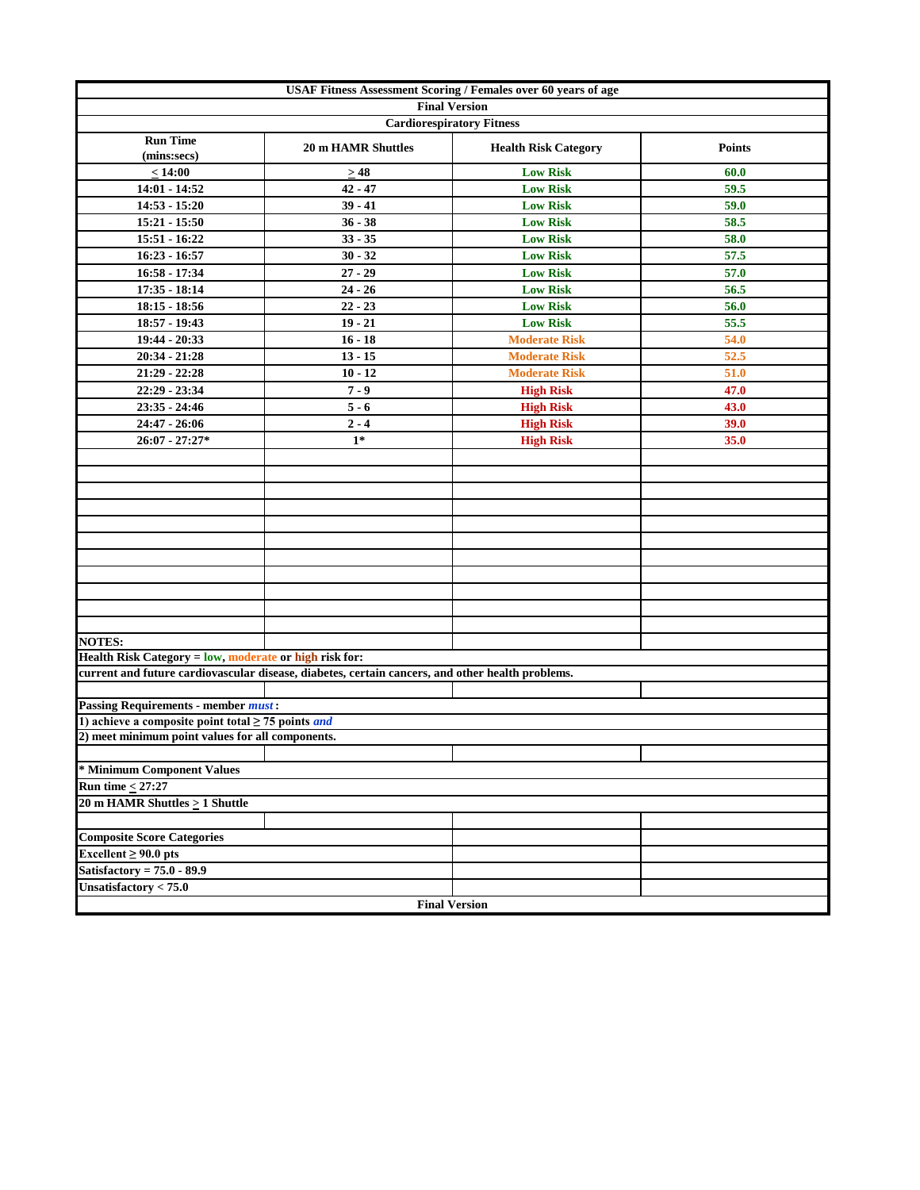| <b>USAF Fitness Assessment Scoring / Females over 60 years of age</b> |                                                                                                  |                                  |               |  |  |  |  |  |
|-----------------------------------------------------------------------|--------------------------------------------------------------------------------------------------|----------------------------------|---------------|--|--|--|--|--|
| <b>Final Version</b>                                                  |                                                                                                  |                                  |               |  |  |  |  |  |
|                                                                       |                                                                                                  | <b>Cardiorespiratory Fitness</b> |               |  |  |  |  |  |
| <b>Run Time</b><br>(mins:secs)                                        | <b>20 m HAMR Shuttles</b>                                                                        | <b>Health Risk Category</b>      | <b>Points</b> |  |  |  |  |  |
| $\leq 14:00$                                                          | $\geq$ 48                                                                                        | <b>Low Risk</b>                  | 60.0          |  |  |  |  |  |
| 14:01 - 14:52                                                         | $42 - 47$                                                                                        | <b>Low Risk</b>                  | 59.5          |  |  |  |  |  |
| $14:53 - 15:20$                                                       | $39 - 41$                                                                                        | <b>Low Risk</b>                  | 59.0          |  |  |  |  |  |
| $15:21 - 15:50$                                                       | $36 - 38$                                                                                        | <b>Low Risk</b>                  | 58.5          |  |  |  |  |  |
| 15:51 - 16:22                                                         | $33 - 35$                                                                                        | <b>Low Risk</b>                  | 58.0          |  |  |  |  |  |
| $16:23 - 16:57$                                                       | $30 - 32$                                                                                        | <b>Low Risk</b>                  | 57.5          |  |  |  |  |  |
| $16:58 - 17:34$                                                       | $27 - 29$                                                                                        | <b>Low Risk</b>                  | 57.0          |  |  |  |  |  |
| $17:35 - 18:14$                                                       | $24 - 26$                                                                                        | <b>Low Risk</b>                  | 56.5          |  |  |  |  |  |
| $18:15 - 18:56$                                                       | $22 - 23$                                                                                        | <b>Low Risk</b>                  | 56.0          |  |  |  |  |  |
| 18:57 - 19:43                                                         | $19 - 21$                                                                                        | <b>Low Risk</b>                  | 55.5          |  |  |  |  |  |
| 19:44 - 20:33                                                         | $16 - 18$                                                                                        | <b>Moderate Risk</b>             | 54.0          |  |  |  |  |  |
| 20:34 - 21:28                                                         | $13 - 15$                                                                                        | <b>Moderate Risk</b>             | 52.5          |  |  |  |  |  |
| 21:29 - 22:28                                                         | $10 - 12$                                                                                        | <b>Moderate Risk</b>             | 51.0          |  |  |  |  |  |
| 22:29 - 23:34                                                         | $7 - 9$                                                                                          | <b>High Risk</b>                 | 47.0          |  |  |  |  |  |
| $23:35 - 24:46$                                                       | $5 - 6$                                                                                          | <b>High Risk</b>                 | 43.0          |  |  |  |  |  |
| $24:47 - 26:06$                                                       | $2 - 4$                                                                                          | <b>High Risk</b>                 | 39.0          |  |  |  |  |  |
| $26:07 - 27:27*$                                                      | $1*$                                                                                             | <b>High Risk</b>                 | 35.0          |  |  |  |  |  |
|                                                                       |                                                                                                  |                                  |               |  |  |  |  |  |
|                                                                       |                                                                                                  |                                  |               |  |  |  |  |  |
|                                                                       |                                                                                                  |                                  |               |  |  |  |  |  |
|                                                                       |                                                                                                  |                                  |               |  |  |  |  |  |
|                                                                       |                                                                                                  |                                  |               |  |  |  |  |  |
|                                                                       |                                                                                                  |                                  |               |  |  |  |  |  |
|                                                                       |                                                                                                  |                                  |               |  |  |  |  |  |
|                                                                       |                                                                                                  |                                  |               |  |  |  |  |  |
|                                                                       |                                                                                                  |                                  |               |  |  |  |  |  |
|                                                                       |                                                                                                  |                                  |               |  |  |  |  |  |
|                                                                       |                                                                                                  |                                  |               |  |  |  |  |  |
| <b>NOTES:</b>                                                         |                                                                                                  |                                  |               |  |  |  |  |  |
| Health Risk Category = low, moderate or high risk for:                |                                                                                                  |                                  |               |  |  |  |  |  |
|                                                                       | current and future cardiovascular disease, diabetes, certain cancers, and other health problems. |                                  |               |  |  |  |  |  |
|                                                                       |                                                                                                  |                                  |               |  |  |  |  |  |
| <b>Passing Requirements - member must:</b>                            |                                                                                                  |                                  |               |  |  |  |  |  |
| 1) achieve a composite point total $\geq$ 75 points <i>and</i>        |                                                                                                  |                                  |               |  |  |  |  |  |
| 2) meet minimum point values for all components.                      |                                                                                                  |                                  |               |  |  |  |  |  |
|                                                                       |                                                                                                  |                                  |               |  |  |  |  |  |
| * Minimum Component Values                                            |                                                                                                  |                                  |               |  |  |  |  |  |
| Run time $<$ 27:27<br>20 m HAMR Shuttles $\geq 1$ Shuttle             |                                                                                                  |                                  |               |  |  |  |  |  |
|                                                                       |                                                                                                  |                                  |               |  |  |  |  |  |
|                                                                       |                                                                                                  |                                  |               |  |  |  |  |  |
| <b>Composite Score Categories</b>                                     |                                                                                                  |                                  |               |  |  |  |  |  |
| Excellent $\geq 90.0$ pts                                             |                                                                                                  |                                  |               |  |  |  |  |  |
| Satisfactory = $75.0 - 89.9$                                          |                                                                                                  |                                  |               |  |  |  |  |  |
| Unsatisfactory $< 75.0$                                               |                                                                                                  |                                  |               |  |  |  |  |  |
|                                                                       |                                                                                                  | <b>Final Version</b>             |               |  |  |  |  |  |